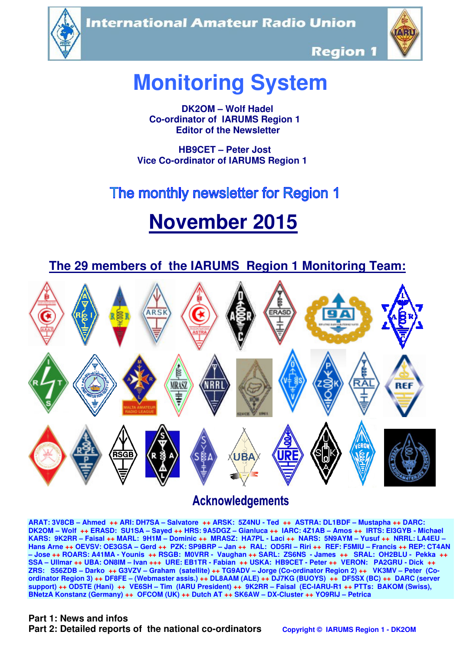**International Amateur Radio Union** 





**Region 1** 

# **Monitoring System**

 **DK2OM – Wolf Hadel Co-ordinator of IARUMS Region 1 Editor of the Newsletter** 

 **HB9CET – Peter Jost Vice Co-ordinator of IARUMS Region 1** 

# The monthly newsletter for Region 1

# **November 2015**



## **Acknowledgements**

**ARAT: 3V8CB – Ahmed ++ ARI: DH7SA – Salvatore ++ ARSK: 5Z4NU - Ted ++ ASTRA: DL1BDF – Mustapha ++ DARC: DK2OM – Wolf ++ ERASD: SU1SA – Sayed ++ HRS: 9A5DGZ – Gianluca ++ IARC: 4Z1AB – Amos ++ IRTS: EI3GYB - Michael KARS: 9K2RR – Faisal ++ MARL: 9H1M – Dominic ++ MRASZ: HA7PL - Laci ++ NARS: 5N9AYM – Yusuf ++ NRRL: LA4EU – Hans Arne ++ OEVSV: OE3GSA – Gerd ++ PZK: SP9BRP – Jan ++ RAL: OD5RI – Riri ++ REF: F5MIU – Francis ++ REP: CT4AN – Jose ++ ROARS: A41MA - Younis ++ RSGB: M0VRR - Vaughan ++ SARL: ZS6NS - James ++ SRAL: OH2BLU - Pekka ++ SSA – Ullmar ++ UBA: ON8IM – Ivan +++ URE: EB1TR - Fabian ++ USKA: HB9CET - Peter ++ VERON: PA2GRU - Dick ++ ZRS: S56ZDB – Darko ++ G3VZV – Graham (satellite) ++ TG9ADV – Jorge (Co-ordinator Region 2) ++ VK3MV – Peter (Coordinator Region 3) ++ DF8FE – (Webmaster assis.) ++ DL8AAM (ALE) ++ DJ7KG (BUOYS) ++ DF5SX (BC) ++ DARC (server support) ++ OD5TE (Hani) ++ VE6SH – Tim (IARU President) ++ 9K2RR – Faisal (EC-IARU-R1 ++ PTTs: BAKOM (Swiss), BNetzA Konstanz (Germany) ++ OFCOM (UK) ++ Dutch AT ++ SK6AW – DX-Cluster ++ YO9RIJ – Petrica** 

#### **Part 1: News and infos**

**Part 2: Detailed reports of the national co-ordinators copyright © IARUMS Region 1 - DK2OM**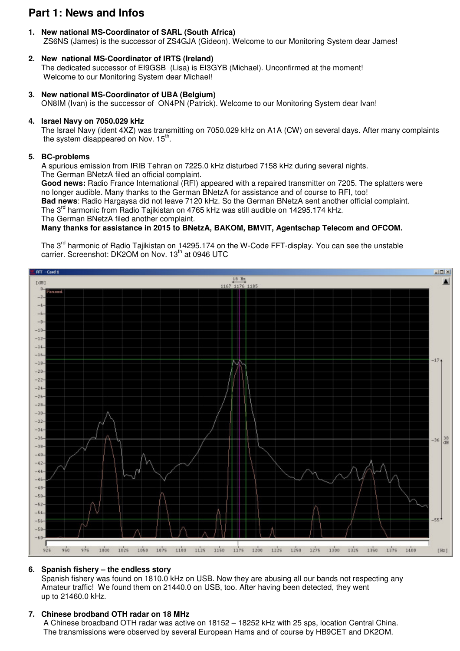### **Part 1: News and Infos**

- **1. New national MS-Coordinator of SARL (South Africa)** ZS6NS (James) is the successor of ZS4GJA (Gideon). Welcome to our Monitoring System dear James!
- **2. New national MS-Coordinator of IRTS (Ireland)** The dedicated successor of EI9GSB (Lisa) is EI3GYB (Michael). Unconfirmed at the moment! Welcome to our Monitoring System dear Michael!
- **3. New national MS-Coordinator of UBA (Belgium)** ON8IM (Ivan) is the successor of ON4PN (Patrick). Welcome to our Monitoring System dear Ivan!

#### **4. Israel Navy on 7050.029 kHz**

 The Israel Navy (ident 4XZ) was transmitting on 7050.029 kHz on A1A (CW) on several days. After many complaints the system disappeared on Nov.  $15<sup>th</sup>$ .

#### **5. BC-problems**

 A spurious emission from IRIB Tehran on 7225.0 kHz disturbed 7158 kHz during several nights. The German BNetzA filed an official complaint.

 **Good news:** Radio France International (RFI) appeared with a repaired transmitter on 7205. The splatters were no longer audible. Many thanks to the German BNetzA for assistance and of course to RFI, too!

 **Bad news**: Radio Hargaysa did not leave 7120 kHz. So the German BNetzA sent another official complaint. The  $3<sup>rd</sup>$  harmonic from Radio Tajikistan on 4765 kHz was still audible on 14295.174 kHz.

The German BNetzA filed another complaint.

#### **Many thanks for assistance in 2015 to BNetzA, BAKOM, BMVIT, Agentschap Telecom and OFCOM.**

The 3<sup>rd</sup> harmonic of Radio Tajikistan on 14295.174 on the W-Code FFT-display. You can see the unstable carrier. Screenshot: DK2OM on Nov. 13<sup>th</sup> at 0946 UTC



#### **6. Spanish fishery – the endless story**

 Spanish fishery was found on 1810.0 kHz on USB. Now they are abusing all our bands not respecting any Amateur traffic! We found them on 21440.0 on USB, too. After having been detected, they went up to 21460.0 kHz.

#### **7. Chinese brodband OTH radar on 18 MHz**

A Chinese broadband OTH radar was active on 18152 – 18252 kHz with 25 sps, location Central China. The transmissions were observed by several European Hams and of course by HB9CET and DK2OM.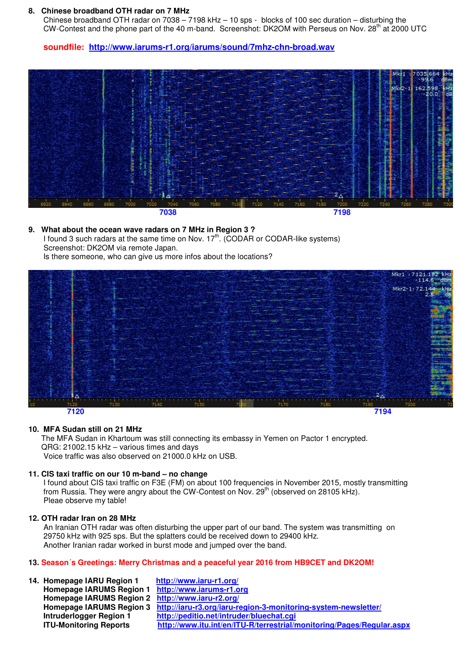#### **8. Chinese broadband OTH radar on 7 MHz**

Chinese broadband OTH radar on  $7038 - 7198$  kHz  $- 10$  sps - blocks of 100 sec duration  $-$  disturbing the CW-Contest and the phone part of the 40 m-band. Screenshot: DK2OM with Perseus on Nov.  $28<sup>th</sup>$  at 2000 UTC

**soundfile: http://www.iarums-r1.org/iarums/sound/7mhz-chn-broad.wav**



#### **9. What about the ocean wave radars on 7 MHz in Region 3 ?**  I found 3 such radars at the same time on Nov.  $17<sup>th</sup>$ . (CODAR or CODAR-like systems)

 Screenshot: DK2OM via remote Japan. Is there someone, who can give us more infos about the locations?



#### **10. MFA Sudan still on 21 MHz**

 The MFA Sudan in Khartoum was still connecting its embassy in Yemen on Pactor 1 encrypted. QRG: 21002.15 kHz – various times and days Voice traffic was also observed on 21000.0 kHz on USB.

#### **11. CIS taxi traffic on our 10 m-band – no change**

 I found about CIS taxi traffic on F3E (FM) on about 100 frequencies in November 2015, mostly transmitting from Russia. They were angry about the CW-Contest on Nov. 29<sup>th</sup> (observed on 28105 kHz). Pleae observe my table!

#### **12. OTH radar Iran on 28 MHz**

An Iranian OTH radar was often disturbing the upper part of our band. The system was transmitting on 29750 kHz with 925 sps. But the splatters could be received down to 29400 kHz. Another Iranian radar worked in burst mode and jumped over the band.

#### **13. Season´s Greetings: Merry Christmas and a peaceful year 2016 from HB9CET and DK2OM!**

| 14. Homepage IARU Region 1                        | http://www.iaru-r1.org/                                                                 |
|---------------------------------------------------|-----------------------------------------------------------------------------------------|
| Homepage IARUMS Region 1 http://www.iarums-r1.org |                                                                                         |
| Homepage IARUMS Region 2 http://www.iaru-r2.org/  |                                                                                         |
|                                                   | Homepage IARUMS Region 3 http://iaru-r3.org/iaru-region-3-monitoring-system-newsletter/ |
| <b>Intruderlogger Region 1</b>                    | http://peditio.net/intruder/bluechat.cgi                                                |
| <b>ITU-Monitoring Reports</b>                     | http://www.itu.int/en/ITU-R/terrestrial/monitoring/Pages/Regular.aspx                   |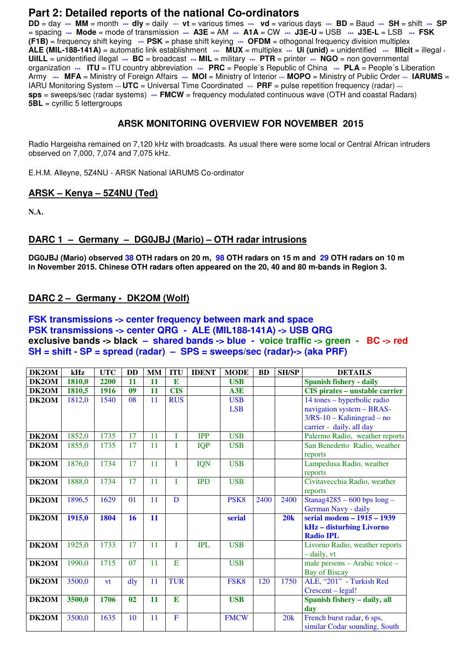#### **Part 2: Detailed reports of the national Co-ordinators**

**DD** = day **\*\*\* MM** = month **\*\*\* dly** = daily \*\*\* **vt** = various times **\*\*\* vd** = various days **\*\*\* BD** = Baud **\*\*\* SH** = shift **\*\*\* SP** = spacing **\*\*\* Mode** = mode of transmission **\*\*\* A3E** = AM **\*\*\* A1A** = CW **\*\*\* J3E-U** = USB **\*\*\* J3E-L** = LSB **\*\*\* FSK (F1B)** = frequency shift keying **\*\*\* PSK** = phase shift keying **\*\*\* OFDM** = othogonal frequency division multiplex **ALE (MIL-188-141A)** = automatic link establishment **\*\*\* MUX** = multiplex **\*\*\* Ui (unid)** = unidentified **\*\*\* Illicit** = illegal **\* UiILL** = unidentified illegal **\*\*\* BC** = broadcast **\*\*\* MIL** = military **\*\*\* PTR** = printer **\*\*\* NGO** = non governmental organization **\*\*\* ITU** = ITU country abbreviation **\*\*\* PRC** = People´s Republic of China **\*\*\* PLA** = People´s Liberation Army  $\cdots$  MFA = Ministry of Foreign Affairs  $\cdots$  MOI = Ministry of Interior  $\cdots$  MOPO = Ministry of Public Order  $\cdots$  IARUMS = IARU Monitoring System  $\cdot\cdot\cdot$  **UTC** = Universal Time Coordinated  $\cdot\cdot\cdot$  **PRF** = pulse repetition frequency (radar)  $\cdot\cdot\cdot$ **sps** = sweeps/sec (radar systems) **... FMCW** = frequency modulated continuous wave (OTH and coastal Radars) **5BL** = cyrillic 5 lettergroups

#### **ARSK MONITORING OVERVIEW FOR NOVEMBER 2015**

Radio Hargeisha remained on 7,120 kHz with broadcasts. As usual there were some local or Central African intruders observed on 7,000, 7,074 and 7,075 kHz.

E.H.M. Alleyne, 5Z4NU - ARSK National IARUMS Co-ordinator

#### **ARSK – Kenya – 5Z4NU (Ted)**

**N.A.** 

#### **DARC 1 – Germany – DG0JBJ (Mario) – OTH radar intrusions**

**DG0JBJ (Mario) observed 38 OTH radars on 20 m, 98 OTH radars on 15 m and 29 OTH radars on 10 m in November 2015. Chinese OTH radars often appeared on the 20, 40 and 80 m-bands in Region 3.** 

#### **DARC 2 – Germany - DK2OM (Wolf)**

#### **FSK transmissions -> center frequency between mark and space PSK transmissions -> center QRG - ALE (MIL188-141A) -> USB QRG exclusive bands -> black – shared bands -> blue - voice traffic -> green - BC -> red SH = shift - SP = spread (radar) – SPS = sweeps/sec (radar)-> (aka PRF)**

| DK2OM | kHz    | <b>UTC</b> | <b>DD</b>      | MM | <b>ITU</b>     | <b>IDENT</b> | <b>MODE</b>      | <b>BD</b> | <b>SH/SP</b> | <b>DETAILS</b>                        |
|-------|--------|------------|----------------|----|----------------|--------------|------------------|-----------|--------------|---------------------------------------|
| DK2OM | 1810,0 | 2200       | <b>11</b>      | 11 | $\mathbf{E}$   |              | <b>USB</b>       |           |              | Spanish fishery - daily               |
| DK2OM | 1810,5 | 1916       | 09             | 11 | <b>CIS</b>     |              | A3E              |           |              | <b>CIS</b> pirates - unstable carrier |
| DK2OM | 1812,0 | 1540       | 08             | 11 | <b>RUS</b>     |              | <b>USB</b>       |           |              | 14 tones – hyperbolic radio           |
|       |        |            |                |    |                |              | <b>LSB</b>       |           |              | navigation system - BRAS-             |
|       |        |            |                |    |                |              |                  |           |              | $3/RS-10 - Kaliningrad - no$          |
|       |        |            |                |    |                |              |                  |           |              | carrier - daily, all day              |
| DK2OM | 1852,0 | 1735       | 17             | 11 | Ī              | <b>IPP</b>   | <b>USB</b>       |           |              | Palermo Radio, weather reports        |
| DK2OM | 1855,0 | 1735       | 17             | 11 | Ī              | <b>IQP</b>   | <b>USB</b>       |           |              | San Benedetto Radio, weather          |
|       |        |            |                |    |                |              |                  |           |              | reports                               |
| DK2OM | 1876,0 | 1734       | 17             | 11 | T              | <b>IQN</b>   | <b>USB</b>       |           |              | Lampedusa Radio, weather              |
|       |        |            |                |    |                |              |                  |           |              | reports                               |
| DK2OM | 1888,0 | 1734       | 17             | 11 | T              | <b>IPD</b>   | <b>USB</b>       |           |              | Civitavecchia Radio, weather          |
|       |        |            |                |    |                |              |                  |           |              | reports                               |
| DK2OM | 1896,5 | 1629       | 0 <sup>1</sup> | 11 | D              |              | PSK <sub>8</sub> | 2400      | 2400         | $\tanag4285 - 600$ bps $long -$       |
|       |        |            |                |    |                |              |                  |           |              | German Navy - daily                   |
| DK2OM | 1915,0 | 1804       | 16             | 11 |                |              | serial           |           | 20k          | serial modem - 1915 - 1939            |
|       |        |            |                |    |                |              |                  |           |              | kHz - disturbing Livorno              |
|       |        |            |                |    |                |              |                  |           |              | <b>Radio IPL</b>                      |
| DK2OM | 1925,0 | 1733       | 17             | 11 | T              | <b>IPL</b>   | <b>USB</b>       |           |              | Livorno Radio, weather reports        |
|       |        |            |                |    |                |              |                  |           |              | - daily, vt                           |
| DK2OM | 1990,0 | 1715       | 07             | 11 | E              |              | <b>USB</b>       |           |              | male persons - Arabic voice -         |
|       |        |            |                |    | <b>TUR</b>     |              |                  |           |              | <b>Bay of Biscay</b>                  |
| DK2OM | 3500,0 | vt         | dly            | 11 |                |              | FSK <sub>8</sub> | 120       | 1750         | ALE, "201" - Turkish Red              |
|       |        |            | 0 <sub>2</sub> | 11 | E              |              |                  |           |              | Crescent - legal!                     |
| DK2OM | 3500,0 | 1706       |                |    |                |              | <b>USB</b>       |           |              | Spanish fishery - daily, all<br>day   |
| DK2OM | 3500,0 | 1635       | 10             | 11 | $\overline{F}$ |              | <b>FMCW</b>      |           | 20k          | French burst radar, 6 sps,            |
|       |        |            |                |    |                |              |                  |           |              | similar Codar sounding, South         |
|       |        |            |                |    |                |              |                  |           |              |                                       |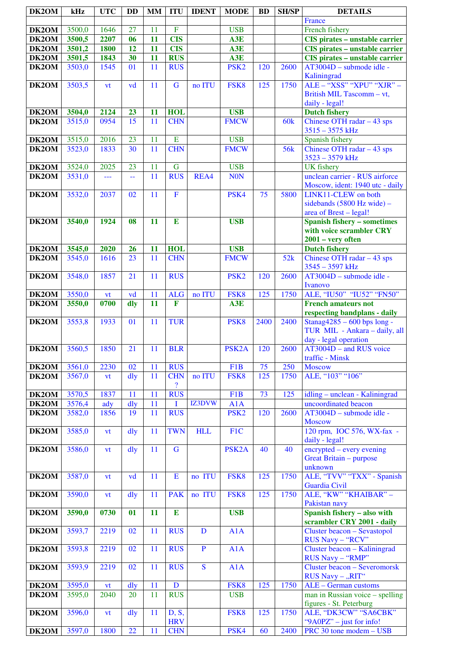| DK2OM          | kHz    | <b>UTC</b>   | <b>DD</b> | <b>MM</b> | <b>ITU</b>               | <b>IDENT</b>  | <b>MODE</b>        | <b>BD</b> | <b>SH/SP</b>    | <b>DETAILS</b>                                                    |
|----------------|--------|--------------|-----------|-----------|--------------------------|---------------|--------------------|-----------|-----------------|-------------------------------------------------------------------|
|                |        |              |           |           |                          |               |                    |           |                 | France                                                            |
| DK2OM          | 3500,0 | 1646         | 27        | 11        | $\overline{F}$           |               | <b>USB</b>         |           |                 | French fishery                                                    |
| DK2OM          | 3500,5 | 2207         | 06        | 11        | <b>CIS</b>               |               | A3E                |           |                 | CIS pirates - unstable carrier                                    |
| DK2OM          | 3501,2 | <b>1800</b>  | 12        | 11        | <b>CIS</b>               |               | A3E                |           |                 | CIS pirates - unstable carrier                                    |
| DK2OM          | 3501,5 | 1843         | 30        | 11        | <b>RUS</b>               |               | A3E                |           |                 | CIS pirates - unstable carrier                                    |
| DK2OM          | 3503,0 | 1545         | 01        | 11        | <b>RUS</b>               |               | PSK <sub>2</sub>   | 120       | 2600            | AT3004D - submode idle -<br>Kaliningrad                           |
| DK2OM          | 3503,5 | vt           | vd        | 11        | $\mathbf G$              | no ITU        | FSK8               | 125       | 1750            | ALE - "XSS" "XPU" "XJR" -                                         |
|                |        |              |           |           |                          |               |                    |           |                 | British MIL Tascomm - vt,                                         |
|                |        |              |           |           |                          |               |                    |           |                 | daily - legal!                                                    |
| DK2OM          | 3504,0 | 2124         | 23        | 11        | <b>HOL</b>               |               | <b>USB</b>         |           |                 | <b>Dutch fishery</b>                                              |
| DK2OM          | 3515,0 | 0954         | 15        | 11        | <b>CHN</b>               |               | <b>FMCW</b>        |           | 60k             | Chinese OTH radar $-43$ sps                                       |
|                |        |              | 23        |           | E                        |               | <b>USB</b>         |           |                 | $3515 - 3575$ kHz                                                 |
| DK2OM<br>DK2OM | 3515,0 | 2016<br>1833 | 30        | 11<br>11  | <b>CHN</b>               |               | <b>FMCW</b>        |           | 56 <sub>k</sub> | Spanish fishery<br>Chinese OTH radar $-43$ sps                    |
|                | 3523,0 |              |           |           |                          |               |                    |           |                 | $3523 - 3579$ kHz                                                 |
| DK2OM          | 3524,0 | 2025         | 23        | 11        | $\mathbf G$              |               | <b>USB</b>         |           |                 | <b>UK</b> fishery                                                 |
| DK2OM          | 3531,0 | ---          | 44        | 11        | <b>RUS</b>               | REA4          | <b>NON</b>         |           |                 | unclean carrier - RUS airforce<br>Moscow, ident: 1940 utc - daily |
| DK2OM          | 3532,0 | 2037         | 02        | 11        | $\overline{F}$           |               | PSK4               | 75        | 5800            | LINK11-CLEW on both                                               |
|                |        |              |           |           |                          |               |                    |           |                 | sidebands (5800 Hz wide) -<br>area of Brest - legal!              |
| DK2OM          | 3540,0 | 1924         | 08        | 11        | E                        |               | <b>USB</b>         |           |                 | <b>Spanish fishery - sometimes</b>                                |
|                |        |              |           |           |                          |               |                    |           |                 | with voice scrambler CRY                                          |
|                |        |              |           |           |                          |               |                    |           |                 | $2001 - very$ often                                               |
| DK2OM          | 3545,0 | 2020         | 26        | 11        | <b>HOL</b>               |               | <b>USB</b>         |           |                 | <b>Dutch fishery</b>                                              |
| DK2OM          | 3545,0 | 1616         | 23        | 11        | <b>CHN</b>               |               | <b>FMCW</b>        |           | 52k             | Chinese OTH radar $-43$ sps                                       |
|                |        |              |           |           |                          |               |                    |           |                 | 3545 - 3597 kHz                                                   |
| DK2OM          | 3548,0 | 1857         | 21        | 11        | <b>RUS</b>               |               | PSK <sub>2</sub>   | 120       | 2600            | AT3004D - submode idle -<br>Ivanovo                               |
| DK2OM          | 3550,0 | vt           | vd        | 11        | <b>ALG</b>               | no ITU        | FSK8               | 125       | 1750            | ALE, "IU50" "IU52" "FN50"                                         |
| DK2OM          | 3550,0 | 0700         | dly       | 11        | $\mathbf{F}$             |               | A3E                |           |                 | <b>French amateurs not</b>                                        |
|                |        |              |           |           |                          |               |                    |           |                 | respecting bandplans - daily                                      |
| DK2OM          | 3553,8 | 1933         | 01        | 11        | <b>TUR</b>               |               | PSK <sub>8</sub>   | 2400      | 2400            | Stanag $4285 - 600$ bps long -<br>TUR MIL - Ankara - daily, all   |
|                |        |              |           |           |                          |               |                    |           |                 | day - legal operation                                             |
| DK2OM          | 3560,5 | 1850         | 21        | 11        | <b>BLR</b>               |               | PSK <sub>2</sub> A | 120       | 2600            | $AT3004D$ – and RUS voice                                         |
|                |        |              |           |           |                          |               |                    |           |                 | traffic - Minsk                                                   |
| DK2OM          | 3561,0 | 2230         | 02        | 11        | <b>RUS</b>               |               | F1B                | 75        | 250             | <b>Moscow</b>                                                     |
| DK2OM          | 3567,0 | <b>vt</b>    | dly       | 11        | <b>CHN</b>               | no ITU        | FSK8               | 125       | 1750            | ALE, "103" "106"                                                  |
|                |        |              |           |           | $\overline{\mathcal{L}}$ |               |                    |           |                 |                                                                   |
| DK2OM          | 3570,5 | 1837         | 11        | 11        | <b>RUS</b>               |               | F1B                | 73        | 125             | idling - unclean - Kaliningrad                                    |
| DK2OM          | 3576,4 | ady          | dly       | 11        | I                        | <b>IZ3DVW</b> | A1A                |           |                 | uncoordinated beacon                                              |
| DK2OM          | 3582,0 | 1856         | 19        | 11        | <b>RUS</b>               |               | PSK <sub>2</sub>   | 120       | 2600            | AT3004D - submode idle -                                          |
|                |        |              |           |           |                          |               |                    |           |                 | <b>Moscow</b>                                                     |
| DK2OM          | 3585,0 | <b>vt</b>    | dly       | 11        | <b>TWN</b>               | <b>HLL</b>    | F1C                |           |                 | 120 rpm, IOC 576, WX-fax -                                        |
|                |        |              |           |           |                          |               |                    |           |                 | daily - legal!                                                    |
| DK2OM          | 3586,0 | <b>vt</b>    | dly       | 11        | $\mathbf G$              |               | PSK <sub>2</sub> A | 40        | 40              | encrypted – every evening                                         |
|                |        |              |           |           |                          |               |                    |           |                 | <b>Great Britain - purpose</b>                                    |
|                |        |              |           |           |                          |               |                    |           |                 | unknown                                                           |
| DK2OM          | 3587,0 | vt           | vd        | 11        | E                        | no ITU        | FSK8               | 125       | 1750            | ALE, "TVV" "TXX" - Spanish                                        |
|                |        |              |           |           |                          |               |                    |           |                 | Guardia Civil                                                     |
| DK2OM          | 3590,0 | vt           | dly       | 11        | <b>PAK</b>               | no ITU        | FSK8               | 125       | 1750            | ALE, "KW" "KHAIBAR" -<br>Pakistan navy                            |
| DK2OM          | 3590,0 | 0730         | 01        | 11        | $\bf{E}$                 |               | <b>USB</b>         |           |                 | Spanish fishery - also with                                       |
|                |        |              |           |           |                          |               |                    |           |                 | scrambler CRY 2001 - daily                                        |
| DK2OM          | 3593,7 | 2219         | 02        | 11        | <b>RUS</b>               | D             | A1A                |           |                 | Cluster beacon - Sevastopol<br>RUS Navy - "RCV"                   |
| DK2OM          | 3593,8 | 2219         | 02        | 11        | <b>RUS</b>               | $\mathbf{P}$  | A1A                |           |                 | Cluster beacon - Kaliningrad<br>RUS Navy - "RMP"                  |
| DK2OM          | 3593,9 | 2219         | 02        | 11        | <b>RUS</b>               | S             | A1A                |           |                 | <b>Cluster beacon - Severomorsk</b>                               |
| DK2OM          | 3595,0 | <b>vt</b>    | dly       | 11        | D                        |               | FSK8               | 125       | 1750            | RUS Navy - "RIT"<br>ALE - German customs                          |
| DK2OM          | 3595,0 | 2040         | 20        | 11        | <b>RUS</b>               |               | <b>USB</b>         |           |                 | man in Russian voice - spelling                                   |
|                |        |              |           |           |                          |               |                    |           |                 | figures - St. Peterburg                                           |
| DK2OM          | 3596,0 | vt           | dly       | 11        | D, S,<br><b>HRV</b>      |               | FSK8               | 125       | 1750            | ALE, "DK3CW" "SA6CBK"<br>"9A0PZ" - just for info!                 |
| DK2OM          | 3597,0 | 1800         | 22        | 11        | <b>CHN</b>               |               | PSK4               | 60        | 2400            | PRC 30 tone modem - USB                                           |
|                |        |              |           |           |                          |               |                    |           |                 |                                                                   |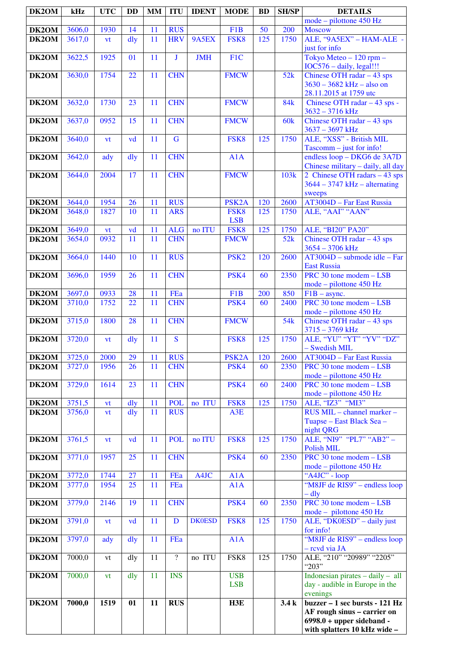| DK2OM          | kHz    | <b>UTC</b> | <b>DD</b>      | <b>MM</b> | <b>ITU</b>               | <b>IDENT</b>  | <b>MODE</b>              | <b>BD</b> | <b>SH/SP</b> | <b>DETAILS</b>                                                         |
|----------------|--------|------------|----------------|-----------|--------------------------|---------------|--------------------------|-----------|--------------|------------------------------------------------------------------------|
|                |        |            |                |           |                          |               |                          |           |              | mode – pilottone 450 Hz                                                |
| DK2OM          | 3606,0 | 1930       | 14             | 11        | <b>RUS</b>               |               | F <sub>1</sub> B         | 50        | 200          | <b>Moscow</b>                                                          |
| DK2OM          | 3617,0 | vt         | $\frac{d}{dy}$ | 11        | <b>HRV</b>               | 9A5EX         | FSK8                     | 125       | 1750         | ALE, "9A5EX" - HAM-ALE -                                               |
| DK2OM          | 3622,5 | 1925       | 01             | 11        | J                        | <b>JMH</b>    | F1C                      |           |              | just for info<br>Tokyo Meteo - 120 rpm -                               |
|                |        |            |                |           |                          |               |                          |           |              | IOC576 - daily, legal!!!                                               |
| DK2OM          | 3630,0 | 1754       | 22             | 11        | <b>CHN</b>               |               | <b>FMCW</b>              |           | 52k          | Chinese OTH radar $-43$ sps                                            |
|                |        |            |                |           |                          |               |                          |           |              | $3630 - 3682$ kHz – also on                                            |
|                |        |            |                |           |                          |               |                          |           |              | 28.11.2015 at 1759 utc                                                 |
| DK2OM          | 3632,0 | 1730       | 23             | 11        | <b>CHN</b>               |               | <b>FMCW</b>              |           | <b>84k</b>   | Chinese OTH radar - 43 sps -                                           |
|                |        |            |                |           |                          |               |                          |           |              | $3632 - 3716$ kHz                                                      |
| DK2OM          | 3637,0 | 0952       | 15             | 11        | <b>CHN</b>               |               | <b>FMCW</b>              |           | 60k          | Chinese OTH radar $-43$ sps                                            |
|                |        |            |                |           |                          |               |                          |           |              | $3637 - 3697$ kHz                                                      |
| DK2OM          | 3640,0 | vt         | vd             | 11        | $\overline{\mathbf{G}}$  |               | FSK8                     | 125       | 1750         | ALE, "XSS" - British MIL                                               |
| DK2OM          | 3642,0 | ady        | dly            | 11        | <b>CHN</b>               |               | A1A                      |           |              | Tascomm - just for info!<br>endless loop - DKG6 de 3A7D                |
|                |        |            |                |           |                          |               |                          |           |              | Chinese military - daily, all day                                      |
| DK2OM          | 3644,0 | 2004       | 17             | 11        | <b>CHN</b>               |               | <b>FMCW</b>              |           | 103k         | 2 Chinese OTH radars - 43 sps                                          |
|                |        |            |                |           |                          |               |                          |           |              | $3644 - 3747$ kHz - alternating                                        |
|                |        |            |                |           |                          |               |                          |           |              | sweeps                                                                 |
| DK2OM          | 3644,0 | 1954       | 26             | 11        | <b>RUS</b>               |               | PSK <sub>2</sub> A       | 120       | 2600         | AT3004D - Far East Russia                                              |
| DK2OM          | 3648,0 | 1827       | 10             | 11        | <b>ARS</b>               |               | FSK8                     | 125       | 1750         | ALE, "AAI" "AAN"                                                       |
|                |        |            |                |           |                          |               | <b>LSB</b>               |           |              |                                                                        |
| DK2OM          | 3649,0 | vt         | vd             | 11        | <b>ALG</b>               | no ITU        | FSK8                     | 125       | 1750         | ALE, "BI20" PA20"                                                      |
| DK2OM          | 3654,0 | 0932       | 11             | 11        | <b>CHN</b>               |               | <b>FMCW</b>              |           | 52k          | Chinese OTH radar $-43$ sps<br>$3654 - 3706$ kHz                       |
| DK2OM          | 3664,0 | 1440       | 10             | 11        | <b>RUS</b>               |               | PSK <sub>2</sub>         | 120       | 2600         | $AT3004D$ – submode idle – Far                                         |
|                |        |            |                |           |                          |               |                          |           |              | <b>East Russia</b>                                                     |
| DK2OM          | 3696,0 | 1959       | 26             | 11        | <b>CHN</b>               |               | PSK4                     | 60        | 2350         | PRC 30 tone modem - LSB                                                |
|                |        |            |                |           |                          |               |                          |           |              | mode - pilottone 450 Hz                                                |
| DK2OM          | 3697,0 | 0933       | 28             | 11        | FEa                      |               | F <sub>1</sub> B         | 200       | 850          | $F1B -$ async.                                                         |
| DK2OM          | 3710,0 | 1752       | 22             | 11        | <b>CHN</b>               |               | PSK4                     | 60        | 2400         | PRC 30 tone modem - LSB                                                |
|                |        |            |                |           |                          |               |                          |           |              | mode – pilottone 450 Hz                                                |
| DK2OM          | 3715,0 | 1800       | 28             | 11        | <b>CHN</b>               |               | <b>FMCW</b>              |           | 54k          | Chinese OTH radar $-43$ sps                                            |
| DK2OM          | 3720,0 | vt         | dly            | 11        | S                        |               | FSK8                     | 125       | 1750         | $3715 - 3769$ kHz<br>ALE, "YU" "YT" "YV" "DZ"                          |
|                |        |            |                |           |                          |               |                          |           |              | - Swedish MIL                                                          |
| DK2OM          | 3725,0 | 2000       | 29             | 11        | <b>RUS</b>               |               | PSK <sub>2</sub> A       | 120       | 2600         | AT3004D – Far East Russia                                              |
| DK2OM          | 3727,0 | 1956       | 26             | 11        | <b>CHN</b>               |               | PSK4                     | 60        | 2350         | PRC 30 tone modem - LSB                                                |
|                |        |            |                |           |                          |               |                          |           |              | mode – pilottone 450 Hz                                                |
| DK2OM          | 3729,0 | 1614       | 23             | 11        | <b>CHN</b>               |               | PSK4                     | 60        | 2400         | PRC 30 tone modem - LSB                                                |
|                |        |            |                |           |                          |               |                          |           |              | mode - pilottone 450 Hz                                                |
| DK2OM<br>DK2OM | 3751,5 | vt         | dly            | 11<br>11  | <b>POL</b>               | no ITU        | FSK8                     | 125       | 1750         | ALE, "IZ3" "MI3"                                                       |
|                | 3756,0 | vt         | dly            |           | <b>RUS</b>               |               | A3E                      |           |              | RUS MIL - channel marker -<br>Tuapse – East Black Sea –                |
|                |        |            |                |           |                          |               |                          |           |              | night QRG                                                              |
| DK2OM          | 3761,5 | vt         | vd             | 11        | <b>POL</b>               | no ITU        | FSK8                     | 125       | 1750         | ALE, "NI9" "PL7" "AB2" -                                               |
|                |        |            |                |           |                          |               |                          |           |              | <b>Polish MIL</b>                                                      |
| DK2OM          | 3771,0 | 1957       | 25             | 11        | <b>CHN</b>               |               | PSK4                     | 60        | 2350         | $\overline{\text{PRC 30}}$ tone modem - LSB                            |
|                |        |            |                |           |                          |               |                          |           |              | mode – pilottone 450 Hz                                                |
| DK2OM          | 3772,0 | 1744       | 27             | 11        | FEa                      | A4JC          | A1A                      |           |              | "A4JC" - loop                                                          |
| DK2OM          | 3777,0 | 1954       | 25             | 11        | FEa                      |               | A1A                      |           |              | "M8JF de RIS9" – endless loop                                          |
| DK2OM          | 3779,0 | 2146       | 19             | 11        | <b>CHN</b>               |               | PSK4                     | 60        | 2350         | $-$ dly<br>PRC 30 tone modem - LSB                                     |
|                |        |            |                |           |                          |               |                          |           |              | mode - pilottone 450 Hz                                                |
| DK2OM          | 3791,0 | <b>vt</b>  | vd             | 11        | D                        | <b>DK0ESD</b> | FSK8                     | 125       | 1750         | ALE, "DK0ESD" - daily just                                             |
|                |        |            |                |           |                          |               |                          |           |              | for info!                                                              |
| DK2OM          | 3797,0 | ady        | dly            | 11        | FEa                      |               | A1A                      |           |              | "M8JF de RIS9" – endless loop                                          |
|                |        |            |                |           |                          |               |                          |           |              | - revd via JA                                                          |
| DK2OM          | 7000,0 | vt         | dly            | 11        | $\overline{\mathcal{L}}$ | no ITU        | FSK8                     | 125       | 1750         | ALE, "210" "20989" "2205"                                              |
|                |        |            |                |           |                          |               |                          |           |              | "203"                                                                  |
| DK2OM          | 7000,0 | vt         | dly            | 11        | <b>INS</b>               |               | <b>USB</b><br><b>LSB</b> |           |              | Indonesian pirates $-$ daily $-$ all<br>day - audible in Europe in the |
|                |        |            |                |           |                          |               |                          |           |              | evenings                                                               |
| DK2OM          | 7000,0 | 1519       | 01             | 11        | <b>RUS</b>               |               | H3E                      |           | 3.4k         | buzzer - 1 sec bursts - 121 Hz                                         |
|                |        |            |                |           |                          |               |                          |           |              | AF rough sinus – carrier on                                            |
|                |        |            |                |           |                          |               |                          |           |              | $6998.0 + upper sideband -$                                            |
|                |        |            |                |           |                          |               |                          |           |              | with splatters 10 kHz wide -                                           |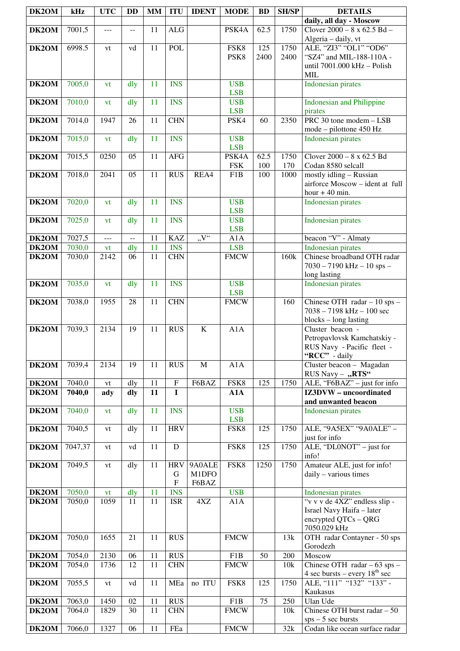| DK2OM              | kHz     | <b>UTC</b>        | DD                       | <b>MM</b> | <b>ITU</b>                | <b>IDENT</b>       | <b>MODE</b>               | <b>BD</b>       | <b>SH/SP</b> | <b>DETAILS</b>                                                                                       |
|--------------------|---------|-------------------|--------------------------|-----------|---------------------------|--------------------|---------------------------|-----------------|--------------|------------------------------------------------------------------------------------------------------|
|                    |         |                   |                          |           |                           |                    |                           |                 |              | daily, all day - Moscow                                                                              |
| DK2OM              | 7001,5  | ---               | $\overline{a}$           | 11        | ALG                       |                    | PSK4A                     | 62.5            | 1750         | Clover $2000 - 8 \times 62.5$ Bd $-$<br>Algeria - daily, vt                                          |
| DK2OM              | 6998.5  | vt                | vd                       | 11        | <b>POL</b>                |                    | FSK8                      | 125             | 1750         | ALE, "ZI3" "OL1" "OD6"                                                                               |
|                    |         |                   |                          |           |                           |                    | PSK8                      | 2400            | 2400         | "SZ4" and MIL-188-110A -                                                                             |
|                    |         |                   |                          |           |                           |                    |                           |                 |              | until 7001.000 kHz - Polish<br><b>MIL</b>                                                            |
| DK2OM              | 7005,0  | vt                | dly                      | 11        | <b>INS</b>                |                    | <b>USB</b>                |                 |              | <b>Indonesian pirates</b>                                                                            |
| DK2OM              | 7010,0  | vt                | $\frac{d}{dy}$           | 11        | <b>INS</b>                |                    | <b>LSB</b><br><b>USB</b>  |                 |              | <b>Indonesian and Philippine</b>                                                                     |
|                    |         |                   |                          |           |                           |                    | <b>LSB</b>                |                 |              | pirates                                                                                              |
| DK2OM              | 7014,0  | 1947              | 26                       | 11        | <b>CHN</b>                |                    | PSK4                      | 60              | 2350         | $\overline{\text{PRC 30}}$ tone modem - LSB                                                          |
|                    |         |                   |                          | 11        | <b>INS</b>                |                    |                           |                 |              | mode – pilottone 450 Hz                                                                              |
| DK2OM              | 7015,0  | vt                | dly                      |           |                           |                    | <b>USB</b><br><b>LSB</b>  |                 |              | <b>Indonesian pirates</b>                                                                            |
| DK2OM              | 7015,5  | 0250              | 05                       | 11        | <b>AFG</b>                |                    | PSK4A                     | 62.5            | 1750         | Clover $2000 - 8 \times 62.5$ Bd                                                                     |
|                    |         |                   |                          |           |                           |                    | <b>FSK</b>                | $100\,$         | 170          | Codan 8580 selcall                                                                                   |
| DK2OM              | 7018,0  | 2041              | 05                       | 11        | <b>RUS</b>                | REA4               | F1B                       | 100             | 1000         | mostly idling - Russian<br>airforce Moscow - ident at full                                           |
|                    |         |                   |                          |           |                           |                    |                           |                 |              | hour $+40$ min.                                                                                      |
| DK2OM              | 7020,0  | vt                | $\frac{d}{dy}$           | 11        | <b>INS</b>                |                    | <b>USB</b>                |                 |              | <b>Indonesian pirates</b>                                                                            |
| DK <sub>2</sub> OM | 7025,0  | vt                | dly                      | 11        | <b>INS</b>                |                    | <b>LSB</b><br><b>USB</b>  |                 |              | <b>Indonesian pirates</b>                                                                            |
|                    |         |                   |                          |           |                           |                    | <b>LSB</b>                |                 |              |                                                                                                      |
| DK2OM              | 7027,5  | $\overline{a}$    | $\overline{\phantom{a}}$ | 11        | <b>KAZ</b>                | $V^{\prime\prime}$ | A1A                       |                 |              | beacon "V" - Almaty                                                                                  |
| DK2OM              | 7030,0  | vt                | dly                      | 11        | <b>INS</b>                |                    | <b>LSB</b>                |                 |              | <b>Indonesian pirates</b>                                                                            |
| <b>DK2OM</b>       | 7030,0  | 2142              | 06                       | 11        | <b>CHN</b>                |                    | <b>FMCW</b>               |                 | 160k         | Chinese broadband OTH radar<br>$7030 - 7190$ kHz $- 10$ sps $-$                                      |
|                    |         |                   |                          |           |                           |                    |                           |                 |              | long lasting                                                                                         |
| DK2OM              | 7035,0  | vt                | dly                      | 11        | <b>INS</b>                |                    | <b>USB</b>                |                 |              | <b>Indonesian pirates</b>                                                                            |
| DK2OM              | 7038,0  | 1955              | 28                       | 11        | <b>CHN</b>                |                    | <b>LSB</b><br><b>FMCW</b> |                 | 160          | Chinese OTH radar $-10$ sps $-$                                                                      |
|                    |         |                   |                          |           |                           |                    |                           |                 |              | $7038 - 7198$ kHz $- 100$ sec                                                                        |
|                    |         |                   |                          |           |                           |                    |                           |                 |              | blocks - long lasting                                                                                |
| DK2OM              | 7039,3  | 2134              | 19                       | 11        | <b>RUS</b>                | $\overline{K}$     | A1A                       |                 |              | Cluster beacon -                                                                                     |
|                    |         |                   |                          |           |                           |                    |                           |                 |              | Petropavlovsk Kamchatskiy -<br>RUS Navy - Pacific fleet -                                            |
|                    |         |                   |                          |           |                           |                    |                           |                 |              | "RCC" - daily                                                                                        |
| DK2OM              | 7039,4  | 2134              | 19                       | 11        | <b>RUS</b>                | $\mathbf{M}$       | A1A                       |                 |              | Cluster beacon - Magadan                                                                             |
| DK2OM              | 7040,0  | vt                | dly                      | 11        | $\boldsymbol{\mathrm{F}}$ | F6BAZ              | FSK8                      | 125             | 1750         | RUS Navy - "RTS"<br>$\overline{\text{ALE}}$ , "F6BAZ" – just for info                                |
| DK2OM              | 7040,0  | ady               | dly                      | 11        | $\mathbf I$               |                    | A1A                       |                 |              | IZ3DVW - uncoordinated                                                                               |
|                    |         |                   |                          |           |                           |                    |                           |                 |              | and unwanted beacon                                                                                  |
| DK2OM              | 7040,0  | vt                | dly                      | 11        | <b>INS</b>                |                    | <b>USB</b><br><b>LSB</b>  |                 |              | <b>Indonesian pirates</b>                                                                            |
| DK2OM              | 7040,5  | vt                | dly                      | 11        | <b>HRV</b>                |                    | FSK8                      | 125             | 1750         | ALE, "9A5EX" "9A0ALE" -                                                                              |
|                    |         |                   |                          |           |                           |                    |                           |                 |              | just for info                                                                                        |
| DK2OM              | 7047,37 | vt                | vd                       | 11        | D                         |                    | FSK8                      | 125             | 1750         | ALE, "DL0NOT" – just for<br>info!                                                                    |
| DK2OM              | 7049,5  | vt                | dly                      | 11        | <b>HRV</b>                | 9A0ALE             | FSK8                      | 1250            | 1750         | Amateur ALE, just for info!                                                                          |
|                    |         |                   |                          |           | G                         | M1DFO              |                           |                 |              | daily - various times                                                                                |
| DK2OM              | 7050,0  | ${\bf v} {\bf t}$ | dly                      | 11        | ${\bf F}$<br><b>INS</b>   | F6BAZ              | <b>USB</b>                |                 |              | <b>Indonesian pirates</b>                                                                            |
| DK2OM              | 7050,0  | 1059              | 11                       | 11        | <b>ISR</b>                | 4XZ                | A1A                       |                 |              | "v v v de 4XZ" endless slip -                                                                        |
|                    |         |                   |                          |           |                           |                    |                           |                 |              | Israel Navy Haifa - later                                                                            |
|                    |         |                   |                          |           |                           |                    |                           |                 |              | encrypted QTCs - QRG                                                                                 |
| DK2OM              | 7050,0  | 1655              | 21                       | 11        | <b>RUS</b>                |                    | <b>FMCW</b>               |                 | 13k          | 7050.029 kHz<br>OTH radar Contayner - 50 sps                                                         |
|                    |         |                   |                          |           |                           |                    |                           |                 |              | Gorodezh                                                                                             |
| DK <sub>2</sub> OM | 7054,0  | 2130              | 06                       | 11        | <b>RUS</b>                |                    | F1B                       | 50              | 200          | Moscow                                                                                               |
| DK2OM              | 7054,0  | 1736              | 12                       | 11        | <b>CHN</b>                |                    | <b>FMCW</b>               |                 | 10k          | Chinese OTH radar $-63$ sps $-$<br>$4 \text{ sec bursts} - \text{every } 18^{\text{th}} \text{ sec}$ |
| DK2OM              | 7055,5  | vt                | vd                       | 11        | MEa                       | no ITU             | FSK8                      | 125             | 1750         | ALE, "111" "132" "133" -                                                                             |
|                    |         |                   |                          |           |                           |                    |                           |                 |              | Kaukasus                                                                                             |
| DK2OM              | 7063,0  | 1450              | 02                       | 11        | <b>RUS</b>                |                    | F1B                       | $\overline{75}$ | 250          | <b>Ulan Ude</b>                                                                                      |
| DK2OM              | 7064,0  | 1829              | 30                       | 11        | <b>CHN</b>                |                    | <b>FMCW</b>               |                 | 10k          | Chinese OTH burst radar $-50$<br>$sps - 5$ sec bursts                                                |
| DK2OM              | 7066,0  | 1327              | 06                       | 11        | FEa                       |                    | <b>FMCW</b>               |                 | 32k          | Codan like ocean surface radar                                                                       |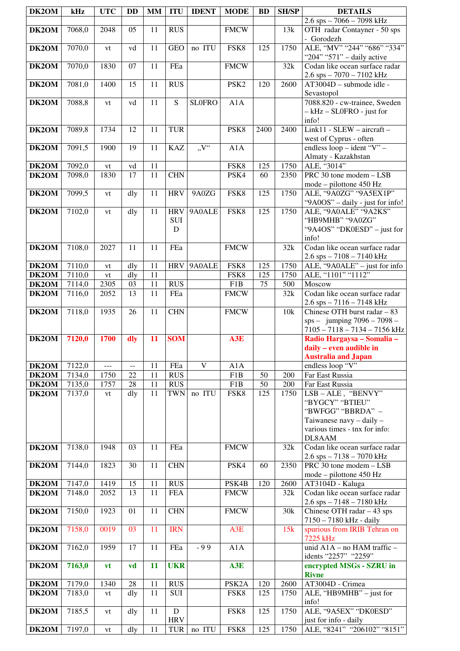| DK2OM          | kHz              | <b>UTC</b>     | DD                | <b>MM</b> | <b>ITU</b>        | <b>IDENT</b>  | <b>MODE</b>        | <b>BD</b> | <b>SH/SP</b> | <b>DETAILS</b>                                                    |
|----------------|------------------|----------------|-------------------|-----------|-------------------|---------------|--------------------|-----------|--------------|-------------------------------------------------------------------|
|                |                  |                |                   |           |                   |               |                    |           |              | $2.6$ sps $-7066 - 7098$ kHz                                      |
| DK2OM          | 7068,0           | 2048           | 05                | 11        | <b>RUS</b>        |               | <b>FMCW</b>        |           | 13k          | OTH radar Contayner - 50 sps<br>- Gorodezh                        |
| DK2OM          | 7070,0           | vt             | vd                | 11        | <b>GEO</b>        | no ITU        | FSK8               | 125       | 1750         | ALE, "MV" "244" "686" "334"<br>"204" "571" - daily active         |
| DK2OM          | 7070,0           | 1830           | 07                | 11        | FEa               |               | <b>FMCW</b>        |           | 32k          | Codan like ocean surface radar                                    |
| DK2OM          | 7081,0           | 1400           | 15                | 11        | <b>RUS</b>        |               | PSK <sub>2</sub>   | 120       | 2600         | $2.6$ sps $-7070 - 7102$ kHz<br>AT3004D - submode idle -          |
| DK2OM          | 7088,8           | vt             | vd                | 11        | S                 | <b>SLOFRO</b> | A1A                |           |              | Sevastopol<br>7088.820 - cw-trainee, Sweden                       |
|                |                  |                |                   |           |                   |               |                    |           |              | $- kHz - SL0FRO - just for$<br>info!                              |
| DK2OM          | 7089,8           | 1734           | 12                | 11        | <b>TUR</b>        |               | PSK8               | 2400      | 2400         | Link11 - SLEW - aircraft -<br>west of Cyprus - often              |
| DK2OM          | 7091,5           | 1900           | 19                | 11        | <b>KAZ</b>        | "V"           | A1A                |           |              | endless $loop - ident$ "V" -<br>Almaty - Kazakhstan               |
| DK2OM          | 7092,0           | vt             | vd                | 11        |                   |               | FSK8               | 125       | 1750         | ALE, "3014"                                                       |
| DK2OM          | 7098,0           | 1830           | 17                | 11        | <b>CHN</b>        |               | PSK4               | 60        | 2350         | $\overline{\text{PRC 30} }$ tone modem $\overline{\text{ } }$ LSB |
|                |                  |                |                   |           |                   |               |                    |           |              | mode – pilottone 450 Hz                                           |
| DK2OM          | 7099,5           | vt             | dly               | 11        | <b>HRV</b>        | 9A0ZG         | FSK8               | 125       | 1750         | ALE, "9A0ZG" "9A5EX1P"<br>"9A0OS" - daily - just for info!        |
| DK2OM          | 7102,0           | vt             | dly               | 11        | <b>HRV</b>        | 9A0ALE        | FSK8               | 125       | 1750         | ALE, "9A0ALE" "9A2KS"                                             |
|                |                  |                |                   |           | <b>SUI</b>        |               |                    |           |              | "HB9MHB" "9A0ZG"                                                  |
|                |                  |                |                   |           | D                 |               |                    |           |              | "9A4OS" "DK0ESD" – just for                                       |
|                | 7108,0           | 2027           | 11                | 11        | FEa               |               | <b>FMCW</b>        |           | 32k          | info!<br>Codan like ocean surface radar                           |
| DK2OM          |                  |                |                   |           |                   |               |                    |           |              | $2.6$ sps $- 7108 - 7140$ kHz                                     |
| DK2OM          | 7110,0           | vt             | dly               | 11        | <b>HRV</b>        | 9A0ALE        | FSK8               | 125       | 1750         | ALE, "9A0ALE" - just for info                                     |
| DK2OM<br>DK2OM | 7110,0<br>7114,0 | vt<br>2305     | dly<br>03         | 11<br>11  | <b>RUS</b>        |               | FSK8<br>F1B        | 125<br>75 | 1750<br>500  | ALE, "1101" "1112"<br>Moscow                                      |
| DK2OM          | 7116,0           | 2052           | 13                | 11        | FEa               |               | <b>FMCW</b>        |           | 32k          | Codan like ocean surface radar                                    |
|                |                  |                |                   |           |                   |               |                    |           |              | $2.6$ sps $- 7116 - 7148$ kHz                                     |
| DK2OM          | 7118,0           | 1935           | 26                | 11        | <b>CHN</b>        |               | <b>FMCW</b>        |           | 10k          | Chinese OTH burst radar - 83                                      |
|                |                  |                |                   |           |                   |               |                    |           |              | $sps - jumping 7096 - 7098 -$                                     |
|                |                  |                |                   |           |                   |               |                    |           |              | 7105 - 7118 - 7134 - 7156 kHz                                     |
| DK2OM          | 7120,0           | 1700           | dly               | 11        | <b>SOM</b>        |               | A3E                |           |              | Radio Hargaysa - Somalia -<br>daily - even audible in             |
|                |                  |                |                   |           |                   |               |                    |           |              | <b>Australia and Japan</b>                                        |
| DK2OM          | 7122,0           | $\overline{a}$ | $-$               | 11        | FEa               | $\mathbf{V}$  | A1A                |           |              | endless loop "V"                                                  |
| DK2OM          | 7134,0           | 1750           | 22                | 11        | <b>RUS</b>        |               | F <sub>1</sub> B   | 50        | 200          | Far East Russia                                                   |
| DK2OM          | 7135,0           | 1757           | 28                | 11        | <b>RUS</b>        |               | F1B                | 50        | 200          | Far East Russia                                                   |
| DK2OM          | 7137,0           | vt             | dly               | 11        | <b>TWN</b>        | no ITU        | FSK8               | 125       | 1750         | LSB-ALE, "BENVY"                                                  |
|                |                  |                |                   |           |                   |               |                    |           |              | "BYGCY" "BTIEU"                                                   |
|                |                  |                |                   |           |                   |               |                    |           |              | "BWFGG" "BBRDA" -                                                 |
|                |                  |                |                   |           |                   |               |                    |           |              | Taiwanese navy - daily -<br>various times - tnx for info:         |
|                |                  |                |                   |           |                   |               |                    |           |              | DL8AAM                                                            |
| DK2OM          | 7138,0           | 1948           | 03                | 11        | FEa               |               | <b>FMCW</b>        |           | 32k          | Codan like ocean surface radar                                    |
|                |                  |                |                   |           |                   |               |                    |           |              | $2.6$ sps $- 7138 - 7070$ kHz                                     |
| DK2OM          | 7144,0           | 1823           | 30                | 11        | <b>CHN</b>        |               | PSK4               | 60        | 2350         | PRC 30 tone modem - LSB                                           |
|                |                  |                |                   |           |                   |               |                    |           |              | mode – pilottone 450 Hz                                           |
| DK2OM          | 7147,0           | 1419           | 15                | 11        | <b>RUS</b>        |               | PSK4B              | 120       | 2600         | AT3104D - Kaluga                                                  |
| DK2OM          | 7148,0           | 2052           | 13                | 11        | <b>FEA</b>        |               | <b>FMCW</b>        |           | 32k          | Codan like ocean surface radar<br>$2.6$ sps $- 7148 - 7180$ kHz   |
| DK2OM          | 7150,0           | 1923           | 01                | 11        | <b>CHN</b>        |               | <b>FMCW</b>        |           | 30k          | Chinese OTH radar $-43$ sps                                       |
| DK2OM          | 7158,0           | 0019           | 03                | 11        | <b>IRN</b>        |               | A3E                |           | 15k          | 7150 - 7180 kHz - daily<br>spurious from IRIB Tehran on           |
| DK2OM          | 7162,0           | 1959           | 17                | 11        | FEa               | $-99$         | A1A                |           |              | 7225 kHz<br>unid $A1\overline{A - no}$ HAM traffic -              |
|                |                  |                |                   |           |                   |               |                    |           |              | idents "2257" "2259"                                              |
| DK2OM          | 7163,0           | <b>vt</b>      | vd                | 11        | <b>UKR</b>        |               | A3E                |           |              | encrypted MSGs - SZRU in<br><b>Rivne</b>                          |
| DK2OM          | 7179,0           | 1340           | 28                | 11        | <b>RUS</b>        |               | PSK <sub>2</sub> A | 120       | 2600         | AT3004D - Crimea                                                  |
| DK2OM          | 7183,0           | vt             | dly               | 11        | <b>SUI</b>        |               | FSK8               | 125       | 1750         | ALE, "HB9MHB" – just for                                          |
|                |                  |                |                   |           |                   |               |                    |           |              | info!                                                             |
| DK2OM          | 7185,5           | vt             | dly               | 11        | $\overline{D}$    |               | FSK8               | 125       | 1750         | ALE, "9A5EX" "DK0ESD"                                             |
| DK2OM          | 7197,0           | vt             | $\overline{d}$ ly | 11        | <b>HRV</b><br>TUR | no ITU        | FSK8               | 125       | 1750         | just for info - daily<br>ALE, "8241" "206102" "8151"              |
|                |                  |                |                   |           |                   |               |                    |           |              |                                                                   |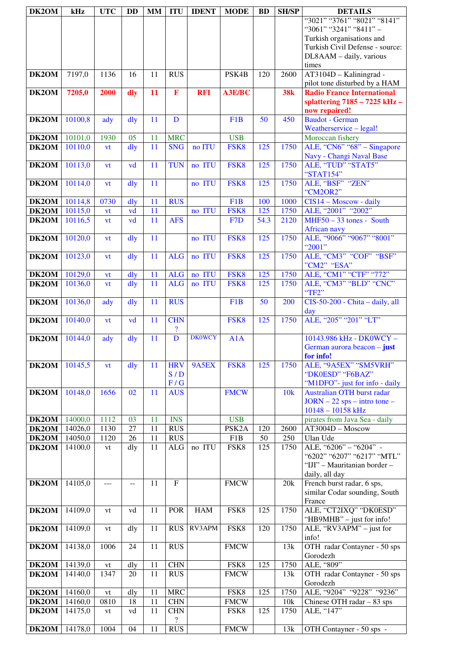| DK2OM          | kHz                | <b>UTC</b> | <b>DD</b>      | <b>MM</b> | <b>ITU</b>                 | <b>IDENT</b>  | <b>MODE</b>         | <b>BD</b>       | <b>SH/SP</b> | <b>DETAILS</b>                                                     |
|----------------|--------------------|------------|----------------|-----------|----------------------------|---------------|---------------------|-----------------|--------------|--------------------------------------------------------------------|
|                |                    |            |                |           |                            |               |                     |                 |              | "3021" "3761" "8021" "8141"                                        |
|                |                    |            |                |           |                            |               |                     |                 |              | "3061" "3241" "8411" -                                             |
|                |                    |            |                |           |                            |               |                     |                 |              | Turkish organisations and                                          |
|                |                    |            |                |           |                            |               |                     |                 |              | Turkish Civil Defense - source:                                    |
|                |                    |            |                |           |                            |               |                     |                 |              | DL8AAM - daily, various                                            |
|                |                    |            |                |           |                            |               |                     |                 |              | times                                                              |
| DK2OM          | 7197,0             | 1136       | 16             | 11        | <b>RUS</b>                 |               | PSK4B               | 120             | 2600         | AT3104D - Kaliningrad -                                            |
|                |                    |            |                |           |                            |               |                     |                 |              | pilot tone disturbed by a HAM<br><b>Radio France International</b> |
| DK2OM          | 7205,0             | 2000       | dly            | 11        | $\mathbf F$                | <b>RFI</b>    | A3E/BC              |                 | <b>38k</b>   | splattering $7185 - 7225$ kHz -                                    |
|                |                    |            |                |           |                            |               |                     |                 |              | now repaired!                                                      |
| DK2OM          | 10100,8            | ady        | dly            | 11        | D                          |               | F1B                 | $\overline{50}$ | 450          | <b>Baudot</b> - German                                             |
|                |                    |            |                |           |                            |               |                     |                 |              | Weatherservice - legal!                                            |
| DK2OM          | 10101,0            | 1930       | 05             | 11        | <b>MRC</b>                 |               | <b>USB</b>          |                 |              | Moroccan fishery                                                   |
| DK2OM          | 10110,0            | vt         | dly            | 11        | <b>SNG</b>                 | no ITU        | FSK8                | 125             | 1750         | ALE, "CN6" "68" – Singapore                                        |
|                |                    |            |                |           |                            |               |                     |                 |              | Navy - Changi Naval Base                                           |
| DK2OM          | 10113,0            | vt         | vd             | 11        | <b>TUN</b>                 | no ITU        | FSK8                | 125             | 1750         | ALE, "TUD" "STAT5"                                                 |
|                |                    |            |                |           |                            |               |                     |                 |              | "STAT154"                                                          |
| DK2OM          | 10114,0            | vt         | $\frac{d}{dy}$ | 11        |                            | no ITU        | FSK8                | 125             | 1750         | ALE, "BSF" "ZEN"                                                   |
|                |                    |            |                |           | <b>RUS</b>                 |               | F1B                 |                 | 1000         | "CM2OR2"                                                           |
| DK2OM<br>DK2OM | 10114,8<br>10115,0 | 0730       | dly<br>vd      | 11<br>11  |                            | no ITU        | FSK8                | 100<br>125      | 1750         | CIS14 - Moscow - daily<br>ALE, "2001" "2002"                       |
| DK2OM          | 10116,5            | vt<br>vt   | vd             | 11        | <b>AFS</b>                 |               | F <sub>7</sub> D    | 54.3            | 2120         | $MHF50 - 33$ tones - South                                         |
|                |                    |            |                |           |                            |               |                     |                 |              | <b>African navy</b>                                                |
| DK2OM          | 10120,0            | vt         | dly            | 11        |                            | no ITU        | FSK8                | 125             | 1750         | ALE, "9066" "9067" "8001"                                          |
|                |                    |            |                |           |                            |               |                     |                 |              | "2001"                                                             |
| DK2OM          | 10123,0            | vt         | $\frac{d}{dy}$ | 11        | <b>ALG</b>                 | no ITU        | FSK8                | 125             | 1750         | ALE, "CM3" "COF" "BSF"                                             |
|                |                    |            |                |           |                            |               |                     |                 |              | "CM2" "ESA"                                                        |
| DK2OM          | 10129,0            | <b>vt</b>  | dly            | 11        | <b>ALG</b>                 | no ITU        | FSK8                | 125             | 1750         | ALE, "CM1" "CTF" "772"                                             |
| DK2OM          | 10136,0            | vt         | dly            | 11        | <b>ALG</b>                 | no ITU        | FSK8                | 125             | 1750         | ALE, "CM3" "BLD" "CNC"                                             |
|                |                    |            |                |           |                            |               |                     |                 |              | "TF2"                                                              |
| DK2OM          | 10136,0            | ady        | dly            | 11        | <b>RUS</b>                 |               | F <sub>1</sub> B    | 50              | 200          | CIS-50-200 - Chita - daily, all                                    |
| DK2OM          | 10140,0            | vt         | vd             | 11        | <b>CHN</b>                 |               | FSK8                | 125             | 1750         | day<br>ALE, "205" "201" "LT"                                       |
|                |                    |            |                |           | $\boldsymbol{\mathcal{P}}$ |               |                     |                 |              |                                                                    |
| DK2OM          | 10144,0            | ady        | dly            | 11        | D                          | <b>DK0WCY</b> | A1A                 |                 |              | 10143.986 kHz - DK0WCY -                                           |
|                |                    |            |                |           |                            |               |                     |                 |              | German aurora beacon - just                                        |
|                |                    |            |                |           |                            |               |                     |                 |              | for info!                                                          |
| DK2OM          | 10145,5            | vt         | dly            | 11        | <b>HRV</b>                 | 9A5EX         | FSK8                | 125             | 1750         | ALE, "9A5EX" "SM5VRH"                                              |
|                |                    |            |                |           | S/D                        |               |                     |                 |              | "DK0ESD" "F6BAZ"                                                   |
|                |                    |            |                |           | F/G                        |               |                     |                 |              | "M1DFO"- just for info - daily                                     |
| DK2OM          | 10148,0            | 1656       | 02             | 11        | <b>AUS</b>                 |               | <b>FMCW</b>         |                 | 10k          | Australian OTH burst radar                                         |
|                |                    |            |                |           |                            |               |                     |                 |              | $JORN - 22$ sps – intro tone –<br>10148 - 10158 kHz                |
| DK2OM          | 14000,0            | 1112       | 03             | 11        | <b>INS</b>                 |               | <b>USB</b>          |                 |              | pirates from Java Sea - daily                                      |
| DK2OM          | 14026,0            | 1130       | 27             | 11        | <b>RUS</b>                 |               | PSK <sub>2</sub> A  | 120             | 2600         | AT3004D - Moscow                                                   |
| DK2OM          | 14050,0            | 1120       | 26             | 11        | <b>RUS</b>                 |               | F1B                 | 50              | 250          | Ulan Ude                                                           |
| DK2OM          | 14100,0            | vt         | dly            | 11        | $\rm ALG$                  | no ITU        | FSK8                | 125             | 1750         | ALE, "6206" - "6204" -                                             |
|                |                    |            |                |           |                            |               |                     |                 |              | "6202" "6207" "6217" "MTL"                                         |
|                |                    |            |                |           |                            |               |                     |                 |              | "IJI" - Mauritanian border -                                       |
|                |                    |            |                |           |                            |               |                     |                 |              | daily, all day                                                     |
| DK2OM          | 14105,0            | $---$      | $\sim$ $\sim$  | 11        | $\mathbf F$                |               | <b>FMCW</b>         |                 | 20k          | French burst radar, 6 sps,                                         |
|                |                    |            |                |           |                            |               |                     |                 |              | similar Codar sounding, South                                      |
| DK2OM          | 14109,0            | vt         | vd             | 11        | <b>POR</b>                 | <b>HAM</b>    | FSK8                | 125             | 1750         | France<br>ALE, "CT2IXQ" "DK0ESD"                                   |
|                |                    |            |                |           |                            |               |                     |                 |              | "HB9MHB" - just for info!                                          |
| DK2OM          | 14109,0            | vt         | dly            | 11        | <b>RUS</b>                 | RV3APM        | FSK8                | 120             | 1750         | ALE, "RV3APM" – just for                                           |
|                |                    |            |                |           |                            |               |                     |                 |              | info!                                                              |
| DK2OM          | 14138,0            | 1006       | 24             | 11        | <b>RUS</b>                 |               | <b>FMCW</b>         |                 | 13k          | OTH radar Contayner - 50 sps                                       |
|                |                    |            |                |           |                            |               |                     |                 |              | Gorodezh                                                           |
| DK2OM          | 14139,0            | vt         | dly            | 11        | <b>CHN</b>                 |               | FSK8                | 125             | 1750         | ALE, "809"                                                         |
| DK2OM          | 14140,0            | 1347       | 20             | 11        | <b>RUS</b>                 |               | <b>FMCW</b>         |                 | 13k          | OTH radar Contayner - 50 sps                                       |
|                |                    |            |                |           |                            |               |                     |                 |              | Gorodezh<br>ALE, "9204" "9228" "9236"                              |
| DK2OM<br>DK2OM | 14160,0<br>14160,0 | vt<br>0810 | dly<br>18      | 11<br>11  | <b>MRC</b><br><b>CHN</b>   |               | FSK8<br><b>FMCW</b> | 125             | 1750<br>10k  | Chinese OTH radar $-83$ sps                                        |
| DK2OM          | 14175,0            | vt         | vd             | 11        | <b>CHN</b>                 |               | FSK8                | 125             | 1750         | ALE, "147"                                                         |
|                |                    |            |                |           | $\overline{\mathcal{L}}$   |               |                     |                 |              |                                                                    |
| DK2OM          | 14178,0            | 1004       | 04             | 11        | <b>RUS</b>                 |               | <b>FMCW</b>         |                 | 13k          | OTH Contayner - 50 sps -                                           |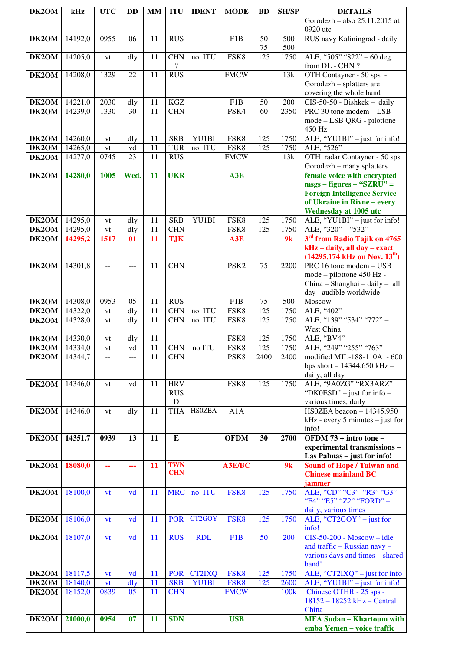| DK2OM                           | kHz                | <b>UTC</b>                                    | <b>DD</b> | <b>MM</b> | <b>ITU</b>               | <b>IDENT</b>    | <b>MODE</b>      | <b>BD</b>   | <b>SH/SP</b>     | <b>DETAILS</b>                                                  |
|---------------------------------|--------------------|-----------------------------------------------|-----------|-----------|--------------------------|-----------------|------------------|-------------|------------------|-----------------------------------------------------------------|
|                                 |                    |                                               |           |           |                          |                 |                  |             |                  | Gorodezh - also 25.11.2015 at                                   |
|                                 |                    |                                               |           |           |                          |                 |                  |             |                  | 0920 utc                                                        |
| DK2OM                           | 14192,0            | 0955                                          | 06        | 11        | <b>RUS</b>               |                 | F <sub>1</sub> B | 50          | 500              | RUS navy Kaliningrad - daily                                    |
|                                 |                    |                                               |           |           |                          |                 |                  | 75          | 500              |                                                                 |
| DK2OM                           | 14205,0            | vt                                            | dly       | 11        | <b>CHN</b><br>?          | no ITU          | FSK8             | 125         | 1750             | ALE, "505" "822" - 60 deg.                                      |
| DK2OM                           | 14208,0            | 1329                                          | 22        | 11        | <b>RUS</b>               |                 | <b>FMCW</b>      |             | 13k              | from DL - CHN?<br>OTH Contayner - 50 sps -                      |
|                                 |                    |                                               |           |           |                          |                 |                  |             |                  | Gorodezh - splatters are                                        |
|                                 |                    |                                               |           |           |                          |                 |                  |             |                  | covering the whole band                                         |
| DK2OM                           | 14221,0            | 2030                                          | dly       | 11        | <b>KGZ</b>               |                 | F <sub>1</sub> B | 50          | 200              | CIS-50-50 - Bishkek - daily                                     |
| DK2OM                           | 14239,0            | 1330                                          | 30        | 11        | <b>CHN</b>               |                 | PSK4             | 60          | 2350             | PRC 30 tone modem - LSB                                         |
|                                 |                    |                                               |           |           |                          |                 |                  |             |                  | mode - LSB QRG - pilottone                                      |
|                                 |                    |                                               |           |           |                          |                 |                  |             |                  | 450 Hz                                                          |
| DK2OM<br>DK2OM                  | 14260,0<br>14265,0 | vt                                            | dly<br>vd | 11<br>11  | <b>SRB</b><br>TUR        | YU1BI<br>no ITU | FSK8<br>FSK8     | 125<br>125  | 1750<br>1750     | ALE, "YU1BI" - just for info!<br>ALE, "526"                     |
| DK2OM                           | 14277,0            | vt<br>0745                                    | 23        | 11        | <b>RUS</b>               |                 | <b>FMCW</b>      |             | 13k              | OTH radar Contayner - 50 sps                                    |
|                                 |                    |                                               |           |           |                          |                 |                  |             |                  | Gorodezh - many splatters                                       |
| DK2OM                           | 14280,0            | 1005                                          | Wed.      | 11        | <b>UKR</b>               |                 | A3E              |             |                  | female voice with encrypted                                     |
|                                 |                    |                                               |           |           |                          |                 |                  |             |                  | $msgs - figures - "SZRU" =$                                     |
|                                 |                    |                                               |           |           |                          |                 |                  |             |                  | <b>Foreign Intelligence Service</b>                             |
|                                 |                    |                                               |           |           |                          |                 |                  |             |                  | of Ukraine in Rivne - every                                     |
| DK2OM                           | 14295,0            | vt                                            | dly       | 11        | <b>SRB</b>               | YU1BI           | FSK8             | 125         | 1750             | <b>Wednesday at 1005 utc</b><br>ALE, "YU1BI" - just for info!   |
| DK2OM                           | 14295,0            | vt                                            | dly       | 11        | <b>CHN</b>               |                 | FSK8             | 125         | 1750             | ALE, "320" - "532"                                              |
| DK2OM                           | 14295,2            | 1517                                          | 01        | 11        | <b>TJK</b>               |                 | A3E              |             | 9k               | 3 <sup>rd</sup> from Radio Tajik on 4765                        |
|                                 |                    |                                               |           |           |                          |                 |                  |             |                  | kHz - daily, all day - exact                                    |
|                                 |                    |                                               |           |           |                          |                 |                  |             |                  | $(14295.174 \text{ kHz on Nov. } 13^{\text{th}})$               |
| DK2OM                           | 14301,8            | $\mathord{\hspace{1pt}\text{--}\hspace{1pt}}$ | $---$     | 11        | <b>CHN</b>               |                 | PSK <sub>2</sub> | 75          | 2200             | PRC 16 tone modem - USB                                         |
|                                 |                    |                                               |           |           |                          |                 |                  |             |                  | mode - pilottone 450 Hz -                                       |
|                                 |                    |                                               |           |           |                          |                 |                  |             |                  | China - Shanghai - daily - all<br>day - audible worldwide       |
| DK2OM                           | 14308,0            | 0953                                          | 05        | 11        | <b>RUS</b>               |                 | F <sub>1</sub> B | 75          | 500              | Moscow                                                          |
| DK2OM                           | 14322,0            | vt                                            | dly       | 11        | <b>CHN</b>               | no ITU          | FSK8             | 125         | 1750             | ALE, "402"                                                      |
| DK2OM                           | 14328,0            | vt                                            | dly       | 11        | <b>CHN</b>               | no ITU          | FSK8             | 125         | 1750             | ALE, "139" "534" "772" -                                        |
|                                 |                    |                                               |           |           |                          |                 |                  |             |                  | West China                                                      |
| DK2OM                           | 14330,0            | vt                                            | dly       | 11        |                          |                 | FSK8             | 125         | 1750             | ALE, "BV4"                                                      |
| <b>DK2OM</b>   14334,0<br>DK2OM | 14344,7            | ${\rm vt}$                                    | vd        | 11<br>11  | <b>CHN</b><br><b>CHN</b> | no ITU          | FSK8<br>PSK8     | 125<br>2400 | 1750<br>2400     | ALE, "249" "255" "763"<br>modified MIL-188-110A - 600           |
|                                 |                    | $\mathord{\hspace{1pt}\text{--}\hspace{1pt}}$ | $---$     |           |                          |                 |                  |             |                  | bps short $- 14344.650$ kHz $-$                                 |
|                                 |                    |                                               |           |           |                          |                 |                  |             |                  | daily, all day                                                  |
| DK2OM                           | 14346,0            | vt                                            | vd        | 11        | <b>HRV</b>               |                 | FSK8             | 125         | 1750             | ALE, "9A0ZG" "RX3ARZ"                                           |
|                                 |                    |                                               |           |           | <b>RUS</b>               |                 |                  |             |                  | "DK0ESD" – just for info –                                      |
|                                 |                    |                                               |           |           | ${\bf D}$                |                 |                  |             |                  | various times, daily                                            |
| DK2OM                           | 14346,0            | vt                                            | dly       | 11        | <b>THA</b>               | <b>HSOZEA</b>   | A1A              |             |                  | HS0ZEA beacon - 14345.950                                       |
|                                 |                    |                                               |           |           |                          |                 |                  |             |                  | $kHz$ - every 5 minutes – just for<br>info!                     |
| DK2OM                           | 14351,7            | 0939                                          | 13        | 11        | E                        |                 | <b>OFDM</b>      | 30          | 2700             | OFDM 73 + intro tone -                                          |
|                                 |                    |                                               |           |           |                          |                 |                  |             |                  | experimental transmissions-                                     |
|                                 |                    |                                               |           |           |                          |                 |                  |             |                  | Las Palmas - just for info!                                     |
| DK2OM                           | 18080,0            | 44                                            | ---       | 11        | <b>TWN</b><br><b>CHN</b> |                 | <b>A3E/BC</b>    |             | 9k               | <b>Sound of Hope / Taiwan and</b><br><b>Chinese mainland BC</b> |
|                                 |                    |                                               |           |           |                          |                 |                  |             |                  | jammer                                                          |
| DK2OM                           | 18100,0            | vt                                            | vd        | 11        | <b>MRC</b>               | no ITU          | FSK8             | 125         | 1750             | ALE, "CD" "C3" "R3" "G3"                                        |
|                                 |                    |                                               |           |           |                          |                 |                  |             |                  | "E4" "E5" "Z2" "FORD" -                                         |
|                                 |                    |                                               |           |           |                          |                 |                  |             |                  | daily, various times                                            |
| DK2OM                           | 18106,0            | vt                                            | vd        | 11        | <b>POR</b>               | CT2GOY          | FSK8             | 125         | 1750             | ALE, "CT2GOY" $-$ just for                                      |
|                                 | 18107,0            |                                               |           | 11        | <b>RUS</b>               | <b>RDL</b>      | F1B              | 50          | 200              | info!<br>$CIS-50-200$ - Moscow - idle                           |
| DK2OM                           |                    | vt                                            | vd        |           |                          |                 |                  |             |                  | and traffic - Russian navy -                                    |
|                                 |                    |                                               |           |           |                          |                 |                  |             |                  | various days and times - shared                                 |
|                                 |                    |                                               |           |           |                          |                 |                  |             |                  | band!                                                           |
| DK2OM                           | 18117,5            | vt                                            | vd        | 11        | <b>POR</b>               | <b>CT2IXQ</b>   | FSK8             | 125         | 1750             | ALE, "CT2IXQ" - just for info                                   |
| DK2OM                           | 18140,0            | vt                                            | dly       | 11        | <b>SRB</b>               | <b>YU1BI</b>    | FSK8             | 125         | 2600             | ALE, "YU1BI" - just for info!                                   |
| DK2OM                           | 18152,0            | 0839                                          | 05        | 11        | <b>CHN</b>               |                 | <b>FMCW</b>      |             | 100 <sub>k</sub> | Chinese OTHR - 25 sps -                                         |
|                                 |                    |                                               |           |           |                          |                 |                  |             |                  | 18152 - 18252 kHz - Central<br>China                            |
| DK2OM                           | 21000,0            | 0954                                          | 07        | 11        | <b>SDN</b>               |                 | <b>USB</b>       |             |                  | <b>MFA Sudan - Khartoum with</b>                                |
|                                 |                    |                                               |           |           |                          |                 |                  |             |                  | emba Yemen - voice traffic                                      |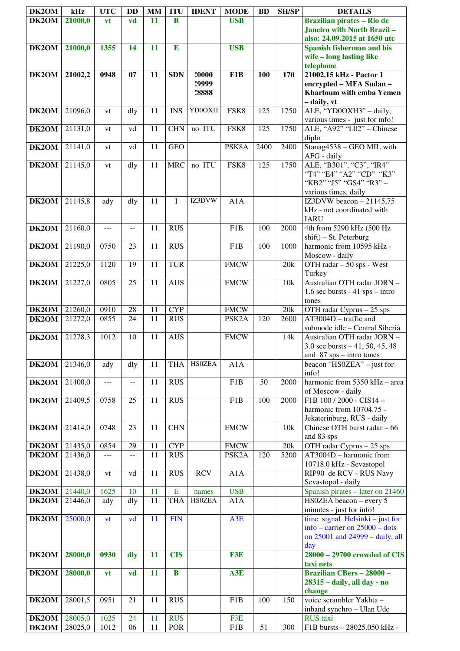| DK2OM          | kHz                | <b>UTC</b>   | DD           | <b>MM</b>       | <b>ITU</b>     | <b>IDENT</b>  | <b>MODE</b>                       | <b>BD</b> | <b>SH/SP</b> | <b>DETAILS</b>                                                  |
|----------------|--------------------|--------------|--------------|-----------------|----------------|---------------|-----------------------------------|-----------|--------------|-----------------------------------------------------------------|
| DK2OM          | 21000,0            | vt           | vd           | 11              | B              |               | <b>USB</b>                        |           |              | <b>Brazilian pirates - Rio de</b>                               |
|                |                    |              |              |                 |                |               |                                   |           |              | Janeiro with North Brazil-                                      |
|                |                    |              |              |                 |                |               |                                   |           |              | also: 24.09.2015 at 1650 utc                                    |
| DK2OM          | 21000,0            | 1355         | 14           | 11              | E              |               | <b>USB</b>                        |           |              | <b>Spanish fisherman and his</b><br>wife - long lasting like    |
|                |                    |              |              |                 |                |               |                                   |           |              | telephone                                                       |
| DK2OM          | 21002,2            | 0948         | 07           | 11              | <b>SDN</b>     | !0000         | F1B                               | 100       | 170          | 21002.15 kHz - Pactor 1                                         |
|                |                    |              |              |                 |                | !9999         |                                   |           |              | encrypted - MFA Sudan -                                         |
|                |                    |              |              |                 |                | !8888         |                                   |           |              | Khartoum with emba Yemen<br>- daily, vt                         |
| DK2OM          | 21096,0            | vt           | dly          | 11              | <b>INS</b>     | YD0OXH        | FSK8                              | 125       | 1750         | ALE, "YD0OXH3" - daily,                                         |
|                |                    |              |              |                 |                |               |                                   |           |              | various times - just for info!                                  |
| DK2OM          | 21131,0            | vt           | vd           | 11              | <b>CHN</b>     | no ITU        | FSK8                              | 125       | 1750         | ALE, "A92" "L02" - Chinese                                      |
| DK2OM          | 21141,0            | vt           | vd           | 11              | <b>GEO</b>     |               | PSK8A                             | 2400      | 2400         | diplo<br>Stanag4538 - GEO MIL with                              |
|                |                    |              |              |                 |                |               |                                   |           |              | AFG - daily                                                     |
| DK2OM          | 21145,0            | vt           | dly          | 11              | <b>MRC</b>     | no ITU        | FSK8                              | 125       | 1750         | ALE, "B301", "C3", "IR4"                                        |
|                |                    |              |              |                 |                |               |                                   |           |              | "T4" "E4" "A2" "CD" "K3"<br>"KB2" "J5" "GS4" "R3" -             |
|                |                    |              |              |                 |                |               |                                   |           |              | various times, daily                                            |
| DK2OM          | 21145,8            | ady          | dly          | 11              | L              | IZ3DVW        | A1A                               |           |              | IZ3DVW beacon $-21145,75$                                       |
|                |                    |              |              |                 |                |               |                                   |           |              | kHz - not coordinated with                                      |
| DK2OM          | 21160,0            | ---          | $-$          | 11              | <b>RUS</b>     |               | F <sub>1</sub> B                  | 100       | 2000         | <b>IARU</b><br>4th from 5290 kHz (500 Hz                        |
|                |                    |              |              |                 |                |               |                                   |           |              | $shift$ ) – St. Peterburg                                       |
| DK2OM          | 21190,0            | 0750         | 23           | 11              | <b>RUS</b>     |               | F1B                               | 100       | 1000         | harmonic from 10595 kHz -                                       |
|                |                    |              |              |                 |                |               |                                   |           |              | Moscow - daily                                                  |
| DK2OM          | 21225,0            | 1120         | 19           | 11              | <b>TUR</b>     |               | <b>FMCW</b>                       |           | 20k          | OTH radar - 50 sps - West<br>Turkey                             |
| DK2OM          | 21227,0            | 0805         | 25           | 11              | <b>AUS</b>     |               | <b>FMCW</b>                       |           | 10k          | Australian OTH radar JORN -                                     |
|                |                    |              |              |                 |                |               |                                   |           |              | 1.6 sec bursts $-41$ sps $-$ intro                              |
|                |                    |              |              | $\overline{11}$ | <b>CYP</b>     |               |                                   |           |              | tones                                                           |
| DK2OM<br>DK2OM | 21260,0<br>21272,0 | 0910<br>0855 | 28<br>24     | 11              | <b>RUS</b>     |               | <b>FMCW</b><br>PSK <sub>2</sub> A | 120       | 20k<br>2600  | $\overline{OT}H$ radar Cyprus - 25 sps<br>AT3004D - traffic and |
|                |                    |              |              |                 |                |               |                                   |           |              | submode idle - Central Siberia                                  |
| DK2OM          | 21278,3            | 1012         | 10           | 11              | <b>AUS</b>     |               | <b>FMCW</b>                       |           | 14k          | Australian OTH radar JORN -                                     |
|                |                    |              |              |                 |                |               |                                   |           |              | 3.0 sec bursts $-41$ , 50, 45, 48<br>and $87$ sps – intro tones |
| DK2OM          | 21346,0            | ady          | dly          | 11              | <b>THA</b>     | <b>HSOZEA</b> | A1A                               |           |              | beacon "HS0ZEA" $-$ just for                                    |
|                |                    |              |              |                 |                |               |                                   |           |              | info!                                                           |
| DK2OM          | 21400,0            | $ -$         | $\mathbf{u}$ | 11              | <b>RUS</b>     |               | F1B                               | 50        | 2000         | harmonic from 5350 kHz - area                                   |
| DK2OM          | 21409,5            | 0758         | 25           | 11              | <b>RUS</b>     |               | F1B                               | 100       | 2000         | of Moscow - daily<br>F1B 100/2000 - CIS14 -                     |
|                |                    |              |              |                 |                |               |                                   |           |              | harmonic from 10704.75 -                                        |
|                |                    |              |              |                 |                |               |                                   |           |              | Jekaterinburg, RUS - daily                                      |
| DK2OM          | 21414,0            | 0748         | 23           | 11              | <b>CHN</b>     |               | <b>FMCW</b>                       |           | 10k          | Chinese OTH burst radar - 66<br>and 83 sps                      |
| DK2OM          | 21435,0            | 0854         | 29           | 11              | <b>CYP</b>     |               | <b>FMCW</b>                       |           | 20k          | OTH radar Cyprus $-25$ sps                                      |
| DK2OM          | 21436,0            | ---          | $- -$        | 11              | <b>RUS</b>     |               | PSK <sub>2</sub> A                | 120       | 5200         | AT3004D - harmonic from                                         |
| DK2OM          | 21438,0            | vt           | vd           | 11              | <b>RUS</b>     | <b>RCV</b>    | A1A                               |           |              | 10718.0 kHz - Sevastopol<br>RIP90 de RCV - RUS Navy             |
|                |                    |              |              |                 |                |               |                                   |           |              | Sevastopol - daily                                              |
| DK2OM          | 21440,0            | 1625         | 10           | 11              | $\overline{E}$ | names         | <b>USB</b>                        |           |              | Spanish pirates - later on 21460                                |
| DK2OM          | 21446,0            | ady          | dly          | 11              | <b>THA</b>     | <b>HSOZEA</b> | A1A                               |           |              | HS0ZEA beacon - every 5                                         |
| DK2OM          | 25000,0            | vt           | vd           | 11              | <b>FIN</b>     |               | A3E                               |           |              | minutes - just for info!<br>time signal Helsinki $-$ just for   |
|                |                    |              |              |                 |                |               |                                   |           |              | info – carrier on $25000$ – dots                                |
|                |                    |              |              |                 |                |               |                                   |           |              | on 25001 and 24999 - daily, all                                 |
|                |                    |              |              | 11              | <b>CIS</b>     |               |                                   |           |              | day<br>28000 - 29700 crowded of CIS                             |
| DK2OM          | 28000,0            | 0930         | dly          |                 |                |               | F3E                               |           |              | taxi nets                                                       |
| DK2OM          | 28000,0            | <b>vt</b>    | vd           | 11              | $\bf{B}$       |               | A3E                               |           |              | <b>Brazilian CBers - 28000 -</b>                                |
|                |                    |              |              |                 |                |               |                                   |           |              | 28315 - daily, all day - no                                     |
| DK2OM          | 28001,5            | 0951         | 21           | 11              | <b>RUS</b>     |               | F1B                               | 100       | 150          | change<br>voice scrambler Yakhta -                              |
|                |                    |              |              |                 |                |               |                                   |           |              | inband synchro - Ulan Ude                                       |
| DK2OM          | 28005,0            | 1025         | 24           | 11              | <b>RUS</b>     |               | F3E                               |           |              | <b>RUS</b> taxi                                                 |
| DK2OM          | 28025,0            | 1012         | 06           | 11              | <b>POR</b>     |               | F1B                               | 51        | 300          | F1B bursts - 28025.050 kHz -                                    |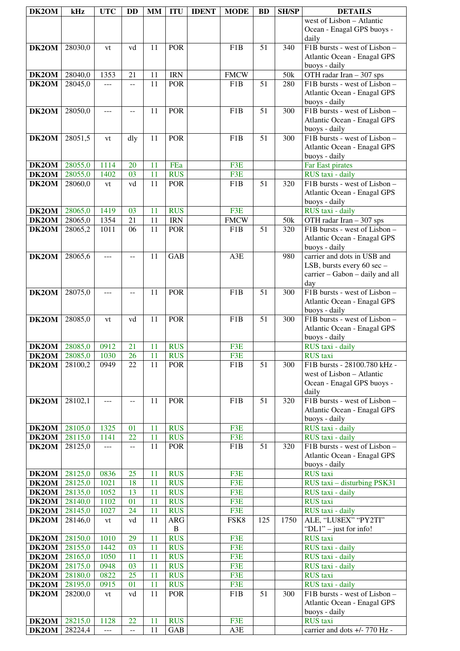| DK2OM                        | kHz                | <b>UTC</b>          | DD                       | <b>MM</b> | <b>ITU</b>               | <b>IDENT</b> | <b>MODE</b>                     | <b>BD</b>       | <b>SH/SP</b> | <b>DETAILS</b>                                               |
|------------------------------|--------------------|---------------------|--------------------------|-----------|--------------------------|--------------|---------------------------------|-----------------|--------------|--------------------------------------------------------------|
|                              |                    |                     |                          |           |                          |              |                                 |                 |              | west of Lisbon - Atlantic                                    |
|                              |                    |                     |                          |           |                          |              |                                 |                 |              | Ocean - Enagal GPS buoys -                                   |
|                              |                    |                     |                          |           |                          |              |                                 |                 |              | daily                                                        |
| DK2OM                        | 28030,0            | vt                  | vd                       | 11        | <b>POR</b>               |              | F <sub>1</sub> B                | 51              | 340          | F1B bursts - west of Lisbon -<br>Atlantic Ocean - Enagal GPS |
|                              |                    |                     |                          |           |                          |              |                                 |                 |              | buoys - daily                                                |
| <b>DK2OM</b>                 | 28040,0            | 1353                | 21                       | 11        | <b>IRN</b>               |              | <b>FMCW</b>                     |                 | 50k          | OTH radar Iran - 307 sps                                     |
| DK2OM                        | 28045,0            | ---                 | $-$                      | 11        | <b>POR</b>               |              | F1B                             | 51              | 280          | F1B bursts - west of Lisbon -                                |
|                              |                    |                     |                          |           |                          |              |                                 |                 |              | Atlantic Ocean - Enagal GPS                                  |
| DK2OM                        | 28050,0            | ---                 |                          | 11        | <b>POR</b>               |              | F <sub>1</sub> B                | 51              | 300          | buoys - daily<br>F1B bursts - west of Lisbon -               |
|                              |                    |                     |                          |           |                          |              |                                 |                 |              | Atlantic Ocean - Enagal GPS                                  |
|                              |                    |                     |                          |           |                          |              |                                 |                 |              | buoys - daily                                                |
| DK2OM                        | 28051,5            | vt                  | dly                      | 11        | <b>POR</b>               |              | F <sub>1</sub> B                | $\overline{51}$ | 300          | F1B bursts - west of Lisbon -                                |
|                              |                    |                     |                          |           |                          |              |                                 |                 |              | Atlantic Ocean - Enagal GPS                                  |
| $\overline{D}K2OM$           | 28055,0            | 1114                | 20                       | 11        | FEa                      |              | F3E                             |                 |              | buoys - daily<br>Far East pirates                            |
| DK2OM                        | 28055,0            | 1402                | 03                       | 11        | <b>RUS</b>               |              | F3E                             |                 |              | RUS taxi - daily                                             |
| DK2OM                        | 28060,0            | vt                  | vd                       | 11        | <b>POR</b>               |              | F <sub>1</sub> B                | 51              | 320          | F1B bursts - west of Lisbon -                                |
|                              |                    |                     |                          |           |                          |              |                                 |                 |              | Atlantic Ocean - Enagal GPS                                  |
|                              |                    |                     |                          |           |                          |              |                                 |                 |              | buoys - daily                                                |
| DK2OM                        | 28065,0            | 1419                | 03                       | 11        | <b>RUS</b>               |              | F3E                             |                 |              | RUS taxi - daily                                             |
| DK2OM<br>DK <sub>2</sub> OM  | 28065,0<br>28065,2 | 1354<br>1011        | 21<br>06                 | 11<br>11  | <b>IRN</b><br><b>POR</b> |              | <b>FMCW</b><br>F <sub>1</sub> B | 51              | 50k<br>320   | OTH radar Iran - 307 sps<br>F1B bursts - west of Lisbon -    |
|                              |                    |                     |                          |           |                          |              |                                 |                 |              | Atlantic Ocean - Enagal GPS                                  |
|                              |                    |                     |                          |           |                          |              |                                 |                 |              | buoys - daily                                                |
| DK2OM                        | 28065,6            | ---                 | $-$                      | 11        | <b>GAB</b>               |              | A3E                             |                 | 980          | carrier and dots in USB and                                  |
|                              |                    |                     |                          |           |                          |              |                                 |                 |              | LSB, bursts every 60 sec -                                   |
|                              |                    |                     |                          |           |                          |              |                                 |                 |              | carrier - Gabon - daily and all<br>day                       |
| DK2OM                        | 28075,0            | ---                 | $-$                      | 11        | <b>POR</b>               |              | F <sub>1</sub> B                | 51              | 300          | F1B bursts - west of Lisbon -                                |
|                              |                    |                     |                          |           |                          |              |                                 |                 |              | Atlantic Ocean - Enagal GPS                                  |
|                              |                    |                     |                          |           |                          |              |                                 |                 |              | buoys - daily                                                |
| DK2OM                        | 28085,0            | vt                  | vd                       | 11        | <b>POR</b>               |              | F1B                             | 51              | 300          | F1B bursts - west of Lisbon -                                |
|                              |                    |                     |                          |           |                          |              |                                 |                 |              | Atlantic Ocean - Enagal GPS<br>buoys - daily                 |
| <b>DK2OM</b> 28085,0         |                    | 0912                | 21                       | 11        | <b>RUS</b>               |              | F3E                             |                 |              | RUS taxi - daily                                             |
| DK2OM                        | 28085,0            | 1030                | 26                       | 11        | <b>RUS</b>               |              | F3E                             |                 |              | <b>RUS</b> taxi                                              |
| DK2OM                        | 28100,2            | 0949                | 22                       | 11        | <b>POR</b>               |              | F1B                             | 51              | 300          | F1B bursts - 28100.780 kHz -                                 |
|                              |                    |                     |                          |           |                          |              |                                 |                 |              | west of Lisbon - Atlantic                                    |
|                              |                    |                     |                          |           |                          |              |                                 |                 |              | Ocean - Enagal GPS buoys -<br>daily                          |
| DK2OM                        | 28102,1            | ---                 | $-$                      | 11        | POR                      |              | F1B                             | 51              | 320          | F1B bursts - west of Lisbon -                                |
|                              |                    |                     |                          |           |                          |              |                                 |                 |              | Atlantic Ocean - Enagal GPS                                  |
|                              |                    |                     |                          |           |                          |              |                                 |                 |              | buoys - daily                                                |
| DK2OM<br>DK2OM               | 28105,0<br>28115,0 | 1325<br>1141        | 01<br>22                 | 11<br>11  | <b>RUS</b><br><b>RUS</b> |              | F3E<br>F3E                      |                 |              | RUS taxi - daily<br>RUS taxi - daily                         |
| DK2OM                        | 28125,0            | $\qquad \qquad - -$ | $\overline{\phantom{a}}$ | 11        | <b>POR</b>               |              | F1B                             | 51              | 320          | F1B bursts - west of Lisbon -                                |
|                              |                    |                     |                          |           |                          |              |                                 |                 |              | Atlantic Ocean - Enagal GPS                                  |
|                              |                    |                     |                          |           |                          |              |                                 |                 |              | buoys - daily                                                |
| <b>DK2OM</b>                 | 28125,0            | 0836                | 25                       | 11        | <b>RUS</b>               |              | F3E                             |                 |              | <b>RUS</b> taxi                                              |
| <b>DK2OM</b><br><b>DK2OM</b> | 28125,0<br>28135,0 | 1021<br>1052        | 18<br>13                 | 11<br>11  | <b>RUS</b><br><b>RUS</b> |              | F3E<br>F3E                      |                 |              | RUS taxi - disturbing PSK31<br>RUS taxi - daily              |
| <b>DK2OM</b>                 | 28140,0            | 1102                | 01                       | 11        | <b>RUS</b>               |              | F3E                             |                 |              | <b>RUS</b> taxi                                              |
| DK2OM                        | 28145,0            | 1027                | 24                       | 11        | <b>RUS</b>               |              | F3E                             |                 |              | RUS taxi - daily                                             |
| <b>DK2OM</b>                 | 28146,0            | vt                  | vd                       | 11        | <b>ARG</b>               |              | FSK8                            | 125             | 1750         | ALE, "LU8EX" "PY2TI"                                         |
|                              |                    |                     |                          |           | $\, {\bf B}$             |              |                                 |                 |              | "DL1" - just for info!                                       |
| <b>DK2OM</b><br>DK2OM        | 28150,0<br>28155,0 | 1010<br>1442        | 29<br>03                 | 11<br>11  | <b>RUS</b><br><b>RUS</b> |              | F3E<br>F3E                      |                 |              | <b>RUS</b> taxi<br>RUS taxi - daily                          |
| <b>DK2OM</b>                 | 28165,0            | 1050                | 11                       | 11        | <b>RUS</b>               |              | F3E                             |                 |              | RUS taxi - daily                                             |
| <b>DK2OM</b>                 | 28175,0            | 0948                | 03                       | 11        | <b>RUS</b>               |              | F3E                             |                 |              | RUS taxi - daily                                             |
| <b>DK2OM</b>                 | 28180,0            | 0822                | 25                       | 11        | <b>RUS</b>               |              | F3E                             |                 |              | <b>RUS</b> taxi                                              |
| <b>DK2OM</b>                 | 28195,0            | 0915                | 01                       | 11        | <b>RUS</b>               |              | F3E                             |                 |              | RUS taxi - daily                                             |
| DK2OM                        | 28200,0            | vt                  | vd                       | 11        | <b>POR</b>               |              | F1B                             | 51              | 300          | F1B bursts - west of Lisbon -                                |
|                              |                    |                     |                          |           |                          |              |                                 |                 |              | Atlantic Ocean - Enagal GPS<br>buoys - daily                 |
| DK2OM                        | 28215,0            | 1128                | 22                       | 11        | <b>RUS</b>               |              | F3E                             |                 |              | <b>RUS</b> taxi                                              |
| DK2OM                        | 28224,4            | $\overline{a}$      | --                       | 11        | <b>GAB</b>               |              | A3E                             |                 |              | carrier and dots +/- 770 Hz -                                |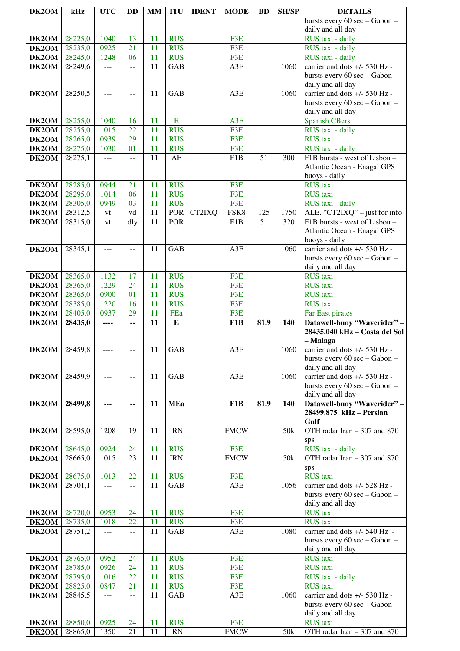| DK2OM                 | kHz                | <b>UTC</b>     | <b>DD</b>      | <b>MM</b> | <b>ITU</b>               | <b>IDENT</b> | <b>MODE</b>        | <b>BD</b> | <b>SH/SP</b> | <b>DETAILS</b>                                                       |
|-----------------------|--------------------|----------------|----------------|-----------|--------------------------|--------------|--------------------|-----------|--------------|----------------------------------------------------------------------|
|                       |                    |                |                |           |                          |              |                    |           |              | bursts every 60 sec - Gabon -                                        |
|                       |                    |                |                |           |                          |              |                    |           |              | daily and all day                                                    |
| DK2OM                 | 28225,0            | 1040           | 13             | 11        | <b>RUS</b>               |              | F3E                |           |              | RUS taxi - daily                                                     |
| $\overline{D}K2OM$    | 28235,0            | 0925           | 21             | 11        | <b>RUS</b>               |              | F3E                |           |              | RUS taxi - daily                                                     |
| DK2OM                 | 28245,0            | 1248           | 06             | 11        | <b>RUS</b>               |              | F3E                |           |              | RUS taxi - daily                                                     |
| DK2OM                 | 28249,6            | $---$          | --             | 11        | GAB                      |              | A3E                |           | 1060         | carrier and dots +/- 530 Hz -                                        |
|                       |                    |                |                |           |                          |              |                    |           |              | bursts every 60 sec - Gabon -                                        |
|                       |                    |                |                |           |                          |              |                    |           |              | daily and all day                                                    |
| DK2OM                 | 28250,5            | $\overline{a}$ | $\overline{a}$ | 11        | <b>GAB</b>               |              | A3E                |           | 1060         | carrier and dots +/- 530 Hz -                                        |
|                       |                    |                |                |           |                          |              |                    |           |              | bursts every 60 sec - Gabon -<br>daily and all day                   |
| DK2OM                 | 28255,0            | 1040           | 16             | 11        | E                        |              | A3E                |           |              | <b>Spanish CBers</b>                                                 |
| DK2OM                 | 28255,0            | 1015           | 22             | 11        | <b>RUS</b>               |              | F3E                |           |              | RUS taxi - daily                                                     |
| DK2OM                 | 28265,0            | 0939           | 29             | 11        | <b>RUS</b>               |              | F3E                |           |              | <b>RUS</b> taxi                                                      |
| DK2OM                 | 28275,0            | 1030           | 01             | 11        | <b>RUS</b>               |              | F3E                |           |              | RUS taxi - daily                                                     |
| DK2OM                 | 28275,1            | $\overline{a}$ | $\overline{a}$ | 11        | AF                       |              | F1B                | 51        | 300          | F1B bursts - west of Lisbon -                                        |
|                       |                    |                |                |           |                          |              |                    |           |              | Atlantic Ocean - Enagal GPS                                          |
|                       |                    |                |                |           |                          |              |                    |           |              | buoys - daily                                                        |
| DK2OM                 | 28285,0            | 0944           | 21             | 11        | <b>RUS</b>               |              | F3E                |           |              | <b>RUS</b> taxi                                                      |
| DK2OM                 | 28295,0            | 1014           | 06             | 11        | <b>RUS</b>               |              | F3E                |           |              | <b>RUS</b> taxi                                                      |
| DK2OM                 | 28305,0            | 0949           | 03             | 11        | <b>RUS</b>               |              | F3E                |           |              | RUS taxi - daily                                                     |
| DK2OM                 | 28312,5            | vt             | vd             | 11        | <b>POR</b>               | CT2IXQ       | FSK8               | 125       | 1750         | ALE. "CT2IXQ" - just for info                                        |
| $\overline{D}K2OM$    | 28315,0            | vt             | dly            | 11        | <b>POR</b>               |              | F1B                | 51        | 320          | F1B bursts - west of Lisbon -<br>Atlantic Ocean - Enagal GPS         |
|                       |                    |                |                |           |                          |              |                    |           |              | buoys - daily                                                        |
| DK2OM                 | 28345,1            | $---$          | $-$            | 11        | <b>GAB</b>               |              | A3E                |           | 1060         | carrier and dots +/- 530 Hz -                                        |
|                       |                    |                |                |           |                          |              |                    |           |              | bursts every 60 sec - Gabon -                                        |
|                       |                    |                |                |           |                          |              |                    |           |              | daily and all day                                                    |
| DK2OM                 | 28365,0            | 1132           | 17             | 11        | <b>RUS</b>               |              | F3E                |           |              | <b>RUS</b> taxi                                                      |
| <b>DK2OM</b>          | 28365,0            | 1229           | 24             | 11        | <b>RUS</b>               |              | F3E                |           |              | <b>RUS</b> taxi                                                      |
| <b>DK2OM</b>          | 28365,0            | 0900           | 01             | 11        | <b>RUS</b>               |              | F3E                |           |              | <b>RUS</b> taxi                                                      |
| <b>DK2OM</b>          | 28385,0            | 1220           | 16             | 11        | <b>RUS</b>               |              | F3E                |           |              | <b>RUS</b> taxi                                                      |
| DK2OM                 | 28405,0            | 0937           | 29             | 11<br>11  | FEa<br>E                 |              | F3E                |           |              | Far East pirates                                                     |
| DK2OM                 | 28435,0            | ----           | ۰.             |           |                          |              | F1B                | 81.9      | 140          | Datawell-buoy "Waverider" -<br>28435.040 kHz - Costa del Sol         |
|                       |                    |                |                |           |                          |              |                    |           |              | – Malaga                                                             |
| <b>DK2OM</b> 28459,8  |                    |                |                |           |                          |              | A3E                |           | 1060         | carrier and dots +/- 530 Hz -                                        |
|                       |                    |                |                |           |                          |              |                    |           |              |                                                                      |
|                       |                    |                |                | $11$ GAB  |                          |              |                    |           |              | bursts every 60 sec - Gabon -                                        |
|                       |                    |                |                |           |                          |              |                    |           |              | daily and all day                                                    |
| DK2OM                 | 28459,9            | $ -$           | $- -$          | 11        | GAB                      |              | A3E                |           | 1060         | carrier and dots +/- 530 Hz -                                        |
|                       |                    |                |                |           |                          |              |                    |           |              | bursts every 60 sec - Gabon -                                        |
|                       |                    |                |                |           |                          |              |                    |           |              | daily and all day                                                    |
| DK2OM                 | 28499,8            | ---            | ۰.             | 11        | <b>MEa</b>               |              | F1B                | 81.9      | 140          | Datawell-buoy "Waverider" -                                          |
|                       |                    |                |                |           |                          |              |                    |           |              | 28499.875 kHz - Persian                                              |
| DK2OM                 | 28595,0            | 1208           | 19             | 11        | <b>IRN</b>               |              | <b>FMCW</b>        |           | 50k          | Gulf<br>OTH radar Iran - 307 and 870                                 |
|                       |                    |                |                |           |                          |              |                    |           |              | sps                                                                  |
| DK2OM                 | 28645,0            | 0924           | 24             | 11        | <b>RUS</b>               |              | F3E                |           |              | RUS taxi - daily                                                     |
| DK2OM                 | 28665,0            | 1015           | 23             | 11        | <b>IRN</b>               |              | <b>FMCW</b>        |           | 50k          | OTH radar Iran - 307 and 870                                         |
|                       |                    |                |                |           |                          |              |                    |           |              | sps                                                                  |
| <b>DK2OM</b>          | 28675,0            | 1013           | 22             | 11        | <b>RUS</b>               |              | F3E                |           |              | <b>RUS</b> taxi                                                      |
| DK2OM                 | 28701,1            | $\overline{a}$ | --             | 11        | <b>GAB</b>               |              | A3E                |           | 1056         | carrier and dots +/- 528 Hz -                                        |
|                       |                    |                |                |           |                          |              |                    |           |              | bursts every 60 sec - Gabon -                                        |
|                       |                    |                |                |           |                          |              |                    |           |              | daily and all day                                                    |
| DK2OM<br><b>DK2OM</b> | 28720,0<br>28735,0 | 0953<br>1018   | 24<br>22       | 11<br>11  | <b>RUS</b><br><b>RUS</b> |              | F3E<br>F3E         |           |              | <b>RUS</b> taxi<br><b>RUS</b> taxi                                   |
| DK2OM                 | 28751,2            | $\overline{a}$ | $\overline{a}$ | 11        | <b>GAB</b>               |              | A3E                |           | 1080         | carrier and dots +/- 540 Hz -                                        |
|                       |                    |                |                |           |                          |              |                    |           |              | bursts every 60 sec - Gabon -                                        |
|                       |                    |                |                |           |                          |              |                    |           |              | daily and all day                                                    |
| DK2OM                 | 28765,0            | 0952           | 24             | 11        | <b>RUS</b>               |              | F3E                |           |              | RUS taxi                                                             |
| DK2OM                 | 28785,0            | 0926           | 24             | 11        | <b>RUS</b>               |              | F3E                |           |              | <b>RUS</b> taxi                                                      |
| DK2OM                 | 28795,0            | 1016           | 22             | 11        | <b>RUS</b>               |              | F3E                |           |              | RUS taxi - daily                                                     |
| DK2OM                 | 28825,0            | 0847           | 21             | 11        | <b>RUS</b>               |              | F3E                |           |              | <b>RUS</b> taxi                                                      |
| DK2OM                 | 28845,5            | $\overline{a}$ | --             | 11        | <b>GAB</b>               |              | A3E                |           | 1060         | carrier and dots +/- 530 Hz -                                        |
|                       |                    |                |                |           |                          |              |                    |           |              | bursts every 60 sec - Gabon -                                        |
| DK2OM                 | 28850,0<br>28865,0 | 0925           | 24             | 11<br>11  | <b>RUS</b><br><b>IRN</b> |              | F3E<br><b>FMCW</b> |           |              | daily and all day<br><b>RUS</b> taxi<br>OTH radar Iran - 307 and 870 |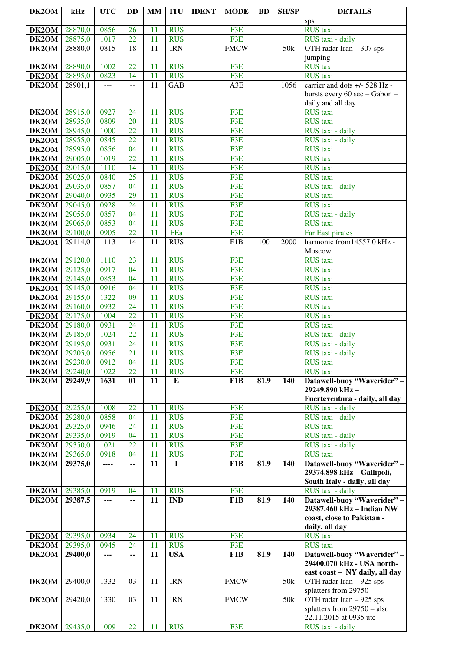| DK2OM              | kHz                | <b>UTC</b>   | <b>DD</b>       | <b>MM</b> | <b>ITU</b>               | <b>IDENT</b> | <b>MODE</b>             | <b>BD</b> | <b>SH/SP</b>    | <b>DETAILS</b>                                            |
|--------------------|--------------------|--------------|-----------------|-----------|--------------------------|--------------|-------------------------|-----------|-----------------|-----------------------------------------------------------|
|                    |                    |              |                 |           |                          |              |                         |           |                 | sps                                                       |
| DK2OM              | 28870,0            | 0856         | 26              | 11        | <b>RUS</b>               |              | F3E                     |           |                 | RUS taxi                                                  |
| DK2OM              | 28875,0            | 1017         | $\overline{22}$ | 11        | <b>RUS</b>               |              | F3E                     |           |                 | RUS taxi - daily                                          |
| DK <sub>2</sub> OM | 28880,0            | 0815         | 18              | 11        | <b>IRN</b>               |              | <b>FMCW</b>             |           | 50k             | OTH radar Iran - 307 sps -<br>jumping                     |
| DK2OM              | 28890,0            | 1002         | 22              | 11        | <b>RUS</b>               |              | F3E                     |           |                 | <b>RUS</b> taxi                                           |
| DK2OM              | 28895,0            | 0823         | 14              | 11        | <b>RUS</b>               |              | F3E                     |           |                 | <b>RUS</b> taxi                                           |
| DK <sub>2</sub> OM | 28901,1            | $\cdots$     | --              | 11        | <b>GAB</b>               |              | A3E                     |           | 1056            | carrier and dots +/- 528 Hz -                             |
|                    |                    |              |                 |           |                          |              |                         |           |                 | bursts every 60 sec - Gabon -                             |
|                    |                    |              |                 |           |                          |              |                         |           |                 | daily and all day                                         |
| DK2OM              | 28915,0            | 0927         | 24              | 11        | <b>RUS</b>               |              | F3E                     |           |                 | <b>RUS</b> taxi                                           |
| DK2OM              | 28935,0            | 0809         | 20              | 11        | <b>RUS</b>               |              | F3E                     |           |                 | <b>RUS</b> taxi                                           |
| DK2OM<br>DK2OM     | 28945,0<br>28955,0 | 1000<br>0845 | 22<br>22        | 11<br>11  | <b>RUS</b><br><b>RUS</b> |              | F3E<br>F3E              |           |                 | RUS taxi - daily<br>RUS taxi - daily                      |
| DK2OM              | 28995,0            | 0856         | 04              | 11        | <b>RUS</b>               |              | F3E                     |           |                 | <b>RUS</b> taxi                                           |
| DK2OM              | 29005,0            | 1019         | 22              | 11        | <b>RUS</b>               |              | F3E                     |           |                 | <b>RUS</b> taxi                                           |
| DK2OM              | 29015,0            | 1110         | 14              | 11        | <b>RUS</b>               |              | F3E                     |           |                 | <b>RUS</b> taxi                                           |
| DK2OM              | 29025,0            | 0840         | $\overline{25}$ | 11        | <b>RUS</b>               |              | F3E                     |           |                 | <b>RUS</b> taxi                                           |
| DK2OM              | 29035,0            | 0857         | 04              | 11        | <b>RUS</b>               |              | F3E                     |           |                 | RUS taxi - daily                                          |
| DK2OM              | 29040,0            | 0935         | 29              | 11        | <b>RUS</b>               |              | F3E                     |           |                 | <b>RUS</b> taxi                                           |
| DK2OM              | 29045,0            | 0928         | 24              | 11        | <b>RUS</b>               |              | F3E                     |           |                 | <b>RUS</b> taxi                                           |
| DK2OM<br>DK2OM     | 29055,0<br>29065,0 | 0857<br>0853 | 04<br>04        | 11<br>11  | <b>RUS</b><br><b>RUS</b> |              | F3E<br>F3E              |           |                 | RUS taxi - daily<br><b>RUS</b> taxi                       |
| DK2OM              | 29100,0            | 0905         | 22              | 11        | FEa                      |              | F3E                     |           |                 | Far East pirates                                          |
| DK2OM              | 29114,0            | 1113         | 14              | 11        | <b>RUS</b>               |              | F1B                     | 100       | 2000            | harmonic from14557.0 kHz -                                |
|                    |                    |              |                 |           |                          |              |                         |           |                 | Moscow                                                    |
| DK2OM              | 29120,0            | 1110         | 23              | 11        | <b>RUS</b>               |              | F3E                     |           |                 | <b>RUS</b> taxi                                           |
| DK2OM              | 29125,0            | 0917         | 04              | 11        | <b>RUS</b>               |              | F3E                     |           |                 | <b>RUS</b> taxi                                           |
| DK <sub>2</sub> OM | 29145,0            | 0853         | 04              | 11        | <b>RUS</b>               |              | F3E                     |           |                 | <b>RUS</b> taxi                                           |
| DK2OM              | 29145,0            | 0916         | 04              | 11        | <b>RUS</b>               |              | F3E                     |           |                 | <b>RUS</b> taxi                                           |
| DK2OM<br>DK2OM     | 29155,0<br>29160,0 | 1322<br>0932 | 09<br>24        | 11<br>11  | <b>RUS</b><br><b>RUS</b> |              | F3E<br>F3E              |           |                 | <b>RUS</b> taxi<br><b>RUS</b> taxi                        |
| DK2OM              | 29175,0            | 1004         | 22              | 11        | <b>RUS</b>               |              | F3E                     |           |                 | <b>RUS</b> taxi                                           |
| DK2OM              | 29180,0            | 0931         | 24              | 11        | <b>RUS</b>               |              | F3E                     |           |                 | <b>RUS</b> taxi                                           |
| DK2OM              | 29185,0            | 1024         | 22              | 11        | <b>RUS</b>               |              | F3E                     |           |                 | RUS taxi - daily                                          |
| DK2OM              | 29195,0            | 0931         | 24              | 11        | <b>RUS</b>               |              | F3E                     |           |                 | RUS taxi - daily                                          |
| DK2OM              | 29205,0            | 0956         | 21              | 11        | <b>RUS</b>               |              | F3E                     |           |                 | RUS taxi - daily                                          |
| DK2OM              | 29230,0            | 0912         | 04              | 11        | <b>RUS</b>               |              | F3E                     |           |                 | <b>RUS</b> taxi                                           |
| DK2OM              | 29240,0            | 1022         | 22<br>01        | 11<br>11  | <b>RUS</b>               |              | F3E                     |           |                 | <b>RUS</b> taxi<br>Datawell-buoy "Waverider" -            |
| DK2OM              | 29249,9            | 1631         |                 |           | Е                        |              | F1B                     | 81.9      | 140             | 29249.890 kHz-                                            |
|                    |                    |              |                 |           |                          |              |                         |           |                 | Fuerteventura - daily, all day                            |
| DK2OM              | 29255,0            | 1008         | 22              | 11        | <b>RUS</b>               |              | F3E                     |           |                 | RUS taxi - daily                                          |
| DK2OM<br>DK2OM     | 29280,0<br>29325,0 | 0858<br>0946 | 04<br>24        | 11<br>11  | <b>RUS</b><br><b>RUS</b> |              | F3E<br>F3E              |           |                 | RUS taxi - daily<br><b>RUS</b> taxi                       |
| DK2OM              | 29335,0            | 0919         | 04              | 11        | <b>RUS</b>               |              | F3E                     |           |                 | RUS taxi - daily                                          |
| DK2OM              | 29350,0            | 1021         | 22              | 11        | <b>RUS</b>               |              | F3E                     |           |                 | RUS taxi - daily                                          |
| DK2OM              | 29365,0            | 0918         | 04              | 11        | <b>RUS</b>               |              | F3E                     |           |                 | <b>RUS</b> taxi                                           |
| DK2OM              | 29375,0            | ----         | --              | 11        | $\mathbf I$              |              | F <sub>1</sub> B        | 81.9      | 140             | Datawell-buoy "Waverider" -                               |
|                    |                    |              |                 |           |                          |              |                         |           |                 | 29374.898 kHz - Gallipoli,                                |
|                    |                    |              |                 |           |                          |              |                         |           |                 | South Italy - daily, all day                              |
| DK2OM<br>DK2OM     | 29385,0<br>29387,5 | 0919<br>---  | 04              | 11<br>11  | <b>RUS</b><br><b>IND</b> |              | F3E<br>F <sub>1</sub> B | 81.9      | 140             | RUS taxi - daily<br>Datawell-buoy "Waverider" -           |
|                    |                    |              | --              |           |                          |              |                         |           |                 | 29387.460 kHz - Indian NW                                 |
|                    |                    |              |                 |           |                          |              |                         |           |                 | coast, close to Pakistan -                                |
|                    |                    |              |                 |           |                          |              |                         |           |                 | daily, all day                                            |
| DK2OM              | 29395,0            | 0934         | 24              | 11        | <b>RUS</b>               |              | F3E                     |           |                 | <b>RUS</b> taxi                                           |
| DK2OM              | 29395,0            | 0945         | 24              | 11        | <b>RUS</b>               |              | F3E                     |           |                 | <b>RUS</b> taxi                                           |
| DK2OM              | 29400,0            | ---          | ۰.              | 11        | <b>USA</b>               |              | F1B                     | 81.9      | 140             | Datawell-buoy "Waverider" -<br>29400.070 kHz - USA north- |
|                    |                    |              |                 |           |                          |              |                         |           |                 | east coast - NY daily, all day                            |
| DK2OM              | 29400,0            | 1332         | 03              | 11        | <b>IRN</b>               |              | <b>FMCW</b>             |           | 50 <sub>k</sub> | OTH radar Iran - 925 sps                                  |
|                    |                    |              |                 |           |                          |              |                         |           |                 | splatters from 29750                                      |
| DK2OM              | 29420,0            | 1330         | 03              | 11        | <b>IRN</b>               |              | <b>FMCW</b>             |           | 50 <sub>k</sub> | OTH radar Iran - 925 sps                                  |
|                    |                    |              |                 |           |                          |              |                         |           |                 | splatters from $29750 - also$                             |
|                    |                    |              |                 |           |                          |              |                         |           |                 | 22.11.2015 at 0935 utc                                    |
| DK2OM              | 29435,0            | 1009         | 22              | 11        | <b>RUS</b>               |              | F3E                     |           |                 | RUS taxi - daily                                          |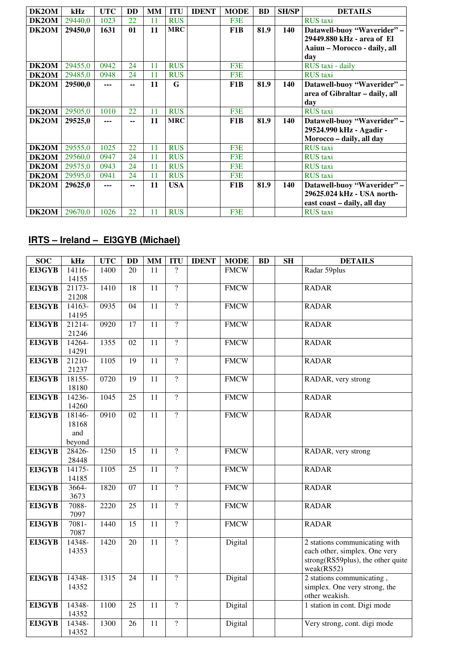| DK2OM | kHz     | <b>UTC</b> | <b>DD</b> | MM | <b>ITU</b> | <b>IDENT</b> | <b>MODE</b>      | <b>BD</b> | <b>SH/SP</b> | <b>DETAILS</b>                 |
|-------|---------|------------|-----------|----|------------|--------------|------------------|-----------|--------------|--------------------------------|
| DK2OM | 29440,0 | 1023       | 22        | 11 | <b>RUS</b> |              | F3E              |           |              | <b>RUS</b> taxi                |
| DK2OM | 29450,0 | 1631       | 01        | 11 | <b>MRC</b> |              | F <sub>1</sub> B | 81.9      | 140          | Datawell-buoy "Waverider" -    |
|       |         |            |           |    |            |              |                  |           |              | 29449.880 kHz - area of El     |
|       |         |            |           |    |            |              |                  |           |              | Aaiun – Morocco - daily, all   |
|       |         |            |           |    |            |              |                  |           |              | day                            |
| DK2OM | 29455,0 | 0942       | 24        | 11 | <b>RUS</b> |              | F3E              |           |              | RUS taxi - daily               |
| DK2OM | 29485,0 | 0948       | 24        | 11 | <b>RUS</b> |              | F3E              |           |              | <b>RUS</b> taxi                |
| DK2OM | 29500,0 | ---        | $-$       | 11 | G          |              | F <sub>1</sub> B | 81.9      | 140          | Datawell-buoy "Waverider" -    |
|       |         |            |           |    |            |              |                  |           |              | area of Gibraltar - daily, all |
|       |         |            |           |    |            |              |                  |           |              | day                            |
| DK2OM | 29505,0 | 1010       | 22        | 11 | <b>RUS</b> |              | F3E              |           |              | <b>RUS</b> taxi                |
| DK2OM | 29525,0 | ---        | --        | 11 | <b>MRC</b> |              | F <sub>1</sub> B | 81.9      | 140          | Datawell-buoy "Waverider" -    |
|       |         |            |           |    |            |              |                  |           |              | 29524.990 kHz - Agadir -       |
|       |         |            |           |    |            |              |                  |           |              | Morocco - daily, all day       |
| DK2OM | 29555,0 | 1025       | 22        | 11 | <b>RUS</b> |              | F3E              |           |              | <b>RUS</b> taxi                |
| DK2OM | 29560,0 | 0947       | 24        | 11 | <b>RUS</b> |              | F3E              |           |              | <b>RUS</b> taxi                |
| DK2OM | 29575,0 | 0943       | 24        | 11 | <b>RUS</b> |              | F3E              |           |              | <b>RUS</b> taxi                |
| DK2OM | 29595,0 | 0941       | 24        | 11 | <b>RUS</b> |              | F3E              |           |              | <b>RUS</b> taxi                |
| DK2OM | 29625,0 | ---        | --        | 11 | <b>USA</b> |              | F <sub>1</sub> B | 81.9      | 140          | Datawell-buoy "Waverider" -    |
|       |         |            |           |    |            |              |                  |           |              | 29625.024 kHz - USA north-     |
|       |         |            |           |    |            |              |                  |           |              | east coast - daily, all day    |
| DK2OM | 29670,0 | 1026       | 22        | 11 | <b>RUS</b> |              | F3E              |           |              | <b>RUS</b> taxi                |

### **IRTS – Ireland – EI3GYB (Michael)**

| <b>SOC</b>    | kHz              | <b>UTC</b> | <b>DD</b>       | <b>MM</b>       | <b>ITU</b>     | <b>IDENT</b> | <b>MODE</b> | <b>BD</b> | <b>SH</b> | <b>DETAILS</b>                        |
|---------------|------------------|------------|-----------------|-----------------|----------------|--------------|-------------|-----------|-----------|---------------------------------------|
| EI3GYB        | 14116-           | 1400       | 20              | 11              | ?              |              | <b>FMCW</b> |           |           | Radar 59plus                          |
|               | 14155            |            |                 |                 |                |              |             |           |           |                                       |
| <b>EI3GYB</b> | 21173-           | 1410       | 18              | 11              | $\overline{?}$ |              | <b>FMCW</b> |           |           | <b>RADAR</b>                          |
|               | 21208            |            |                 |                 |                |              |             |           |           |                                       |
| EI3GYB        | 14163-           | 0935       | 04              | 11              | $\overline{?}$ |              | <b>FMCW</b> |           |           | <b>RADAR</b>                          |
|               | 14195            |            |                 |                 |                |              |             |           |           |                                       |
| EI3GYB        | 21214-           | 0920       | $\overline{17}$ | 11              | $\gamma$       |              | <b>FMCW</b> |           |           | <b>RADAR</b>                          |
|               | 21246            |            |                 |                 |                |              |             |           |           |                                       |
| EI3GYB        | 14264-           | 1355       | 02              | 11              | $\overline{?}$ |              | <b>FMCW</b> |           |           | <b>RADAR</b>                          |
|               | 14291            |            |                 |                 |                |              |             |           |           |                                       |
| EI3GYB        | 21210-           | 1105       | $\overline{19}$ | $\overline{11}$ | $\overline{?}$ |              | <b>FMCW</b> |           |           | <b>RADAR</b>                          |
|               | 21237            |            |                 |                 |                |              |             |           |           |                                       |
| EI3GYB        | 18155-           | 0720       | 19              | 11              | $\overline{?}$ |              | <b>FMCW</b> |           |           | RADAR, very strong                    |
|               | 18180            |            |                 |                 |                |              |             |           |           |                                       |
| EI3GYB        | 14236-           | 1045       | 25              | 11              | $\overline{?}$ |              | <b>FMCW</b> |           |           | <b>RADAR</b>                          |
|               | 14260            |            |                 |                 |                |              |             |           |           |                                       |
| EI3GYB        | 18146-           | 0910       | $\overline{02}$ | $\overline{11}$ | $\overline{?}$ |              | <b>FMCW</b> |           |           | <b>RADAR</b>                          |
|               | 18168            |            |                 |                 |                |              |             |           |           |                                       |
|               | and              |            |                 |                 |                |              |             |           |           |                                       |
|               | beyond           |            |                 |                 |                |              |             |           |           |                                       |
| EI3GYB        | 28426-           | 1250       | 15              | 11              | $\overline{?}$ |              | <b>FMCW</b> |           |           | RADAR, very strong                    |
|               | 28448            |            |                 |                 |                |              |             |           |           |                                       |
| EI3GYB        | 14175-           | 1105       | 25              | 11              | $\overline{?}$ |              | <b>FMCW</b> |           |           | <b>RADAR</b>                          |
|               | 14185            |            |                 |                 |                |              |             |           |           |                                       |
| EI3GYB        | 3664-            | 1820       | $\overline{07}$ | $\overline{11}$ | $\overline{?}$ |              | <b>FMCW</b> |           |           | <b>RADAR</b>                          |
|               | 3673             |            |                 |                 |                |              |             |           |           |                                       |
| EI3GYB        | 7088-            | 2220       | 25              | 11              | $\overline{?}$ |              | <b>FMCW</b> |           |           | <b>RADAR</b>                          |
|               | 7097             |            |                 |                 | $\overline{?}$ |              |             |           |           |                                       |
| EI3GYB        | $7081 -$<br>7087 | 1440       | 15              | 11              |                |              | <b>FMCW</b> |           |           | <b>RADAR</b>                          |
| EI3GYB        | 14348-           | 1420       | 20              | 11              | $\overline{?}$ |              | Digital     |           |           | 2 stations communicating with         |
|               | 14353            |            |                 |                 |                |              |             |           |           | each other, simplex. One very         |
|               |                  |            |                 |                 |                |              |             |           |           | strong $(RS59$ plus), the other quite |
|               |                  |            |                 |                 |                |              |             |           |           | weak(RS52)                            |
| EI3GYB        | 14348-           | 1315       | 24              | $\overline{11}$ | $\overline{?}$ |              | Digital     |           |           | 2 stations communicating,             |
|               | 14352            |            |                 |                 |                |              |             |           |           | simplex. One very strong, the         |
|               |                  |            |                 |                 |                |              |             |           |           | other weakish.                        |
| EI3GYB        | 14348-           | 1100       | $\overline{25}$ | 11              | $\overline{?}$ |              | Digital     |           |           | 1 station in cont. Digi mode          |
|               | 14352            |            |                 |                 |                |              |             |           |           |                                       |
| EI3GYB        | 14348-           | 1300       | $\overline{26}$ | $\overline{11}$ | $\overline{?}$ |              | Digital     |           |           | Very strong, cont. digi mode          |
|               | 14352            |            |                 |                 |                |              |             |           |           |                                       |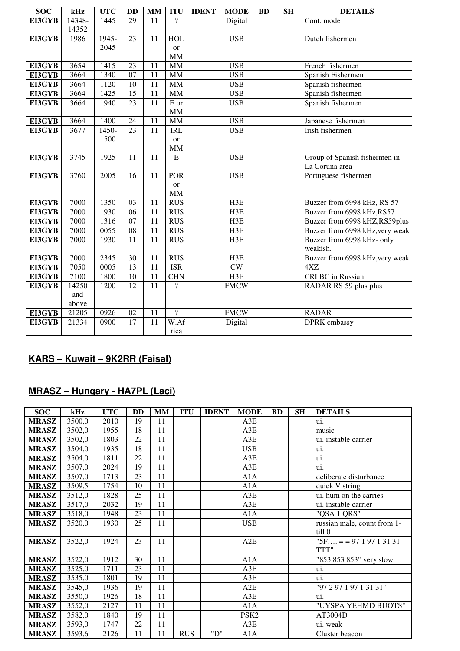| <b>SOC</b>    | kHz    | <b>UTC</b> | <b>DD</b>       | <b>MM</b> | <b>ITU</b>               | <b>IDENT</b> | <b>MODE</b> | <b>BD</b> | <b>SH</b> | <b>DETAILS</b>                  |
|---------------|--------|------------|-----------------|-----------|--------------------------|--------------|-------------|-----------|-----------|---------------------------------|
| <b>EI3GYB</b> | 14348- | 1445       | 29              | 11        | $\gamma$                 |              | Digital     |           |           | Cont. mode                      |
|               | 14352  |            |                 |           |                          |              |             |           |           |                                 |
| EI3GYB        | 1986   | 1945-      | $\overline{23}$ | 11        | HOL                      |              | <b>USB</b>  |           |           | Dutch fishermen                 |
|               |        | 2045       |                 |           | or                       |              |             |           |           |                                 |
|               |        |            |                 |           | MM                       |              |             |           |           |                                 |
| EI3GYB        | 3654   | 1415       | 23              | 11        | $\text{MM}{}$            |              | <b>USB</b>  |           |           | French fishermen                |
| EI3GYB        | 3664   | 1340       | 07              | 11        | $\text{MM}{}$            |              | <b>USB</b>  |           |           | Spanish Fishermen               |
| EI3GYB        | 3664   | 1120       | 10              | 11        | <b>MM</b>                |              | <b>USB</b>  |           |           | Spanish fishermen               |
| EI3GYB        | 3664   | 1425       | 15              | 11        | MM                       |              | <b>USB</b>  |           |           | Spanish fishermen               |
| EI3GYB        | 3664   | 1940       | 23              | 11        | E or                     |              | <b>USB</b>  |           |           | Spanish fishermen               |
|               |        |            |                 |           | MM                       |              |             |           |           |                                 |
| EI3GYB        | 3664   | 1400       | 24              | 11        | MM                       |              | <b>USB</b>  |           |           | Japanese fishermen              |
| EI3GYB        | 3677   | 1450-      | 23              | 11        | <b>IRL</b>               |              | <b>USB</b>  |           |           | Irish fishermen                 |
|               |        | 1500       |                 |           | or                       |              |             |           |           |                                 |
|               |        |            |                 |           | <b>MM</b>                |              |             |           |           |                                 |
| EI3GYB        | 3745   | 1925       | 11              | 11        | $\overline{E}$           |              | <b>USB</b>  |           |           | Group of Spanish fishermen in   |
|               |        |            |                 |           |                          |              |             |           |           | La Coruna area                  |
| <b>EI3GYB</b> | 3760   | 2005       | 16              | 11        | <b>POR</b>               |              | <b>USB</b>  |           |           | Portuguese fishermen            |
|               |        |            |                 |           | or                       |              |             |           |           |                                 |
|               |        |            |                 |           | MM                       |              |             |           |           |                                 |
| EI3GYB        | 7000   | 1350       | 03              | 11        | <b>RUS</b>               |              | H3E         |           |           | Buzzer from 6998 kHz, RS 57     |
| EI3GYB        | 7000   | 1930       | 06              | 11        | <b>RUS</b>               |              | H3E         |           |           | Buzzer from 6998 kHz, RS57      |
| EI3GYB        | 7000   | 1316       | 07              | 11        | <b>RUS</b>               |              | H3E         |           |           | Buzzer from 6998 kHZ,RS59plus   |
| EI3GYB        | 7000   | 0055       | 08              | 11        | <b>RUS</b>               |              | H3E         |           |           | Buzzer from 6998 kHz, very weak |
| EI3GYB        | 7000   | 1930       | 11              | 11        | <b>RUS</b>               |              | H3E         |           |           | Buzzer from 6998 kHz- only      |
|               |        |            |                 |           |                          |              |             |           |           | weakish.                        |
| EI3GYB        | 7000   | 2345       | 30              | 11        | <b>RUS</b>               |              | H3E         |           |           | Buzzer from 6998 kHz, very weak |
| EI3GYB        | 7050   | 0005       | $\overline{13}$ | 11        | <b>ISR</b>               |              | CW          |           |           | 4XZ                             |
| EI3GYB        | 7100   | 1800       | 10              | 11        | <b>CHN</b>               |              | H3E         |           |           | CRI BC in Russian               |
| EI3GYB        | 14250  | 1200       | 12              | 11        | $\gamma$                 |              | <b>FMCW</b> |           |           | RADAR RS 59 plus plus           |
|               | and    |            |                 |           |                          |              |             |           |           |                                 |
|               | above  |            |                 |           |                          |              |             |           |           |                                 |
| EI3GYB        | 21205  | 0926       | 02              | 11        | $\overline{\mathcal{L}}$ |              | <b>FMCW</b> |           |           | <b>RADAR</b>                    |
| EI3GYB        | 21334  | 0900       | $\overline{17}$ | 11        | W.Af                     |              | Digital     |           |           | <b>DPRK</b> embassy             |
|               |        |            |                 |           | rica                     |              |             |           |           |                                 |

J.

### **KARS – Kuwait – 9K2RR (Faisal)**

### **MRASZ – Hungary - HA7PL (Laci)**

| <b>SOC</b>   | kHz    | <b>UTC</b> | <b>DD</b> | MM | <b>ITU</b> | <b>IDENT</b> | <b>MODE</b>      | <b>BD</b> | <b>SH</b> | <b>DETAILS</b>              |
|--------------|--------|------------|-----------|----|------------|--------------|------------------|-----------|-----------|-----------------------------|
| <b>MRASZ</b> | 3500,0 | 2010       | 19        | 11 |            |              | A3E              |           |           | ui.                         |
| <b>MRASZ</b> | 3502,0 | 1955       | 18        | 11 |            |              | A3E              |           |           | music                       |
| <b>MRASZ</b> | 3502,0 | 1803       | 22        | 11 |            |              | A3E              |           |           | ui. instable carrier        |
| <b>MRASZ</b> | 3504,0 | 1935       | 18        | 11 |            |              | <b>USB</b>       |           |           | ui.                         |
| <b>MRASZ</b> | 3504,0 | 1811       | 22        | 11 |            |              | A3E              |           |           | ui.                         |
| <b>MRASZ</b> | 3507,0 | 2024       | 19        | 11 |            |              | A3E              |           |           | ui.                         |
| <b>MRASZ</b> | 3507,0 | 1713       | 23        | 11 |            |              | A1A              |           |           | deliberate disturbance      |
| <b>MRASZ</b> | 3509,5 | 1754       | 10        | 11 |            |              | A1A              |           |           | quick V string              |
| <b>MRASZ</b> | 3512,0 | 1828       | 25        | 11 |            |              | A3E              |           |           | ui. hum on the carries      |
| <b>MRASZ</b> | 3517,0 | 2032       | 19        | 11 |            |              | A3E              |           |           | ui. instable carrier        |
| <b>MRASZ</b> | 3518,0 | 1948       | 23        | 11 |            |              | A1A              |           |           | "QSA 1 QRS"                 |
| <b>MRASZ</b> | 3520,0 | 1930       | 25        | 11 |            |              | <b>USB</b>       |           |           | russian male, count from 1- |
|              |        |            |           |    |            |              |                  |           |           | till 0                      |
| <b>MRASZ</b> | 3522,0 | 1924       | 23        | 11 |            |              | A2E              |           |           | " $5F = 9719713131$         |
|              |        |            |           |    |            |              |                  |           |           | TTT"                        |
| <b>MRASZ</b> | 3522,0 | 1912       | 30        | 11 |            |              | A1A              |           |           | "853 853 853" very slow     |
| <b>MRASZ</b> | 3525,0 | 1711       | 23        | 11 |            |              | A3E              |           |           | ui.                         |
| <b>MRASZ</b> | 3535,0 | 1801       | 19        | 11 |            |              | A3E              |           |           | ui.                         |
| <b>MRASZ</b> | 3545,0 | 1936       | 19        | 11 |            |              | A2E              |           |           | "97 2 97 1 97 1 31 31"      |
| <b>MRASZ</b> | 3550,0 | 1926       | 18        | 11 |            |              | A3E              |           |           | ui.                         |
| <b>MRASZ</b> | 3552,0 | 2127       | 11        | 11 |            |              | A1A              |           |           | "UYSPA YEHMD BUÖTS"         |
| <b>MRASZ</b> | 3582,0 | 1840       | 19        | 11 |            |              | PSK <sub>2</sub> |           |           | AT3004D                     |
| <b>MRASZ</b> | 3593,0 | 1747       | 22        | 11 |            |              | A3E              |           |           | ui. weak                    |
| <b>MRASZ</b> | 3593,6 | 2126       | 11        | 11 | <b>RUS</b> | "D"          | A1A              |           |           | Cluster beacon              |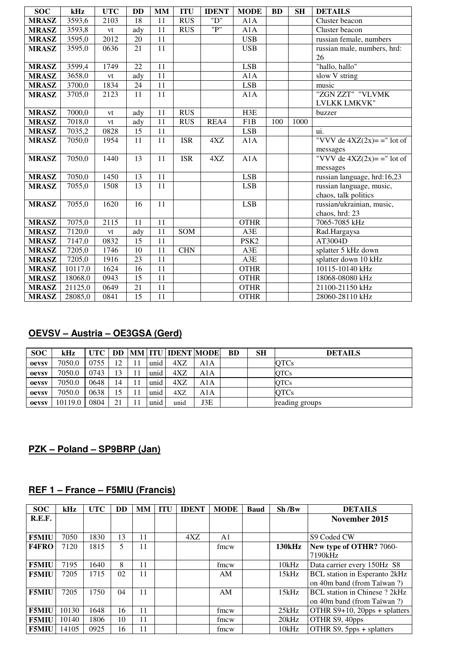| <b>SOC</b>   | kHz     | <b>UTC</b>        | <b>DD</b> | MM              | <b>ITU</b> | <b>IDENT</b> | <b>MODE</b>      | <b>BD</b> | <b>SH</b> | <b>DETAILS</b>                |
|--------------|---------|-------------------|-----------|-----------------|------------|--------------|------------------|-----------|-----------|-------------------------------|
| <b>MRASZ</b> | 3593,6  | 2103              | 18        | 11              | <b>RUS</b> | "D"          | A1A              |           |           | Cluster beacon                |
| <b>MRASZ</b> | 3593,8  | vt                | ady       | 11              | <b>RUS</b> | "P"          | A1A              |           |           | Cluster beacon                |
| <b>MRASZ</b> | 3595,0  | $\overline{2012}$ | 20        | 11              |            |              | <b>USB</b>       |           |           | russian female, numbers       |
| <b>MRASZ</b> | 3595,0  | 0636              | 21        | 11              |            |              | <b>USB</b>       |           |           | russian male, numbers, hrd:   |
|              |         |                   |           |                 |            |              |                  |           |           | 26                            |
| <b>MRASZ</b> | 3599,4  | 1749              | 22        | 11              |            |              | <b>LSB</b>       |           |           | "hallo, hallo"                |
| <b>MRASZ</b> | 3658,0  | vt                | ady       | 11              |            |              | A1A              |           |           | slow V string                 |
| <b>MRASZ</b> | 3700,0  | 1834              | 24        | 11              |            |              | <b>LSB</b>       |           |           | music                         |
| <b>MRASZ</b> | 3705,0  | 2123              | 11        | $\overline{11}$ |            |              | A1A              |           |           | "ZGN ZZT" "VLVMK              |
|              |         |                   |           |                 |            |              |                  |           |           | LVLKK LMKVK"                  |
| <b>MRASZ</b> | 7000,0  | vt                | ady       | 11              | <b>RUS</b> |              | H3E              |           |           | buzzer                        |
| <b>MRASZ</b> | 7018,0  | vt                | ady       | $\overline{11}$ | <b>RUS</b> | REA4         | F1B              | 100       | 1000      |                               |
| <b>MRASZ</b> | 7035,2  | 0828              | 15        | 11              |            |              | <b>LSB</b>       |           |           | ui.                           |
| <b>MRASZ</b> | 7050,0  | 1954              | 11        | 11              | <b>ISR</b> | 4XZ          | A1A              |           |           | "VVV de $4XZ(2x)=$ " lot of   |
|              |         |                   |           |                 |            |              |                  |           |           | messages                      |
| <b>MRASZ</b> | 7050,0  | 1440              | 13        | 11              | <b>ISR</b> | 4XZ          | A1A              |           |           | "VVV de $4XZ(2x) =$ =" lot of |
|              |         |                   |           |                 |            |              |                  |           |           | messages                      |
| <b>MRASZ</b> | 7050,0  | 1450              | 13        | 11              |            |              | <b>LSB</b>       |           |           | russian language, hrd:16,23   |
| <b>MRASZ</b> | 7055,0  | 1508              | 13        | 11              |            |              | <b>LSB</b>       |           |           | russian language, music,      |
|              |         |                   |           |                 |            |              |                  |           |           | chaos, talk politics          |
| <b>MRASZ</b> | 7055,0  | 1620              | 16        | $\overline{11}$ |            |              | <b>LSB</b>       |           |           | russian/ukrainian, music,     |
|              |         |                   |           |                 |            |              |                  |           |           | chaos, hrd: 23                |
| <b>MRASZ</b> | 7075,0  | 2115              | 11        | 11              |            |              | <b>OTHR</b>      |           |           | 7065-7085 kHz                 |
| <b>MRASZ</b> | 7120,0  | $\mathrm{vt}$     | ady       | 11              | SOM        |              | A3E              |           |           | Rad.Hargaysa                  |
| <b>MRASZ</b> | 7147,0  | 0832              | 15        | 11              |            |              | PSK <sub>2</sub> |           |           | AT3004D                       |
| <b>MRASZ</b> | 7205,0  | 1746              | 10        | $\overline{11}$ | <b>CHN</b> |              | A3E              |           |           | splatter 5 kHz down           |
| <b>MRASZ</b> | 7205,0  | 1916              | 23        | 11              |            |              | A3E              |           |           | splatter down 10 kHz          |
| <b>MRASZ</b> | 10117,0 | 1624              | 16        | $\overline{11}$ |            |              | <b>OTHR</b>      |           |           | 10115-10140 kHz               |
| <b>MRASZ</b> | 18068,0 | 0943              | 15        | 11              |            |              | <b>OTHR</b>      |           |           | 18068-08080 kHz               |
| <b>MRASZ</b> | 21125,0 | 0649              | 21        | 11              |            |              | <b>OTHR</b>      |           |           | 21100-21150 kHz               |
| <b>MRASZ</b> | 28085,0 | 0841              | 15        | $\overline{11}$ |            |              | <b>OTHR</b>      |           |           | 28060-28110 kHz               |

#### **OEVSV – Austria – OE3GSA (Gerd)**

| <b>SOC</b> | kHz     | UTC  |    |      | <b>DD   MM   ITU   IDENT   MODE  </b> |     | <b>BD</b> | <b>SH</b> | <b>DETAILS</b> |
|------------|---------|------|----|------|---------------------------------------|-----|-----------|-----------|----------------|
| oevsv      | 7050.0  | 0755 | 12 | unid | 4XZ                                   | A1A |           |           | <b>OTCs</b>    |
| oevsv      | 7050.0  | 0743 | 13 | unid | 4XZ                                   | A1A |           |           | <b>OTCs</b>    |
| oevsv      | 7050.0  | 0648 | 14 | unid | 4XZ                                   | A1A |           |           | <b>OTCs</b>    |
| oevsv      | 7050.0  | 0638 | 15 | unid | 4XZ                                   | A1A |           |           | <b>OTCs</b>    |
| oevsv      | 10119.0 | 0804 | 21 | unid | unid                                  | J3E |           |           | reading groups |

### **PZK – Poland – SP9BRP (Jan)**

### **REF 1 – France – F5MIU (Francis)**

| <b>SOC</b>   | kHz   | <b>UTC</b> | DD | <b>MM</b> | <b>ITU</b> | <b>IDENT</b> | <b>MODE</b> | <b>Baud</b> | Sh/Bw         | <b>DETAILS</b>                                                     |
|--------------|-------|------------|----|-----------|------------|--------------|-------------|-------------|---------------|--------------------------------------------------------------------|
| R.E.F.       |       |            |    |           |            |              |             |             |               | November 2015                                                      |
|              |       |            |    |           |            |              |             |             |               |                                                                    |
| <b>F5MIU</b> | 7050  | 1830       | 13 | 11        |            | 4XZ          | A1          |             |               | S9 Coded CW                                                        |
| <b>F4FRO</b> | 7120  | 1815       | 5  | 11        |            |              | fmcw        |             | <b>130kHz</b> | New type of OTHR? 7060-<br>7190kHz                                 |
| <b>F5MIU</b> | 7195  | 640        | 8  | 11        |            |              | fmcw        |             | 10kHz         | Data carrier every 150Hz S8                                        |
| <b>F5MIU</b> | 7205  | 1715       | 02 | 11        |            |              | AM          |             | 15kHz         | BCL station in Esperanto 2kHz<br>on 40m band (from Taïwan?)        |
| <b>F5MIU</b> | 7205  | 1750       | 04 | 11        |            |              | AM          |             | 15kHz         | <b>BCL</b> station in Chinese ? 2kHz<br>on 40m band (from Taïwan?) |
| <b>F5MIU</b> | 10130 | 1648       | 16 | 11        |            |              | fmcw        |             | 25kHz         | OTHR S9+10, 20pps + splatters                                      |
| <b>F5MIU</b> | 10140 | 1806       | 10 | 11        |            |              | fmcw        |             | 20kHz         | OTHR S9, 40pps                                                     |
| <b>F5MIU</b> | 14105 | 0925       | 16 | 11        |            |              | fmcw        |             | 10kHz         | OTHR S9, 5pps + splatters                                          |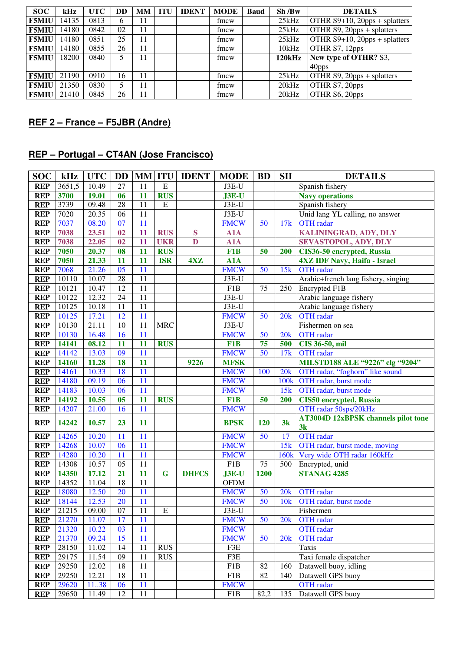| <b>SOC</b>         | kHz   | <b>UTC</b> | DD | MМ | <b>ITU</b> | <b>IDENT</b> | <b>MODE</b> | <b>Baud</b> | Sh/Bw         | <b>DETAILS</b>                     |
|--------------------|-------|------------|----|----|------------|--------------|-------------|-------------|---------------|------------------------------------|
| <b>F5MIU</b>       | 14135 | 0813       | 6  | 11 |            |              | fmcw        |             | 25kHz         | OTHR $S9+10$ , $20pps + splatters$ |
| <b>F5MIU</b>       | 14180 | 0842       | 02 | 11 |            |              | fmcw        |             | 25kHz         | OTHR S9, 20pps + splatters         |
| <b>F5MIU</b>       | 14180 | 0851       | 25 | 11 |            |              | fmcw        |             | 25kHz         | OTHR S9+10, 20pps + splatters      |
| <b>F5MIU</b>       | 14180 | 0855       | 26 | 11 |            |              | fmcw        |             | 10kHz         | OTHR S7, 12pps                     |
| <b>F5MIU</b>       | 18200 | 0840       | 5  | 11 |            |              | fmcw        |             | <b>120kHz</b> | New type of OTHR? S3,              |
|                    |       |            |    |    |            |              |             |             |               | 40pps                              |
| <b>F5MIU</b> 21190 |       | 0910       | 16 | 11 |            |              | fmcw        |             | 25kHz         | OTHR $S9$ , 20pps + splatters      |
| <b>F5MIU</b>       | 21350 | 0830       | 5  | 11 |            |              | fmcw        |             | 20kHz         | OTHR S7, 20pps                     |
| <b>F5MIU</b> 21410 |       | 0845       | 26 | 11 |            |              | fmcw        |             | 20kHz         | OTHR S6, 20pps                     |

#### **REF 2 – France – F5JBR (Andre)**

### **REP – Portugal – CT4AN (Jose Francisco)**

| <b>SOC</b> | kHz    | <b>UTC</b> | <b>DD</b>       |    | <b>MM ITU</b>  | <b>IDENT</b> | <b>MODE</b>      | <b>BD</b>       | <b>SH</b>       | <b>DETAILS</b>                      |
|------------|--------|------------|-----------------|----|----------------|--------------|------------------|-----------------|-----------------|-------------------------------------|
| <b>REP</b> | 3651,5 | 10.49      | 27              | 11 | ${\bf E}$      |              | J3E-U            |                 |                 | Spanish fishery                     |
| <b>REP</b> | 3700   | 19.01      | 06              | 11 | <b>RUS</b>     |              | $J3E-U$          |                 |                 | <b>Navy operations</b>              |
| <b>REP</b> | 3739   | 09.48      | 28              | 11 | $\overline{E}$ |              | J3E-U            |                 |                 | Spanish fishery                     |
| <b>REP</b> | 7020   | 20.35      | 06              | 11 |                |              | J3E-U            |                 |                 | Unid lang YL calling, no answer     |
| <b>REP</b> | 7037   | 08.20      | 07              | 11 |                |              | <b>FMCW</b>      | 50              | 17k             | <b>OTH</b> radar                    |
| <b>REP</b> | 7038   | 23.51      | 02              | 11 | <b>RUS</b>     | S            | A1A              |                 |                 | KALININGRAD, ADY, DLY               |
| <b>REP</b> | 7038   | 22.05      | 02              | 11 | <b>UKR</b>     | $\mathbf{D}$ | A1A              |                 |                 | SEVASTOPOL, ADY, DLY                |
| <b>REP</b> | 7050   | 20.37      | 08              | 11 | <b>RUS</b>     |              | F <sub>1</sub> B | 50              | 200             | CIS36-50 encrypted, Russia          |
| <b>REP</b> | 7050   | 21.33      | 11              | 11 | <b>ISR</b>     | 4XZ          | A1A              |                 |                 | <b>4XZ IDF Navy, Haifa - Israel</b> |
| <b>REP</b> | 7068   | 21.26      | $\overline{05}$ | 11 |                |              | <b>FMCW</b>      | 50              | 15k             | <b>OTH</b> radar                    |
| <b>REP</b> | 10110  | 10.07      | 28              | 11 |                |              | J3E-U            |                 |                 | Arabic+french lang fishery, singing |
| <b>REP</b> | 10121  | 10.47      | 12              | 11 |                |              | F1B              | 75              | 250             | Encrypted F1B                       |
| <b>REP</b> | 10122  | 12.32      | 24              | 11 |                |              | J3E-U            |                 |                 | Arabic language fishery             |
| <b>REP</b> | 10125  | 10.18      | 11              | 11 |                |              | J3E-U            |                 |                 | Arabic language fishery             |
| <b>REP</b> | 10125  | 17.21      | 12              | 11 |                |              | <b>FMCW</b>      | 50              | 20k             | <b>OTH</b> radar                    |
| <b>REP</b> | 10130  | 21.11      | 10              | 11 | <b>MRC</b>     |              | J3E-U            |                 |                 | Fishermen on sea                    |
| <b>REP</b> | 10130  | 16.48      | 16              | 11 |                |              | <b>FMCW</b>      | 50              | 20k             | <b>OTH</b> radar                    |
| <b>REP</b> | 14141  | 08.12      | 11              | 11 | <b>RUS</b>     |              | F <sub>1</sub> B | 75              | 500             | CIS 36-50, mil                      |
| <b>REP</b> | 14142  | 13.03      | 09              | 11 |                |              | <b>FMCW</b>      | 50              | 17k             | <b>OTH</b> radar                    |
| <b>REP</b> | 14160  | 11.28      | 18              | 11 |                | 9226         | <b>MFSK</b>      |                 |                 | MILSTD188 ALE "9226" clg "9204"     |
| <b>REP</b> | 14161  | 10.33      | 18              | 11 |                |              | <b>FMCW</b>      | 100             | 20k             | OTH radar, "foghorn" like sound     |
| <b>REP</b> | 14180  | 09.19      | 06              | 11 |                |              | <b>FMCW</b>      |                 | 100k            | OTH radar, burst mode               |
| <b>REP</b> | 14183  | 10.03      | 06              | 11 |                |              | <b>FMCW</b>      |                 | 15k             | OTH radar, burst mode               |
| <b>REP</b> | 14192  | 10.55      | 0 <sub>5</sub>  | 11 | <b>RUS</b>     |              | F <sub>1</sub> B | 50              | 200             | <b>CIS50</b> encrypted, Russia      |
| <b>REP</b> | 14207  | 21.00      | 16              | 11 |                |              | <b>FMCW</b>      |                 |                 | OTH radar 50sps/20kHz               |
| <b>REP</b> | 14242  | 10.57      | 23              | 11 |                |              | <b>BPSK</b>      | 120             | 3k              | AT3004D 12xBPSK channels pilot tone |
|            |        |            |                 |    |                |              |                  |                 |                 | 3k                                  |
| <b>REP</b> | 14265  | 10.20      | 11              | 11 |                |              | <b>FMCW</b>      | 50              | 17              | <b>OTH</b> radar                    |
| <b>REP</b> | 14268  | 10.07      | 06              | 11 |                |              | <b>FMCW</b>      |                 | 15k             | OTH radar, burst mode, moving       |
| <b>REP</b> | 14280  | 10.20      | 11              | 11 |                |              | <b>FMCW</b>      |                 | 160k            | Very wide OTH radar 160kHz          |
| <b>REP</b> | 14308  | 10.57      | 05              | 11 |                |              | F1B              | 75              | 500             | Encrypted, unid                     |
| <b>REP</b> | 14350  | 17.12      | 21              | 11 | $\mathbf G$    | <b>DHFCS</b> | J3E-U            | 1200            |                 | <b>STANAG 4285</b>                  |
| <b>REP</b> | 14352  | 11.04      | 18              | 11 |                |              | <b>OFDM</b>      |                 |                 |                                     |
| <b>REP</b> | 18080  | 12.50      | 20              | 11 |                |              | <b>FMCW</b>      | 50              | 20k             | <b>OTH</b> radar                    |
| <b>REP</b> | 18144  | 12.53      | 20              | 11 |                |              | <b>FMCW</b>      | $\overline{50}$ | 10k             | OTH radar, burst mode               |
| <b>REP</b> | 21215  | 09.00      | 07              | 11 | E              |              | J3E-U            |                 |                 | Fishermen                           |
| <b>REP</b> | 21270  | 11.07      | 17              | 11 |                |              | <b>FMCW</b>      | 50              | 20 <sub>k</sub> | <b>OTH</b> radar                    |
| <b>REP</b> | 21320  | 10.22      | 03              | 11 |                |              | <b>FMCW</b>      |                 |                 | <b>OTH</b> radar                    |
| <b>REP</b> | 21370  | 09.24      | 15              | 11 |                |              | <b>FMCW</b>      | 50              | 20k             | <b>OTH</b> radar                    |
| <b>REP</b> | 28150  | 11.02      | 14              | 11 | <b>RUS</b>     |              | F3E              |                 |                 | Taxis                               |
| <b>REP</b> | 29175  | 11.54      | 09              | 11 | <b>RUS</b>     |              | F3E              |                 |                 | Taxi female dispatcher              |
| <b>REP</b> | 29250  | 12.02      | 18              | 11 |                |              | F <sub>1</sub> B | 82              | 160             | Datawell buoy, idling               |
| <b>REP</b> | 29250  | 12.21      | 18              | 11 |                |              | F1B              | 82              | 140             | Datawell GPS buoy                   |
| <b>REP</b> | 29620  | 1138       | 06              | 11 |                |              | <b>FMCW</b>      |                 |                 | <b>OTH</b> radar                    |
| <b>REP</b> | 29650  | 11.49      | 12              | 11 |                |              | F1B              | 82,2            | 135             | Datawell GPS buoy                   |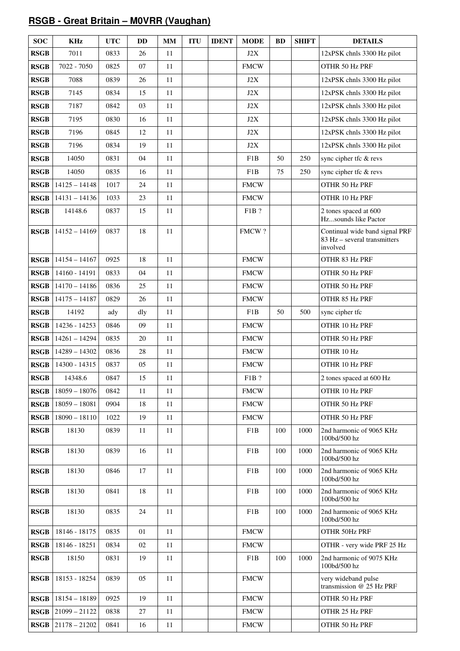#### **RSGB - Great Britain – M0VRR (Vaughan)**

| <b>SOC</b>  | <b>KHz</b>      | <b>UTC</b> | <b>DD</b> | <b>MM</b> | <b>ITU</b> | <b>IDENT</b> | <b>MODE</b> | <b>BD</b> | <b>SHIFT</b> | <b>DETAILS</b>                                                             |
|-------------|-----------------|------------|-----------|-----------|------------|--------------|-------------|-----------|--------------|----------------------------------------------------------------------------|
| <b>RSGB</b> | 7011            | 0833       | 26        | 11        |            |              | J2X         |           |              | 12xPSK chnls 3300 Hz pilot                                                 |
| <b>RSGB</b> | 7022 - 7050     | 0825       | 07        | 11        |            |              | <b>FMCW</b> |           |              | OTHR 50 Hz PRF                                                             |
| <b>RSGB</b> | 7088            | 0839       | 26        | 11        |            |              | J2X         |           |              | 12xPSK chnls 3300 Hz pilot                                                 |
| <b>RSGB</b> | 7145            | 0834       | 15        | 11        |            |              | J2X         |           |              | 12xPSK chnls 3300 Hz pilot                                                 |
| <b>RSGB</b> | 7187            | 0842       | 03        | 11        |            |              | J2X         |           |              | 12xPSK chnls 3300 Hz pilot                                                 |
| <b>RSGB</b> | 7195            | 0830       | 16        | 11        |            |              | J2X         |           |              | 12xPSK chnls 3300 Hz pilot                                                 |
| <b>RSGB</b> | 7196            | 0845       | 12        | 11        |            |              | J2X         |           |              | 12xPSK chnls 3300 Hz pilot                                                 |
| <b>RSGB</b> | 7196            | 0834       | 19        | 11        |            |              | J2X         |           |              | 12xPSK chnls 3300 Hz pilot                                                 |
| <b>RSGB</b> | 14050           | 0831       | 04        | 11        |            |              | F1B         | 50        | 250          | sync cipher tfc & revs                                                     |
| <b>RSGB</b> | 14050           | 0835       | 16        | 11        |            |              | F1B         | 75        | 250          | sync cipher tfc & revs                                                     |
| <b>RSGB</b> | $14125 - 14148$ | 1017       | 24        | 11        |            |              | <b>FMCW</b> |           |              | OTHR 50 Hz PRF                                                             |
| <b>RSGB</b> | $14131 - 14136$ | 1033       | 23        | 11        |            |              | <b>FMCW</b> |           |              | OTHR 10 Hz PRF                                                             |
| <b>RSGB</b> | 14148.6         | 0837       | 15        | 11        |            |              | F1B ?       |           |              | 2 tones spaced at 600<br>Hzsounds like Pactor                              |
| <b>RSGB</b> | $14152 - 14169$ | 0837       | 18        | 11        |            |              | FMCW?       |           |              | Continual wide band signal PRF<br>83 Hz - several transmitters<br>involved |
| <b>RSGB</b> | $14154 - 14167$ | 0925       | 18        | 11        |            |              | <b>FMCW</b> |           |              | OTHR 83 Hz PRF                                                             |
| <b>RSGB</b> | 14160 - 14191   | 0833       | 04        | 11        |            |              | <b>FMCW</b> |           |              | OTHR 50 Hz PRF                                                             |
| <b>RSGB</b> | $14170 - 14186$ | 0836       | 25        | 11        |            |              | <b>FMCW</b> |           |              | OTHR 50 Hz PRF                                                             |
| <b>RSGB</b> | $14175 - 14187$ | 0829       | 26        | 11        |            |              | <b>FMCW</b> |           |              | OTHR 85 Hz PRF                                                             |
| <b>RSGB</b> | 14192           | ady        | dly       | 11        |            |              | F1B         | 50        | 500          | sync cipher tfc                                                            |
| <b>RSGB</b> | 14236 - 14253   | 0846       | 09        | 11        |            |              | <b>FMCW</b> |           |              | OTHR 10 Hz PRF                                                             |
| <b>RSGB</b> | $14261 - 14294$ | 0835       | 20        | 11        |            |              | <b>FMCW</b> |           |              | OTHR 50 Hz PRF                                                             |
| <b>RSGB</b> | $14289 - 14302$ | 0836       | 28        | 11        |            |              | <b>FMCW</b> |           |              | OTHR 10 Hz                                                                 |
| <b>RSGB</b> | 14300 - 14315   | 0837       | 05        | 11        |            |              | <b>FMCW</b> |           |              | OTHR 10 Hz PRF                                                             |
| <b>RSGB</b> | 14348.6         | 0847       | 15        | 11        |            |              | F1B?        |           |              | 2 tones spaced at 600 Hz                                                   |
| <b>RSGB</b> | $18059 - 18076$ | 0842       | 11        | 11        |            |              | <b>FMCW</b> |           |              | OTHR 10 Hz PRF                                                             |
| <b>RSGB</b> | $18059 - 18081$ | 0904       | 18        | 11        |            |              | <b>FMCW</b> |           |              | OTHR 50 Hz PRF                                                             |
| <b>RSGB</b> | $18090 - 18110$ | 1022       | 19        | 11        |            |              | <b>FMCW</b> |           |              | OTHR 50 Hz PRF                                                             |
| <b>RSGB</b> | 18130           | 0839       | 11        | 11        |            |              | F1B         | 100       | 1000         | 2nd harmonic of 9065 KHz<br>100bd/500 hz                                   |
| <b>RSGB</b> | 18130           | 0839       | 16        | 11        |            |              | F1B         | 100       | 1000         | 2nd harmonic of 9065 KHz<br>100bd/500 hz                                   |
| <b>RSGB</b> | 18130           | 0846       | 17        | 11        |            |              | F1B         | 100       | 1000         | 2nd harmonic of 9065 KHz<br>100bd/500 hz                                   |
| <b>RSGB</b> | 18130           | 0841       | 18        | 11        |            |              | F1B         | 100       | 1000         | 2nd harmonic of 9065 KHz<br>100bd/500 hz                                   |
| <b>RSGB</b> | 18130           | 0835       | 24        | 11        |            |              | F1B         | 100       | 1000         | 2nd harmonic of 9065 KHz<br>100bd/500 hz                                   |
| <b>RSGB</b> | 18146 - 18175   | 0835       | 01        | 11        |            |              | <b>FMCW</b> |           |              | OTHR 50Hz PRF                                                              |
| <b>RSGB</b> | 18146 - 18251   | 0834       | 02        | 11        |            |              | <b>FMCW</b> |           |              | OTHR - very wide PRF 25 Hz                                                 |
| <b>RSGB</b> | 18150           | 0831       | 19        | 11        |            |              | F1B         | 100       | 1000         | 2nd harmonic of 9075 KHz<br>100bd/500 hz                                   |
| <b>RSGB</b> | 18153 - 18254   | 0839       | 05        | 11        |            |              | <b>FMCW</b> |           |              | very wideband pulse<br>transmission @ 25 Hz PRF                            |
| <b>RSGB</b> | $18154 - 18189$ | 0925       | 19        | 11        |            |              | <b>FMCW</b> |           |              | OTHR 50 Hz PRF                                                             |
| <b>RSGB</b> | $21099 - 21122$ | 0838       | 27        | 11        |            |              | <b>FMCW</b> |           |              | OTHR 25 Hz PRF                                                             |
| <b>RSGB</b> | $21178 - 21202$ | 0841       | 16        | $11\,$    |            |              | <b>FMCW</b> |           |              | OTHR 50 Hz PRF                                                             |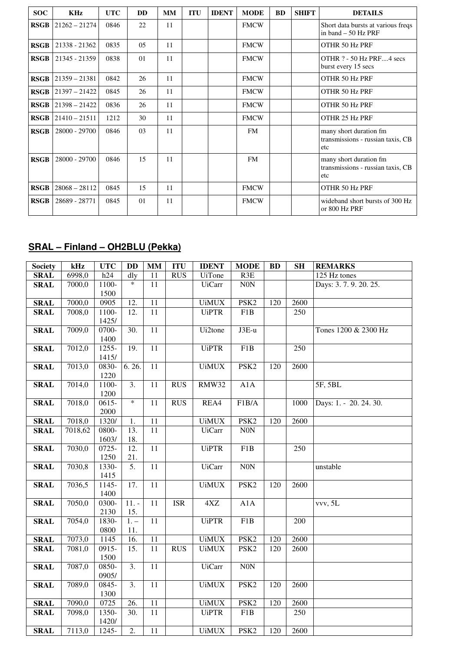| <b>SOC</b>  | <b>KHz</b>      | <b>UTC</b> | <b>DD</b> | <b>MM</b> | <b>ITU</b> | <b>IDENT</b> | <b>MODE</b> | <b>BD</b> | <b>SHIFT</b> | <b>DETAILS</b>                                                     |
|-------------|-----------------|------------|-----------|-----------|------------|--------------|-------------|-----------|--------------|--------------------------------------------------------------------|
| <b>RSGB</b> | $21262 - 21274$ | 0846       | 22        | 11        |            |              | <b>FMCW</b> |           |              | Short data bursts at various freqs<br>in band $-50$ Hz PRF         |
| <b>RSGB</b> | 21338 - 21362   | 0835       | 05        | 11        |            |              | <b>FMCW</b> |           |              | OTHR 50 Hz PRF                                                     |
| <b>RSGB</b> | 21345 - 21359   | 0838       | 01        | 11        |            |              | <b>FMCW</b> |           |              | OTHR ? - 50 Hz PRF4 secs<br>burst every 15 secs                    |
| <b>RSGB</b> | $21359 - 21381$ | 0842       | 26        | 11        |            |              | <b>FMCW</b> |           |              | OTHR 50 Hz PRF                                                     |
| <b>RSGB</b> | $21397 - 21422$ | 0845       | 26        | 11        |            |              | <b>FMCW</b> |           |              | OTHR 50 Hz PRF                                                     |
| <b>RSGB</b> | $21398 - 21422$ | 0836       | 26        | 11        |            |              | <b>FMCW</b> |           |              | OTHR 50 Hz PRF                                                     |
| <b>RSGB</b> | $21410 - 21511$ | 1212       | 30        | 11        |            |              | <b>FMCW</b> |           |              | OTHR 25 Hz PRF                                                     |
| <b>RSGB</b> | 28000 - 29700   | 0846       | 03        | 11        |            |              | <b>FM</b>   |           |              | many short duration fm<br>transmissions - russian taxis, CB<br>etc |
| <b>RSGB</b> | 28000 - 29700   | 0846       | 15        | 11        |            |              | <b>FM</b>   |           |              | many short duration fm<br>transmissions - russian taxis, CB<br>etc |
| <b>RSGB</b> | $28068 - 28112$ | 0845       | 15        | 11        |            |              | <b>FMCW</b> |           |              | OTHR 50 Hz PRF                                                     |
| <b>RSGB</b> | 28689 - 28771   | 0845       | 01        | 11        |            |              | <b>FMCW</b> |           |              | wideband short bursts of 300 Hz<br>or 800 Hz PRF                   |

### **SRAL – Finland – OH2BLU (Pekka)**

| <b>Society</b> | kHz     | <b>UTC</b> | <b>DD</b>         | $\mathbf{MM}$   | <b>ITU</b> | <b>IDENT</b>  | <b>MODE</b>      | <b>BD</b> | <b>SH</b>        | <b>REMARKS</b>         |
|----------------|---------|------------|-------------------|-----------------|------------|---------------|------------------|-----------|------------------|------------------------|
| <b>SRAL</b>    | 6998,0  | h24        | dly               | 11              | RUS        | <b>UiTone</b> | R3E              |           |                  | 125 Hz tones           |
| <b>SRAL</b>    | 7000,0  | 1100-      | $\ast$            | 11              |            | <b>UiCarr</b> | $\rm{NON}$       |           |                  | Days: 3.7.9.20.25.     |
|                |         | 1500       |                   |                 |            |               |                  |           |                  |                        |
| <b>SRAL</b>    | 7000,0  | 0905       | 12.               | 11              |            | <b>UiMUX</b>  | PSK <sub>2</sub> | 120       | 2600             |                        |
| <b>SRAL</b>    | 7008,0  | 1100-      | 12.               | 11              |            | <b>UiPTR</b>  | F1B              |           | 250              |                        |
|                |         | 1425/      |                   |                 |            |               |                  |           |                  |                        |
| <b>SRAL</b>    | 7009,0  | 0700-      | $\overline{30}$ . | $\overline{11}$ |            | Ui2tone       | $J3E-u$          |           |                  | Tones 1200 & 2300 Hz   |
|                |         | 1400       |                   |                 |            |               |                  |           |                  |                        |
| <b>SRAL</b>    | 7012,0  | 1255-      | 19.               | 11              |            | <b>UiPTR</b>  | F1B              |           | 250              |                        |
|                |         | 1415/      |                   |                 |            |               |                  |           |                  |                        |
| <b>SRAL</b>    | 7013,0  | 0830-      | 6.26.             | $\overline{11}$ |            | <b>UiMUX</b>  | PSK <sub>2</sub> | 120       | 2600             |                        |
|                |         | 1220       |                   |                 |            |               |                  |           |                  |                        |
| <b>SRAL</b>    | 7014,0  | $1100-$    | $\overline{3}$ .  | 11              | <b>RUS</b> | RMW32         | A1A              |           |                  | 5F, 5BL                |
|                |         | 1200       |                   |                 |            |               |                  |           |                  |                        |
| <b>SRAL</b>    | 7018,0  | $0615 -$   | $\ast$            | 11              | RUS        | REA4          | F1B/A            |           | 1000             | Days: 1. - 20. 24. 30. |
|                |         | 2000       |                   |                 |            |               |                  |           |                  |                        |
| <b>SRAL</b>    | 7018,0  | 1320/      | 1.                | 11              |            | <b>UiMUX</b>  | PSK <sub>2</sub> | 120       | 2600             |                        |
| <b>SRAL</b>    | 7018,62 | 0800-      | 13.               | $\overline{11}$ |            | <b>UiCarr</b> | N0N              |           |                  |                        |
|                |         | 1603/      | 18.               |                 |            |               |                  |           |                  |                        |
| <b>SRAL</b>    | 7030,0  | $0725 -$   | $\overline{12}$ . | $\overline{11}$ |            | <b>UiPTR</b>  | F1B              |           | $\overline{250}$ |                        |
|                |         | 1250       | 21.               |                 |            |               |                  |           |                  |                        |
| <b>SRAL</b>    | 7030,8  | 1330-      | 5.                | 11              |            | <b>UiCarr</b> | $\rm{NON}$       |           |                  | unstable               |
|                |         | 1415       |                   |                 |            |               |                  |           |                  |                        |
| <b>SRAL</b>    | 7036,5  | 1145-      | 17.               | 11              |            | <b>UiMUX</b>  | PSK <sub>2</sub> | 120       | 2600             |                        |
|                |         | 1400       |                   |                 |            |               |                  |           |                  |                        |
| <b>SRAL</b>    | 7050,0  | 0300-      | $11. -$           | 11              | <b>ISR</b> | 4XZ           | A1A              |           |                  | vvv, 5L                |
|                |         | 2130       | 15.               |                 |            |               |                  |           |                  |                        |
| <b>SRAL</b>    | 7054,0  | 1830-      | $1. -$            | 11              |            | <b>UiPTR</b>  | F1B              |           | 200              |                        |
|                |         | 0800       | 11.               |                 |            |               |                  |           |                  |                        |
| <b>SRAL</b>    | 7073,0  | 1145       | 16.               | 11              |            | <b>UiMUX</b>  | PSK <sub>2</sub> | 120       | 2600             |                        |
| <b>SRAL</b>    | 7081,0  | 0915-      | 15.               | 11              | <b>RUS</b> | <b>UiMUX</b>  | PSK <sub>2</sub> | 120       | 2600             |                        |
|                |         | 1500       |                   |                 |            |               |                  |           |                  |                        |
| <b>SRAL</b>    | 7087,0  | 0850-      | $\overline{3}$ .  | $\overline{11}$ |            | <b>UiCarr</b> | N0N              |           |                  |                        |
|                |         | 0905/      |                   |                 |            |               |                  |           |                  |                        |
| <b>SRAL</b>    | 7089,0  | 0845-      | $\overline{3}$ .  | 11              |            | <b>UiMUX</b>  | PSK <sub>2</sub> | 120       | 2600             |                        |
|                |         | 1300       |                   |                 |            |               |                  |           |                  |                        |
| <b>SRAL</b>    | 7090,0  | 0725       | 26.               | 11              |            | <b>UiMUX</b>  | PSK <sub>2</sub> | 120       | 2600             |                        |
| <b>SRAL</b>    | 7098,0  | 1350-      | 30.               | 11              |            | <b>UiPTR</b>  | F1B              |           | 250              |                        |
|                |         | 1420/      |                   |                 |            |               |                  |           |                  |                        |
| <b>SRAL</b>    | 7113,0  | 1245-      | $\overline{2}$ .  | $\overline{11}$ |            | <b>UiMUX</b>  | PSK <sub>2</sub> | 120       | 2600             |                        |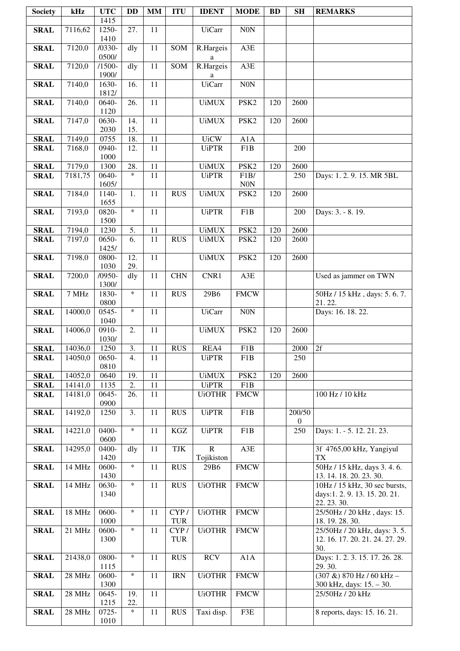| <b>Society</b> | kHz     | <b>UTC</b>        | <b>DD</b>        | <b>MM</b>             | <b>ITU</b>         | <b>IDENT</b>   | <b>MODE</b>        | <b>BD</b> | SH             | <b>REMARKS</b>                                                  |
|----------------|---------|-------------------|------------------|-----------------------|--------------------|----------------|--------------------|-----------|----------------|-----------------------------------------------------------------|
|                |         | 1415              |                  |                       |                    |                |                    |           |                |                                                                 |
| <b>SRAL</b>    | 7116,62 | 1250-<br>1410     | 27.              | 11                    |                    | <b>UiCarr</b>  | $\rm{NON}$         |           |                |                                                                 |
| <b>SRAL</b>    | 7120,0  | $/0330-$          | dly              | 11                    | SOM                | R.Hargeis      | A3E                |           |                |                                                                 |
|                |         | 0500/             |                  |                       |                    | a              |                    |           |                |                                                                 |
| <b>SRAL</b>    | 7120,0  | $/1500-$<br>1900/ | dly              | $\overline{11}$       | SOM                | R.Hargeis<br>a | A3E                |           |                |                                                                 |
| <b>SRAL</b>    | 7140,0  | 1630-             | 16.              | $\overline{11}$       |                    | <b>UiCarr</b>  | N0N                |           |                |                                                                 |
|                |         | 1812/             |                  |                       |                    |                |                    |           |                |                                                                 |
| <b>SRAL</b>    | 7140,0  | 0640-<br>1120     | 26.              | 11                    |                    | <b>UiMUX</b>   | PSK <sub>2</sub>   | 120       | 2600           |                                                                 |
| <b>SRAL</b>    | 7147,0  | 0630-<br>2030     | 14.<br>15.       | $\overline{11}$       |                    | <b>UiMUX</b>   | PSK <sub>2</sub>   | 120       | 2600           |                                                                 |
| <b>SRAL</b>    | 7149,0  | 0755              | 18.              | $\overline{11}$       |                    | <b>UiCW</b>    | A1A                |           |                |                                                                 |
| <b>SRAL</b>    | 7168,0  | 0940-             | 12.              | $\overline{11}$       |                    | <b>UiPTR</b>   | F1B                |           | 200            |                                                                 |
|                |         | 1000              |                  |                       |                    |                |                    |           |                |                                                                 |
| <b>SRAL</b>    | 7179,0  | 1300<br>0640-     | 28.<br>$\ast$    | 11<br>11              |                    | <b>UiMUX</b>   | PSK <sub>2</sub>   | 120       | 2600           |                                                                 |
| <b>SRAL</b>    | 7181,75 | 1605/             |                  |                       |                    | <b>UiPTR</b>   | F1B/<br><b>N0N</b> |           | 250            | Days: 1.2.9.15. MR 5BL                                          |
| <b>SRAL</b>    | 7184,0  | 1140-             | $\overline{1}$ . | $\overline{11}$       | <b>RUS</b>         | <b>UiMUX</b>   | PSK <sub>2</sub>   | 120       | 2600           |                                                                 |
| <b>SRAL</b>    | 7193,0  | 1655<br>0820-     | $\ast$           | 11                    |                    | <b>UiPTR</b>   | F1B                |           | 200            | Days: 3. - 8. 19.                                               |
|                |         | 1500              |                  |                       |                    |                |                    |           |                |                                                                 |
| <b>SRAL</b>    | 7194,0  | 1230              | 5.               | 11                    |                    | <b>UiMUX</b>   | PSK <sub>2</sub>   | 120       | 2600           |                                                                 |
| <b>SRAL</b>    | 7197,0  | 0650-             | 6.               | 11                    | <b>RUS</b>         | <b>UiMUX</b>   | PSK <sub>2</sub>   | 120       | 2600           |                                                                 |
|                |         | 1425/             |                  |                       |                    |                |                    |           |                |                                                                 |
| <b>SRAL</b>    | 7198,0  | 0800-             | 12.              | $\overline{11}$       |                    | <b>UiMUX</b>   | PSK <sub>2</sub>   | 120       | 2600           |                                                                 |
|                |         | 1030              | 29.              |                       |                    |                |                    |           |                |                                                                 |
| <b>SRAL</b>    | 7200,0  | $/0950-$<br>1300/ | dly              | 11                    | <b>CHN</b>         | CNR1           | A3E                |           |                | Used as jammer on TWN                                           |
| <b>SRAL</b>    | 7 MHz   | 1830-<br>0800     | $\ast$           | 11                    | <b>RUS</b>         | 29B6           | <b>FMCW</b>        |           |                | 50Hz / 15 kHz, days: 5.6.7.<br>21.22.                           |
| <b>SRAL</b>    | 14000,0 | 0545-             | $\ast$           | $\overline{11}$       |                    | <b>UiCarr</b>  | <b>N0N</b>         |           |                | Days: 16. 18. 22.                                               |
|                |         | 1040              |                  |                       |                    |                |                    |           |                |                                                                 |
| <b>SRAL</b>    | 14006,0 | $0910-$<br>1030/  | 2.               | $\overline{11}$       |                    | <b>UiMUX</b>   | PSK <sub>2</sub>   | 120       | 2600           |                                                                 |
| <b>SRAL</b>    | 14036,0 | 1250              | $\overline{3}$ . | $\overline{11}$       | <b>RUS</b>         | REA4           | F1B                |           | $2000$ 2f      |                                                                 |
| <b>SRAL</b>    | 14050,0 | 0650-             | 4.               | 11                    |                    | <b>UiPTR</b>   | F1B                |           | 250            |                                                                 |
|                |         | 0810              |                  |                       |                    |                |                    |           |                |                                                                 |
| <b>SRAL</b>    | 14052,0 | 0640              | 19.              | $\overline{11}$       |                    | <b>UiMUX</b>   | PSK <sub>2</sub>   | 120       | 2600           |                                                                 |
| <b>SRAL</b>    | 14141,0 | 1135<br>0645-     | 2.<br>26.        | $\overline{11}$<br>11 |                    | <b>UiPTR</b>   | F1B                |           |                |                                                                 |
| <b>SRAL</b>    | 14181,0 | 0900              |                  |                       |                    | <b>UiOTHR</b>  | <b>FMCW</b>        |           |                | 100 Hz / 10 kHz                                                 |
| <b>SRAL</b>    | 14192,0 | 1250              | 3.               | 11                    | <b>RUS</b>         | <b>UiPTR</b>   | F1B                |           | 200/50         |                                                                 |
|                |         |                   |                  |                       |                    |                |                    |           | $\overline{0}$ |                                                                 |
| <b>SRAL</b>    | 14221,0 | 0400-<br>0600     | $\ast$           | 11                    | $\rm KGZ$          | <b>UiPTR</b>   | F1B                |           | 250            | Days: 1. - 5. 12. 21. 23.                                       |
| <b>SRAL</b>    | 14295,0 | 0400-             | dly              | 11                    | TJK                | $\mathbf R$    | A3E                |           |                | 3f 4765,00 kHz, Yangiyul                                        |
|                |         | 1420              |                  |                       |                    | Tojikiston     |                    |           |                | TX                                                              |
| <b>SRAL</b>    | 14 MHz  | 0600-             | $\ast$           | 11                    | <b>RUS</b>         | 29B6           | <b>FMCW</b>        |           |                | 50Hz / 15 kHz, days 3.4.6.                                      |
| <b>SRAL</b>    | 14 MHz  | 1430<br>0630-     | $\ast$           | 11                    | <b>RUS</b>         | <b>UiOTHR</b>  | <b>FMCW</b>        |           |                | 13. 14. 18. 20. 23. 30.<br>10Hz / 15 kHz, 30 sec bursts,        |
|                |         | 1340              |                  |                       |                    |                |                    |           |                | days:1.2.9.13.15.20.21.                                         |
|                |         |                   |                  |                       |                    |                |                    |           |                | 22. 23. 30.                                                     |
| <b>SRAL</b>    | 18 MHz  | 0600-             | $\ast$           | 11                    | CYP/               | <b>UiOTHR</b>  | <b>FMCW</b>        |           |                | 25/50Hz / 20 kHz, days: 15.                                     |
|                |         | 1000              |                  |                       | <b>TUR</b>         |                |                    |           |                | 18.19.28.30.                                                    |
| <b>SRAL</b>    | 21 MHz  | 0600-<br>1300     | $\ast$           | 11                    | CYP/<br><b>TUR</b> | <b>UiOTHR</b>  | <b>FMCW</b>        |           |                | 25/50Hz / 20 kHz, days: 3.5.<br>12. 16. 17. 20. 21. 24. 27. 29. |
|                |         |                   |                  |                       |                    |                |                    |           |                | 30.                                                             |
| <b>SRAL</b>    | 21438,0 | 0800-<br>1115     | $\ast$           | 11                    | <b>RUS</b>         | <b>RCV</b>     | A1A                |           |                | Days: 1.2.3.15.17.26.28.<br>29.30.                              |
| <b>SRAL</b>    | 28 MHz  | 0600-<br>1300     | $\ast$           | 11                    | <b>IRN</b>         | <b>UiOTHR</b>  | <b>FMCW</b>        |           |                | $(307 \&) 870 Hz / 60 kHz$ -<br>300 kHz, days: 15. - 30.        |
| <b>SRAL</b>    | 28 MHz  | 0645-             | 19.              | 11                    |                    | <b>UiOTHR</b>  | <b>FMCW</b>        |           |                | 25/50Hz / 20 kHz                                                |
|                |         | 1215              | 22.              |                       |                    |                |                    |           |                |                                                                 |
| <b>SRAL</b>    | 28 MHz  | 0725-             | $\ast$           | 11                    | <b>RUS</b>         | Taxi disp.     | F3E                |           |                | 8 reports, days: 15. 16. 21.                                    |
|                |         | 1010              |                  |                       |                    |                |                    |           |                |                                                                 |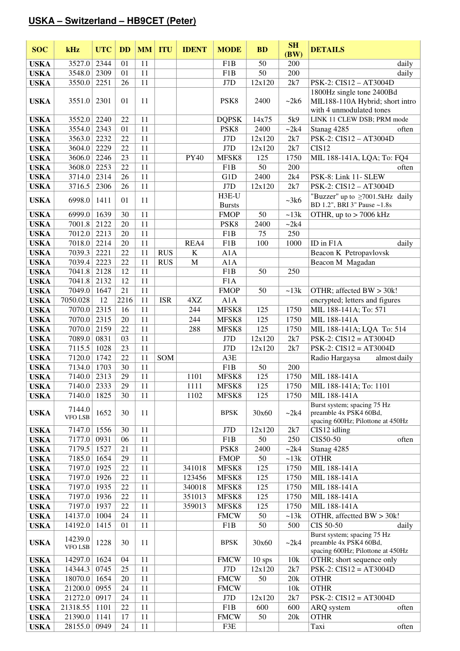#### **USKA – Switzerland – HB9CET (Peter)**

| <b>SOC</b>  | kHz                       | <b>UTC</b> | <b>DD</b> | <b>MM</b> | <b>ITU</b> | <b>IDENT</b> | <b>MODE</b>            | <b>BD</b> | <b>SH</b>     | <b>DETAILS</b>                                                                             |  |
|-------------|---------------------------|------------|-----------|-----------|------------|--------------|------------------------|-----------|---------------|--------------------------------------------------------------------------------------------|--|
|             |                           |            |           |           |            |              |                        |           | (BW)          |                                                                                            |  |
| <b>USKA</b> | 3527.0                    | 2344       | 01        | 11        |            |              | F1B                    | 50        | 200           | daily                                                                                      |  |
| <b>USKA</b> | 3548.0                    | 2309       | 01        | 11        |            |              | F1B                    | 50        | 200           | daily                                                                                      |  |
| <b>USKA</b> | 3550.0                    | 2251       | 26        | 11        |            |              | J7D                    | 12x120    | 2k7           | PSK-2: CIS12 - AT3004D                                                                     |  |
| <b>USKA</b> | 3551.0                    | 2301       | 01        | 11        |            |              | PSK <sub>8</sub>       | 2400      | ~2k6          | 1800Hz single tone 2400Bd<br>MIL188-110A Hybrid; short intro<br>with 4 unmodulated tones   |  |
| <b>USKA</b> | 3552.0                    | 2240       | 22        | 11        |            |              | <b>DQPSK</b>           | 14x75     | 5k9           | LINK 11 CLEW DSB; PRM mode                                                                 |  |
| <b>USKA</b> | 3554.0                    | 2343       | 01        | 11        |            |              | PSK8                   | 2400      | ~2k4          | Stanag 4285<br>often                                                                       |  |
| <b>USKA</b> | 3563.0                    | 2232       | 22        | 11        |            |              | J7D                    | 12x120    | 2k7           | PSK-2: CIS12 - AT3004D                                                                     |  |
| <b>USKA</b> | 3604.0                    | 2229       | 22        | 11        |            |              | J7D                    | 12x120    | 2k7           | CIS <sub>12</sub>                                                                          |  |
| <b>USKA</b> | 3606.0                    | 2246       | 23        | 11        |            | <b>PY40</b>  | MFSK8                  | 125       | 1750          | MIL 188-141A, LQA; To: FQ4                                                                 |  |
| <b>USKA</b> | 3608.0                    | 2253       | 22        | 11        |            |              | F1B                    | 50        | 200           | often                                                                                      |  |
| <b>USKA</b> | 3714.0                    | 2314       | 26        | 11        |            |              | G1D                    | 2400      | 2k4           | PSK-8: Link 11- SLEW                                                                       |  |
| <b>USKA</b> | 3716.5                    | 2306       | 26        | 11        |            |              | J7D                    | 12x120    | 2k7           | PSK-2: CIS12 - AT3004D                                                                     |  |
| <b>USKA</b> | 6998.0                    | 1411       | 01        | 11        |            |              | H3E-U<br><b>Bursts</b> |           | ~28k          | "Buzzer" up to $\geq$ 7001.5kHz daily<br>BD 1.2", BRI 3" Pause ~1.8s                       |  |
| <b>USKA</b> | 6999.0                    | 1639       | 30        | 11        |            |              | <b>FMOP</b>            | 50        | $\sim$ 13 $k$ | OTHR, up to $> 7006$ kHz                                                                   |  |
| <b>USKA</b> | 7001.8                    | 2122       | 20        | 11        |            |              | PSK <sub>8</sub>       | 2400      | ~2k4          |                                                                                            |  |
| <b>USKA</b> | 7012.0                    | 2213       | 20        | 11        |            |              | F1B                    | 75        | 250           |                                                                                            |  |
| <b>USKA</b> | 7018.0                    | 2214       | 20        | 11        |            | REA4         | F1B                    | 100       | 1000          | ID in F1A<br>daily                                                                         |  |
| <b>USKA</b> | 7039.3                    | 2221       | 22        | 11        | <b>RUS</b> | $\bf K$      | A1A                    |           |               | Beacon K Petropavlovsk                                                                     |  |
| <b>USKA</b> | 7039.4                    | 2223       | 22        | 11        | <b>RUS</b> | $\mathbf M$  | A1A                    |           |               | Beacon M Magadan                                                                           |  |
| <b>USKA</b> | 7041.8                    | 2128       | 12        | 11        |            |              | F1B                    | 50        | 250           |                                                                                            |  |
| <b>USKA</b> | 7041.8                    | 2132       | 12        | 11        |            |              | F1A                    |           |               |                                                                                            |  |
| <b>USKA</b> | 7049.0                    | 1647       | 21        | 11        |            |              | <b>FMOP</b>            | 50        | $\sim$ 13 $k$ | OTHR; affected BW > 30k!                                                                   |  |
| <b>USKA</b> | 7050.028                  | 12         | 2216      | 11        | <b>ISR</b> | 4XZ          | A1A                    |           |               | encrypted; letters and figures                                                             |  |
| <b>USKA</b> | 7070.0                    | 2315       | 16        | 11        |            | 244          | MFSK8                  | 125       | 1750          | MIL 188-141A; To: 571                                                                      |  |
| <b>USKA</b> | 7070.0                    | 2315       | 20        | 11        |            | 244          | MFSK8                  | 125       | 1750          | MIL 188-141A                                                                               |  |
| <b>USKA</b> | 7070.0                    | 2159       | 22        | 11        |            | 288          | MFSK8                  | 125       | 1750          | MIL 188-141A; LQA To: 514                                                                  |  |
| <b>USKA</b> | 7089.0                    | 0831       | 03        | 11        |            |              | J7D                    | 12x120    | 2k7           | $PSK-2$ : $CIS12 = AT3004D$                                                                |  |
| <b>USKA</b> | 7115.5                    | 1028       | 23        | 11        |            |              | J7D                    | 12x120    | 2k7           | $PSK-2$ : $CIS12 = AT3004D$                                                                |  |
| <b>USKA</b> | 7120.0                    | 1742       | 22        | 11        | SOM        |              | A3E                    |           |               | Radio Hargaysa<br>almost daily                                                             |  |
| <b>USKA</b> | 7134.0                    | 1703       | 30        | 11        |            |              | F1B                    | 50        | 200           |                                                                                            |  |
| <b>USKA</b> | 7140.0                    | 2313       | 29        | 11        |            | 1101         | MFSK8                  | 125       | 1750          | MIL 188-141A                                                                               |  |
| <b>USKA</b> | 7140.0                    | 2333       | 29        | 11        |            | 1111         | MFSK8                  | 125       | 1750          | MIL 188-141A; To: 1101                                                                     |  |
| <b>USKA</b> | 7140.0                    | 1825       | 30        | 11        |            | 1102         | MFSK8                  | 125       | 1750          | MIL 188-141A                                                                               |  |
| <b>USKA</b> | 7144.0<br><b>VFO LSB</b>  | 1652       | 30        | 11        |            |              | <b>BPSK</b>            | 30x60     | ~2k4          | Burst system; spacing 75 Hz<br>preamble 4x PSK4 60Bd,<br>spacing 600Hz; Pilottone at 450Hz |  |
| <b>USKA</b> | 7147.0                    | 1556       | 30        | 11        |            |              | J7D                    | 12x120    | 2k7           | CIS12 idling                                                                               |  |
| <b>USKA</b> | 7177.0                    | 0931       | 06        | 11        |            |              | F1B                    | 50        | 250           | CIS50-50<br>often                                                                          |  |
| <b>USKA</b> | 7179.5                    | 1527       | 21        | 11        |            |              | PSK <sub>8</sub>       | 2400      | $\sim$ 2k4    | Stanag 4285                                                                                |  |
| <b>USKA</b> | 7185.0                    | 1654       | 29        | 11        |            |              | <b>FMOP</b>            | 50        | $\sim$ 13 $k$ | <b>OTHR</b>                                                                                |  |
| <b>USKA</b> | 7197.0                    | 1925       | 22        | 11        |            | 341018       | MFSK8                  | 125       | 1750          | MIL 188-141A                                                                               |  |
| <b>USKA</b> | 7197.0                    | 1926       | 22        | 11        |            | 123456       | MFSK8                  | 125       | 1750          | MIL 188-141A                                                                               |  |
| <b>USKA</b> | 7197.0                    | 1935       | 22        | 11        |            | 340018       | MFSK8                  | 125       | 1750          | MIL 188-141A                                                                               |  |
| <b>USKA</b> | 7197.0                    | 1936       | 22        | 11        |            | 351013       | MFSK8                  | 125       | 1750          | MIL 188-141A                                                                               |  |
| <b>USKA</b> | 7197.0                    | 1937       | 22        | 11        |            | 359013       | MFSK8                  | 125       | 1750          | MIL 188-141A                                                                               |  |
| <b>USKA</b> | 14137.0                   | 1004       | 24        | 11        |            |              | <b>FMCW</b>            | 50        | $\sim$ 13 $k$ | OTHR, affectted BW > 30k!                                                                  |  |
| <b>USKA</b> | 14192.0                   | 1415       | 01        | 11        |            |              | F1B                    | 50        | 500           | CIS 50-50<br>daily                                                                         |  |
| <b>USKA</b> | 14239.0<br><b>VFO LSB</b> | 1228       | 30        | 11        |            |              | <b>BPSK</b>            | 30x60     | ~2k4          | Burst system; spacing 75 Hz<br>preamble 4x PSK4 60Bd,<br>spacing 600Hz; Pilottone at 450Hz |  |
| <b>USKA</b> | 14297.0                   | 1624       | 04        | 11        |            |              | <b>FMCW</b>            | $10$ sps  | 10k           | OTHR; short sequence only                                                                  |  |
| <b>USKA</b> | 14344.3                   | 0745       | 25        | 11        |            |              | J7D                    | 12x120    | 2k7           | $PSK-2$ : $CIS12 = AT3004D$                                                                |  |
| <b>USKA</b> | 18070.0                   | 1654       | 20        | 11        |            |              | <b>FMCW</b>            | 50        | 20k           | <b>OTHR</b>                                                                                |  |
| <b>USKA</b> | 21200.0                   | 0955       | 24        | 11        |            |              | <b>FMCW</b>            |           | 10k           | <b>OTHR</b>                                                                                |  |
| <b>USKA</b> | 21272.0                   | 0917       | 24        | 11        |            |              | J7D                    | 12x120    | 2k7           | $PSK-2$ : $CIS12 = AT3004D$                                                                |  |
| <b>USKA</b> | 21318.55                  | 1101       | 22        | 11        |            |              | F1B                    | 600       | 600           | ARQ system<br>often                                                                        |  |
| <b>USKA</b> | 21390.0                   | 1141       | 17        | 11        |            |              | <b>FMCW</b>            | 50        | 20k           | <b>OTHR</b>                                                                                |  |
| <b>USKA</b> | 28155.0                   | 0949       | 24        | 11        |            |              | F3E                    |           |               | Taxi<br>often                                                                              |  |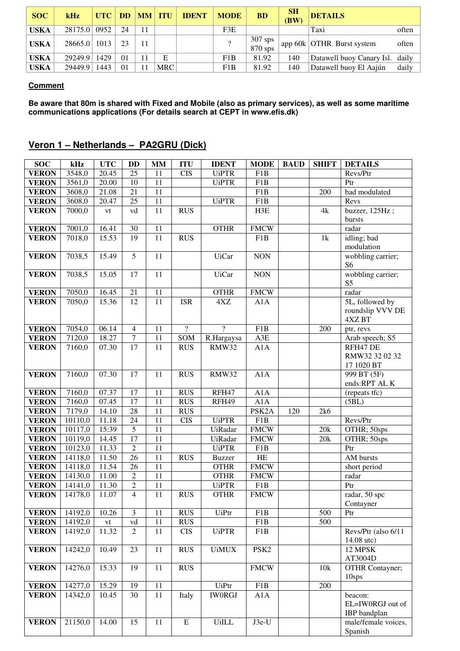| <b>SOC</b>  | kHz          | <b>UTC</b> | <b>DD</b> | MM | <b>ITU</b> | <b>IDENT</b> | <b>MODE</b> | <b>BD</b>            | <b>SH</b><br>(BW) | <b>DETAILS</b>            |       |  |
|-------------|--------------|------------|-----------|----|------------|--------------|-------------|----------------------|-------------------|---------------------------|-------|--|
| <b>USKA</b> | 28175.0      | 0952       | 24        |    |            |              | F3E         |                      |                   | Taxi                      | often |  |
| <b>USKA</b> | 28665.0 1013 |            | 23        |    |            |              | $\gamma$    | $307$ sps<br>870 sps |                   | app 60k OTHR Burst system | often |  |
| <b>USKA</b> | 29249.9      | 1429       | $\Omega$  |    | E          |              | F1B         | 81.92                | 140               | Datawell buoy Canary Isl. | daily |  |
| <b>USKA</b> | 29449.9      | 1443       | $\Omega$  |    | <b>MRC</b> |              | F1B         | 81.92                | 140               | Datawell buoy El Aajún    | daily |  |

#### **Comment**

**Be aware that 80m is shared with Fixed and Mobile (also as primary services), as well as some maritime communications applications (For details search at CEPT in www.efis.dk)** 

### **Veron 1 – Netherlands – PA2GRU (Dick)**

| <b>SOC</b>                   | kHz                  | <b>UTC</b>             | <b>DD</b>       | $\mathbf{M}\mathbf{M}$ | <b>ITU</b>               | <b>IDENT</b>   | <b>MODE</b>        | <b>BAUD</b> | <b>SHIFT</b> | <b>DETAILS</b>                      |
|------------------------------|----------------------|------------------------|-----------------|------------------------|--------------------------|----------------|--------------------|-------------|--------------|-------------------------------------|
| <b>VERON</b>                 | 3548,0               | 20.45                  | 25              | 11                     | <b>CIS</b>               | <b>UiPTR</b>   | F1B                |             |              | Revs/Ptr                            |
| <b>VERON</b>                 | 3561,0               | 20.00                  | $\overline{10}$ | $\overline{11}$        |                          | <b>UiPTR</b>   | F1B                |             |              | Ptr                                 |
| <b>VERON</b>                 | 3608,0               | 21.08                  | 21              | 11                     |                          |                | F1B                |             | 200          | bad modulated                       |
| <b>VERON</b>                 | 3608,0               | 20.47                  | $\overline{25}$ | $\overline{11}$        |                          | <b>UiPTR</b>   | F1B                |             |              | Revs                                |
| <b>VERON</b>                 | 7000,0               | ${\it vt}$             | vd              | 11                     | <b>RUS</b>               |                | H3E                |             | 4k           | buzzer, 125Hz;                      |
|                              |                      |                        |                 |                        |                          |                |                    |             |              | bursts                              |
| <b>VERON</b>                 | 7001,0               | 16.41                  | 30              | $11\,$                 |                          | <b>OTHR</b>    | <b>FMCW</b>        |             |              | radar                               |
| <b>VERON</b>                 | 7018,0               | 15.53                  | 19              | 11                     | RUS                      |                | F1B                |             | 1k           | idling; bad                         |
|                              |                      |                        | $\overline{5}$  | 11                     |                          | <b>UiCar</b>   | <b>NON</b>         |             |              | modulation                          |
| <b>VERON</b>                 | 7038,5               | 15.49                  |                 |                        |                          |                |                    |             |              | wobbling carrier;<br>S <sub>6</sub> |
| <b>VERON</b>                 | 7038,5               | 15.05                  | 17              | $\overline{11}$        |                          | <b>UiCar</b>   | <b>NON</b>         |             |              | wobbling carrier;                   |
|                              |                      |                        |                 |                        |                          |                |                    |             |              | S <sub>5</sub>                      |
| <b>VERON</b>                 | 7050,0               | 16.45                  | 21              | 11                     |                          | <b>OTHR</b>    | <b>FMCW</b>        |             |              | radar                               |
| <b>VERON</b>                 | 7050,0               | 15.36                  | 12              | $\overline{11}$        | <b>ISR</b>               | 4XZ            | A1A                |             |              | 5L, followed by                     |
|                              |                      |                        |                 |                        |                          |                |                    |             |              | roundslip VVV DE                    |
|                              |                      |                        |                 |                        |                          |                |                    |             |              | 4XZ BT                              |
| <b>VERON</b>                 | 7054,0               | 06.14                  | $\overline{4}$  | $\overline{11}$        | $\overline{?}$           | $\overline{?}$ | F1B                |             | 200          | ptr, revs                           |
| <b>VERON</b>                 | 7120,0               | 18.27                  | $\overline{7}$  | $\overline{11}$        | SOM                      | R.Hargaysa     | A3E                |             |              | Arab speech; S5                     |
| <b>VERON</b>                 | 7160,0               | 07.30                  | $\overline{17}$ | $\overline{11}$        | RUS                      | <b>RMW32</b>   | A1A                |             |              | RFH47 DE                            |
|                              |                      |                        |                 |                        |                          |                |                    |             |              | RMW32 32 02 32                      |
|                              | 7160,0               | 07.30                  | 17              | 11                     | <b>RUS</b>               | RMW32          | A1A                |             |              | 17 1020 BT<br>999 BT (5F)           |
| <b>VERON</b>                 |                      |                        |                 |                        |                          |                |                    |             |              | ends:RPT AL K                       |
| <b>VERON</b>                 | 7160,0               | 07.37                  | 17              | 11                     | <b>RUS</b>               | RFH47          | A1A                |             |              | (repeats tfc)                       |
| <b>VERON</b>                 | 7160,0               | 07.45                  | 17              | 11                     | <b>RUS</b>               | RFH49          | A1A                |             |              | (5BL)                               |
| <b>VERON</b>                 | 7179,0               | 14.10                  | $\overline{28}$ | 11                     | <b>RUS</b>               |                | PSK <sub>2</sub> A | 120         | 2k6          |                                     |
| <b>VERON</b>                 | 10110,0              | 11.18                  | 24              | 11                     | <b>CIS</b>               | <b>UiPTR</b>   | F1B                |             |              | Revs/Ptr                            |
| <b>VERON</b>                 | 10117,0              | 15:39                  | $\overline{5}$  | 11                     |                          | <b>UiRadar</b> | <b>FMCW</b>        |             | 20k          | OTHR; 50sps                         |
| <b>VERON</b>                 | 10119,0              | 14.45                  | 17              | $\overline{11}$        |                          | <b>UiRadar</b> | <b>FMCW</b>        |             | 20k          | OTHR; 50sps                         |
| <b>VERON</b>                 | 10123,0              | 11.33                  | $\overline{2}$  | 11                     |                          | <b>UiPTR</b>   | F1B                |             |              | Ptr                                 |
| <b>VERON</b>                 | 14118,0              | 11.50                  | 26              | $\overline{11}$        | <b>RUS</b>               | <b>Buzzer</b>  | HE                 |             |              | AM bursts                           |
| <b>VERON</b>                 | 14118,0              | 11.54                  | 26              | 11                     |                          | <b>OTHR</b>    | <b>FMCW</b>        |             |              | short period                        |
| <b>VERON</b>                 | 14130,0              | 11.00                  | $\overline{2}$  | 11                     |                          | <b>OTHR</b>    | <b>FMCW</b>        |             |              | radar                               |
| <b>VERON</b>                 | 14141,0              | 11.30                  | $\overline{2}$  | 11                     |                          | <b>UiPTR</b>   | $\overline{F1B}$   |             |              | P <sub>tr</sub>                     |
| <b>VERON</b>                 | 14178,0              | 11.07                  | $\overline{4}$  | 11                     | <b>RUS</b>               | <b>OTHR</b>    | <b>FMCW</b>        |             |              | radar, 50 spc                       |
|                              | 14192,0              |                        | $\mathfrak{Z}$  |                        |                          | <b>UiPtr</b>   |                    |             | 500          | Contayner                           |
| <b>VERON</b><br><b>VERON</b> | 14192,0              | 10.26                  | vd              | 11<br>11               | <b>RUS</b><br><b>RUS</b> |                | F1B<br>F1B         |             | 500          | Ptr                                 |
| <b>VERON</b>                 | 14192,0              | $\mathrm{vt}$<br>11.32 | $\overline{2}$  | 11                     | <b>CIS</b>               | <b>UiPTR</b>   | F1B                |             |              | Revs/Ptr (also 6/11                 |
|                              |                      |                        |                 |                        |                          |                |                    |             |              | 14.08 utc)                          |
| <b>VERON</b>                 | 14242,0              | 10.49                  | 23              | 11                     | <b>RUS</b>               | <b>UiMUX</b>   | PSK <sub>2</sub>   |             |              | 12 MPSK                             |
|                              |                      |                        |                 |                        |                          |                |                    |             |              | AT3004D                             |
| <b>VERON</b>                 | 14276,0              | 15.33                  | 19              | 11                     | <b>RUS</b>               |                | <b>FMCW</b>        |             | 10k          | <b>OTHR Contayner;</b>              |
|                              |                      |                        |                 |                        |                          |                |                    |             |              | $10$ sps                            |
| <b>VERON</b>                 | 14277,0              | 15.29                  | 19              | $11\,$                 |                          | UiPtr          | F1B                |             | 200          |                                     |
| <b>VERON</b>                 | 14342,0              | 10.45                  | $\overline{30}$ | $\overline{11}$        | Italy                    | <b>IWORGJ</b>  | A1A                |             |              | beacon:                             |
|                              |                      |                        |                 |                        |                          |                |                    |             |              | EL=IW0RGJ out of                    |
|                              |                      |                        |                 |                        |                          |                |                    |             |              | IBP bandplan                        |
| <b>VERON</b>                 | $\overline{2}1150,0$ | 14.00                  | 15              | 11                     | ${\bf E}$                | <b>UiILL</b>   | J3e-U              |             |              | male/female voices,                 |
|                              |                      |                        |                 |                        |                          |                |                    |             |              | Spanish                             |